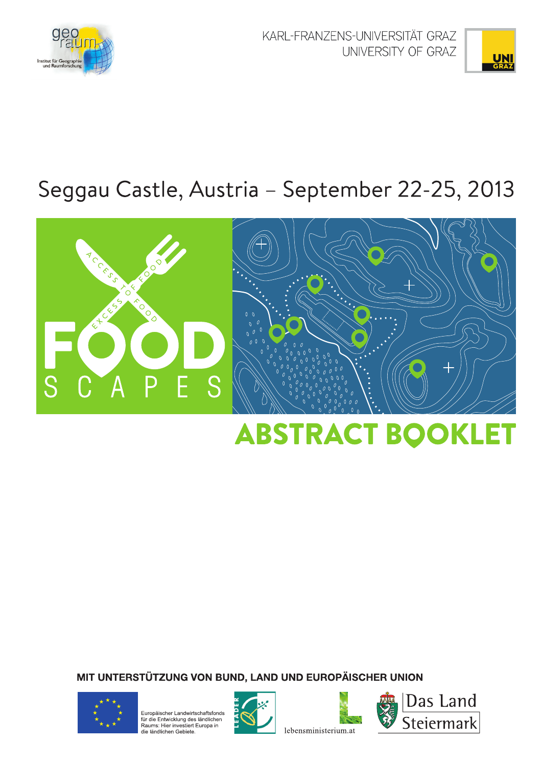

KARL-FRANZENS-UNIVERSITÄT GRAZ UNIVERSITY OF GRAZ



# Seggau Castle, Austria - September 22-25, 2013



# **ABSTRACT BOOKLET**

MIT UNTERSTÜTZUNG VON BUND, LAND UND EUROPÄISCHER UNION



Europäischer Landwirtschaftsfonds La participation de la contratturacionale<br>für die Entwicklung des ländlichen<br>Raums: Hier investiert Europa in<br>die ländlichen Gebiete.





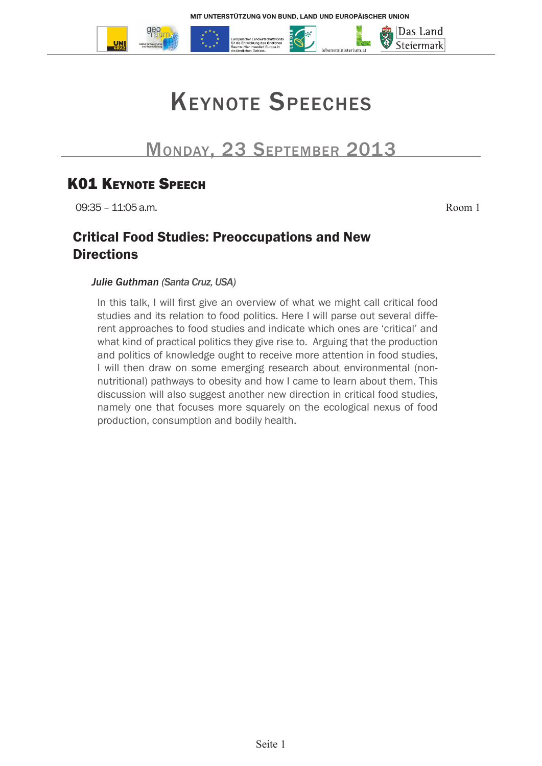

# Keynote Speeches

# Monday, 23 September 2013

# **K01 KEYNOTE SPEECH**

09:35 – 11:05 a.m. Room 1

### Critical Food Studies: Preoccupations and New **Directions**

#### *Julie Guthman (Santa Cruz, USA)*

In this talk, I will first give an overview of what we might call critical food studies and its relation to food politics. Here I will parse out several different approaches to food studies and indicate which ones are 'critical' and what kind of practical politics they give rise to. Arguing that the production and politics of knowledge ought to receive more attention in food studies, I will then draw on some emerging research about environmental (nonnutritional) pathways to obesity and how I came to learn about them. This discussion will also suggest another new direction in critical food studies, namely one that focuses more squarely on the ecological nexus of food production, consumption and bodily health.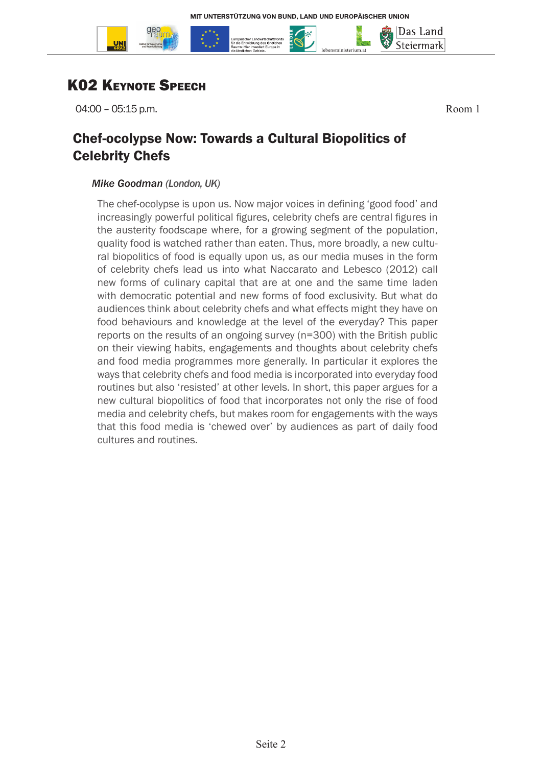

# **K02 KEYNOTE SPEECH**

04:00 – 05:15 p.m. Room 1

Das Land Steiermark

### Chef-ocolypse Now: Towards a Cultural Biopolitics of Celebrity Chefs

#### *Mike Goodman (London, UK)*

The chef-ocolypse is upon us. Now major voices in defining 'good food' and increasingly powerful political figures, celebrity chefs are central figures in the austerity foodscape where, for a growing segment of the population, quality food is watched rather than eaten. Thus, more broadly, a new cultural biopolitics of food is equally upon us, as our media muses in the form of celebrity chefs lead us into what Naccarato and Lebesco (2012) call new forms of culinary capital that are at one and the same time laden with democratic potential and new forms of food exclusivity. But what do audiences think about celebrity chefs and what effects might they have on food behaviours and knowledge at the level of the everyday? This paper reports on the results of an ongoing survey (n=300) with the British public on their viewing habits, engagements and thoughts about celebrity chefs and food media programmes more generally. In particular it explores the ways that celebrity chefs and food media is incorporated into everyday food routines but also 'resisted' at other levels. In short, this paper argues for a new cultural biopolitics of food that incorporates not only the rise of food media and celebrity chefs, but makes room for engagements with the ways that this food media is 'chewed over' by audiences as part of daily food cultures and routines.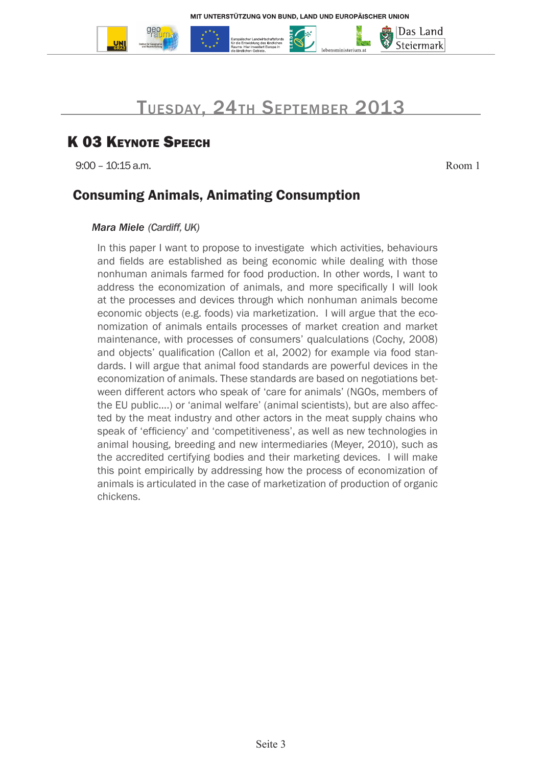

# Tuesday, 24th September 2013

# **K 03 KEYNOTE SPEECH**

9:00 – 10:15 a.m. Room 1

Das Land Steiermark

### Consuming Animals, Animating Consumption

#### *Mara Miele (Cardiff, UK)*

In this paper I want to propose to investigate which activities, behaviours and fields are established as being economic while dealing with those nonhuman animals farmed for food production. In other words, I want to address the economization of animals, and more specifically I will look at the processes and devices through which nonhuman animals become economic objects (e.g. foods) via marketization. I will argue that the economization of animals entails processes of market creation and market maintenance, with processes of consumers' qualculations (Cochy, 2008) and objects' qualification (Callon et al, 2002) for example via food standards. I will argue that animal food standards are powerful devices in the economization of animals. These standards are based on negotiations between different actors who speak of 'care for animals' (NGOs, members of the EU public....) or 'animal welfare' (animal scientists), but are also affected by the meat industry and other actors in the meat supply chains who speak of 'efficiency' and 'competitiveness', as well as new technologies in animal housing, breeding and new intermediaries (Meyer, 2010), such as the accredited certifying bodies and their marketing devices. I will make this point empirically by addressing how the process of economization of animals is articulated in the case of marketization of production of organic chickens.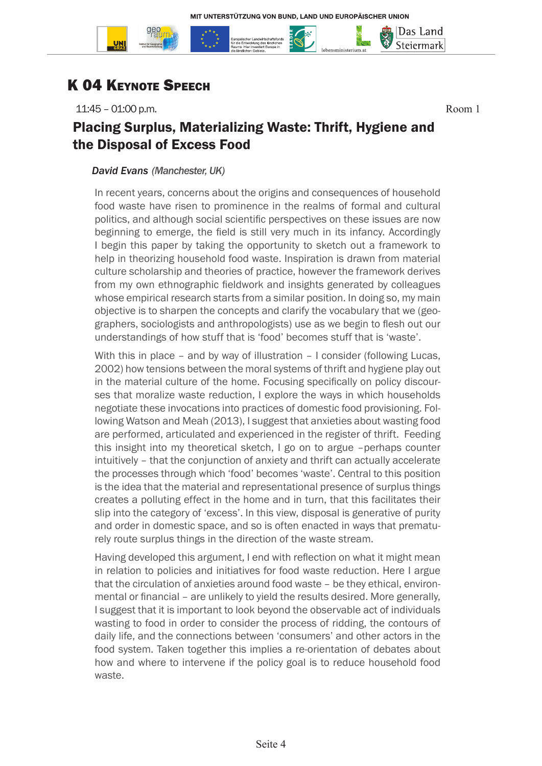

11:45 – 01:00 p.m. Room 1

|Das Land Steiermark

### Placing Surplus, Materializing Waste: Thrift, Hygiene and the Disposal of Excess Food

#### *David Evans (Manchester, UK)*

In recent years, concerns about the origins and consequences of household food waste have risen to prominence in the realms of formal and cultural politics, and although social scientific perspectives on these issues are now beginning to emerge, the field is still very much in its infancy. Accordingly I begin this paper by taking the opportunity to sketch out a framework to help in theorizing household food waste. Inspiration is drawn from material culture scholarship and theories of practice, however the framework derives from my own ethnographic fieldwork and insights generated by colleagues whose empirical research starts from a similar position. In doing so, my main objective is to sharpen the concepts and clarify the vocabulary that we (geographers, sociologists and anthropologists) use as we begin to flesh out our understandings of how stuff that is 'food' becomes stuff that is 'waste'.

With this in place – and by way of illustration – I consider (following Lucas, 2002) how tensions between the moral systems of thrift and hygiene play out in the material culture of the home. Focusing specifically on policy discourses that moralize waste reduction, I explore the ways in which households negotiate these invocations into practices of domestic food provisioning. Following Watson and Meah (2013), I suggest that anxieties about wasting food are performed, articulated and experienced in the register of thrift. Feeding this insight into my theoretical sketch, I go on to argue –perhaps counter intuitively – that the conjunction of anxiety and thrift can actually accelerate the processes through which 'food' becomes 'waste'. Central to this position is the idea that the material and representational presence of surplus things creates a polluting effect in the home and in turn, that this facilitates their slip into the category of 'excess'. In this view, disposal is generative of purity and order in domestic space, and so is often enacted in ways that prematurely route surplus things in the direction of the waste stream.

Having developed this argument, I end with reflection on what it might mean in relation to policies and initiatives for food waste reduction. Here I argue that the circulation of anxieties around food waste – be they ethical, environmental or financial – are unlikely to yield the results desired. More generally, I suggest that it is important to look beyond the observable act of individuals wasting to food in order to consider the process of ridding, the contours of daily life, and the connections between 'consumers' and other actors in the food system. Taken together this implies a re-orientation of debates about how and where to intervene if the policy goal is to reduce household food waste.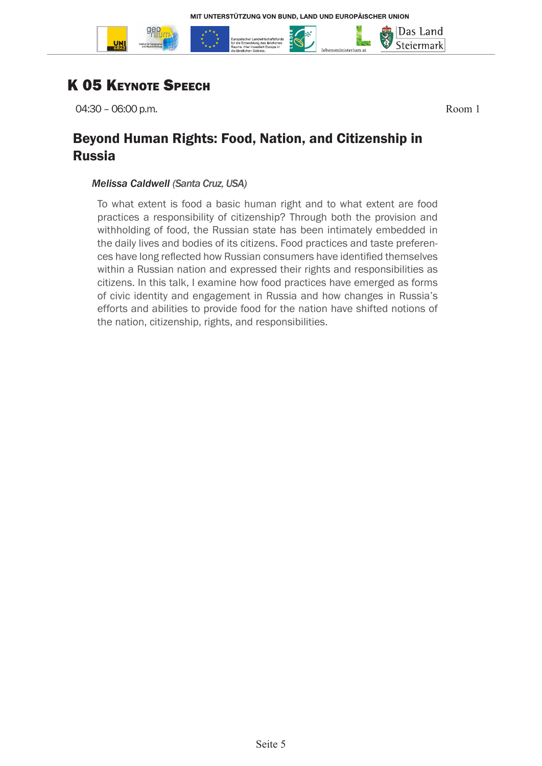

# **K 05 KEYNOTE SPEECH**

04:30 – 06:00 p.m. Room 1

Das Land Steiermark

### Beyond Human Rights: Food, Nation, and Citizenship in Russia

#### *Melissa Caldwell (Santa Cruz, USA)*

To what extent is food a basic human right and to what extent are food practices a responsibility of citizenship? Through both the provision and withholding of food, the Russian state has been intimately embedded in the daily lives and bodies of its citizens. Food practices and taste preferences have long reflected how Russian consumers have identified themselves within a Russian nation and expressed their rights and responsibilities as citizens. In this talk, I examine how food practices have emerged as forms of civic identity and engagement in Russia and how changes in Russia's efforts and abilities to provide food for the nation have shifted notions of the nation, citizenship, rights, and responsibilities.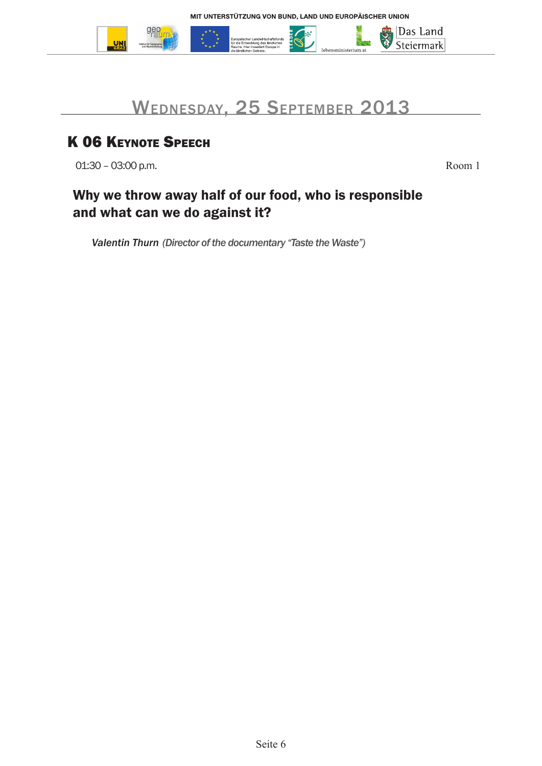

# Wednesday, 25 September 2013

# K 06 KEYNOTE SPEECH

01:30 – 03:00 p.m. Room 1

# Why we throw away half of our food, who is responsible and what can we do against it?

*Valentin Thurn (Director of the documentary "Taste the Waste")*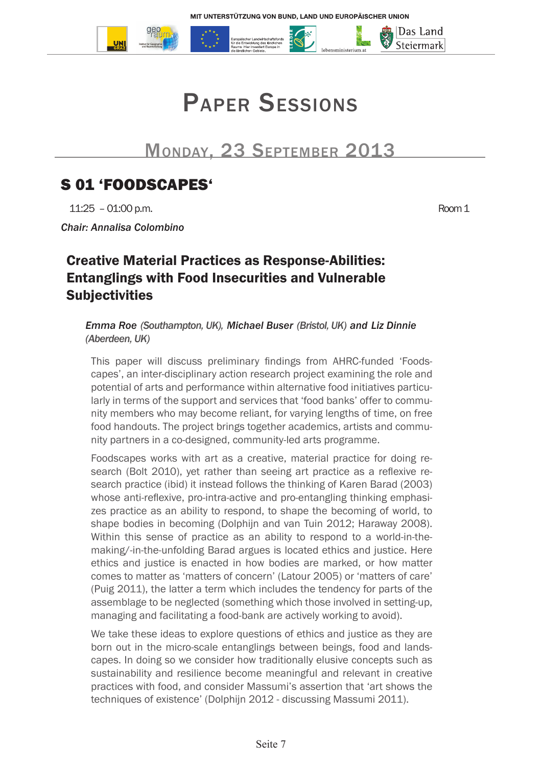



# Monday, 23 September 2013

# S 01 'FOODSCAPES'

11:25 – 01:00 p.m. Room 1

*Chair: Annalisa Colombino*

### Creative Material Practices as Response-Abilities: Entanglings with Food Insecurities and Vulnerable **Subjectivities**

*Emma Roe (Southampton, UK), Michael Buser (Bristol, UK) and Liz Dinnie (Aberdeen, UK)* 

This paper will discuss preliminary findings from AHRC-funded 'Foodscapes', an inter-disciplinary action research project examining the role and potential of arts and performance within alternative food initiatives particularly in terms of the support and services that 'food banks' offer to community members who may become reliant, for varying lengths of time, on free food handouts. The project brings together academics, artists and community partners in a co-designed, community-led arts programme.

Foodscapes works with art as a creative, material practice for doing research (Bolt 2010), yet rather than seeing art practice as a reflexive research practice (ibid) it instead follows the thinking of Karen Barad (2003) whose anti-reflexive, pro-intra-active and pro-entangling thinking emphasizes practice as an ability to respond, to shape the becoming of world, to shape bodies in becoming (Dolphijn and van Tuin 2012; Haraway 2008). Within this sense of practice as an ability to respond to a world-in-themaking/-in-the-unfolding Barad argues is located ethics and justice. Here ethics and justice is enacted in how bodies are marked, or how matter comes to matter as 'matters of concern' (Latour 2005) or 'matters of care' (Puig 2011), the latter a term which includes the tendency for parts of the assemblage to be neglected (something which those involved in setting-up, managing and facilitating a food-bank are actively working to avoid).

We take these ideas to explore questions of ethics and justice as they are born out in the micro-scale entanglings between beings, food and landscapes. In doing so we consider how traditionally elusive concepts such as sustainability and resilience become meaningful and relevant in creative practices with food, and consider Massumi's assertion that 'art shows the techniques of existence' (Dolphijn 2012 - discussing Massumi 2011).

|Das Land Steiermark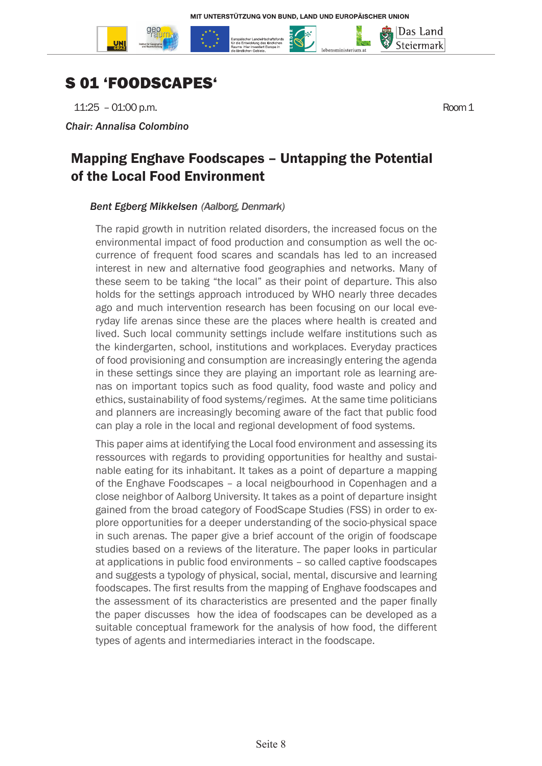

# S 01 'FOODSCAPES'

11:25 – 01:00 p.m. Room 1

*Chair: Annalisa Colombino*

Das Land Steiermark

### Mapping Enghave Foodscapes – Untapping the Potential of the Local Food Environment

#### *Bent Egberg Mikkelsen (Aalborg, Denmark)*

The rapid growth in nutrition related disorders, the increased focus on the environmental impact of food production and consumption as well the occurrence of frequent food scares and scandals has led to an increased interest in new and alternative food geographies and networks. Many of these seem to be taking "the local" as their point of departure. This also holds for the settings approach introduced by WHO nearly three decades ago and much intervention research has been focusing on our local everyday life arenas since these are the places where health is created and lived. Such local community settings include welfare institutions such as the kindergarten, school, institutions and workplaces. Everyday practices of food provisioning and consumption are increasingly entering the agenda in these settings since they are playing an important role as learning arenas on important topics such as food quality, food waste and policy and ethics, sustainability of food systems/regimes. At the same time politicians and planners are increasingly becoming aware of the fact that public food can play a role in the local and regional development of food systems.

This paper aims at identifying the Local food environment and assessing its ressources with regards to providing opportunities for healthy and sustainable eating for its inhabitant. It takes as a point of departure a mapping of the Enghave Foodscapes – a local neigbourhood in Copenhagen and a close neighbor of Aalborg University. It takes as a point of departure insight gained from the broad category of FoodScape Studies (FSS) in order to explore opportunities for a deeper understanding of the socio-physical space in such arenas. The paper give a brief account of the origin of foodscape studies based on a reviews of the literature. The paper looks in particular at applications in public food environments – so called captive foodscapes and suggests a typology of physical, social, mental, discursive and learning foodscapes. The first results from the mapping of Enghave foodscapes and the assessment of its characteristics are presented and the paper finally the paper discusses how the idea of foodscapes can be developed as a suitable conceptual framework for the analysis of how food, the different types of agents and intermediaries interact in the foodscape.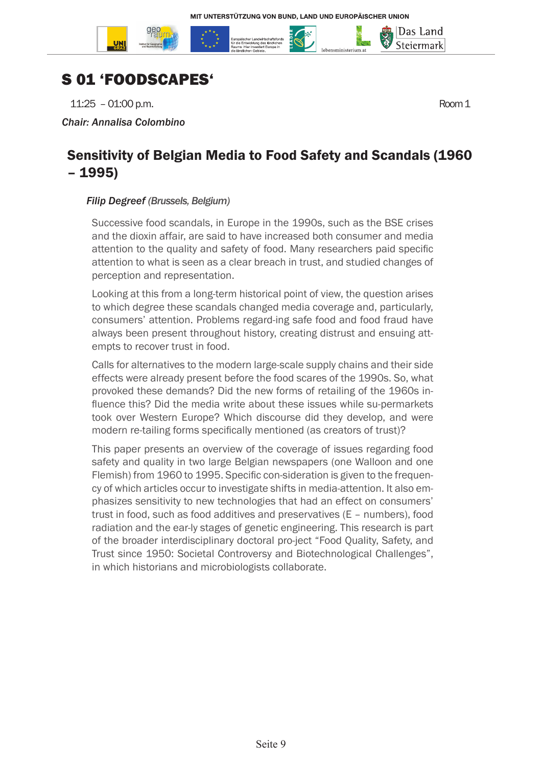

# S 01 'FOODSCAPES'

11:25 – 01:00 p.m. Room 1

*Chair: Annalisa Colombino*

### Sensitivity of Belgian Media to Food Safety and Scandals (1960 – 1995)

#### *Filip Degreef (Brussels, Belgium)*

Successive food scandals, in Europe in the 1990s, such as the BSE crises and the dioxin affair, are said to have increased both consumer and media attention to the quality and safety of food. Many researchers paid specific attention to what is seen as a clear breach in trust, and studied changes of perception and representation.

Looking at this from a long-term historical point of view, the question arises to which degree these scandals changed media coverage and, particularly, consumers' attention. Problems regard-ing safe food and food fraud have always been present throughout history, creating distrust and ensuing attempts to recover trust in food.

Calls for alternatives to the modern large-scale supply chains and their side effects were already present before the food scares of the 1990s. So, what provoked these demands? Did the new forms of retailing of the 1960s influence this? Did the media write about these issues while su-permarkets took over Western Europe? Which discourse did they develop, and were modern re-tailing forms specifically mentioned (as creators of trust)?

This paper presents an overview of the coverage of issues regarding food safety and quality in two large Belgian newspapers (one Walloon and one Flemish) from 1960 to 1995. Specific con-sideration is given to the frequency of which articles occur to investigate shifts in media-attention. It also emphasizes sensitivity to new technologies that had an effect on consumers' trust in food, such as food additives and preservatives (E – numbers), food radiation and the ear-ly stages of genetic engineering. This research is part of the broader interdisciplinary doctoral pro-ject "Food Quality, Safety, and Trust since 1950: Societal Controversy and Biotechnological Challenges", in which historians and microbiologists collaborate.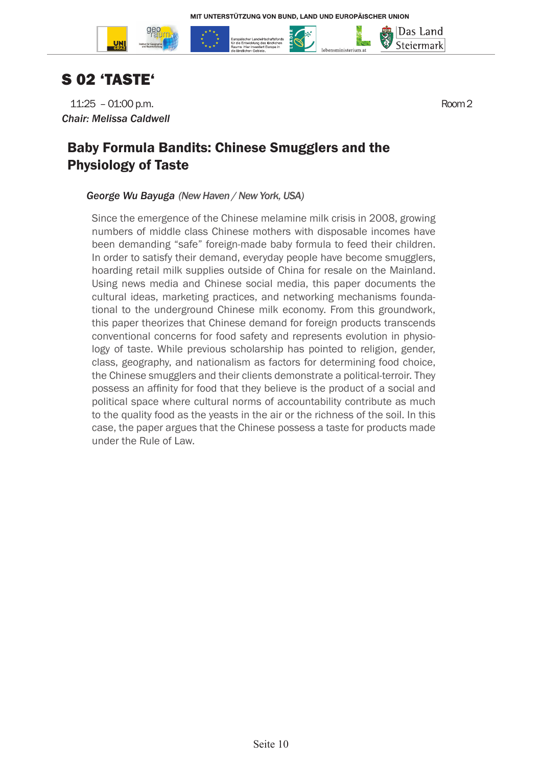



# S 02 'TASTE'

11:25 – 01:00 p.m. Room 2 *Chair: Melissa Caldwell*

Das Land Steiermark

## Baby Formula Bandits: Chinese Smugglers and the Physiology of Taste

#### *George Wu Bayuga (New Haven / New York, USA)*

Since the emergence of the Chinese melamine milk crisis in 2008, growing numbers of middle class Chinese mothers with disposable incomes have been demanding "safe" foreign-made baby formula to feed their children. In order to satisfy their demand, everyday people have become smugglers, hoarding retail milk supplies outside of China for resale on the Mainland. Using news media and Chinese social media, this paper documents the cultural ideas, marketing practices, and networking mechanisms foundational to the underground Chinese milk economy. From this groundwork, this paper theorizes that Chinese demand for foreign products transcends conventional concerns for food safety and represents evolution in physiology of taste. While previous scholarship has pointed to religion, gender, class, geography, and nationalism as factors for determining food choice, the Chinese smugglers and their clients demonstrate a political-terroir. They possess an affinity for food that they believe is the product of a social and political space where cultural norms of accountability contribute as much to the quality food as the yeasts in the air or the richness of the soil. In this case, the paper argues that the Chinese possess a taste for products made under the Rule of Law.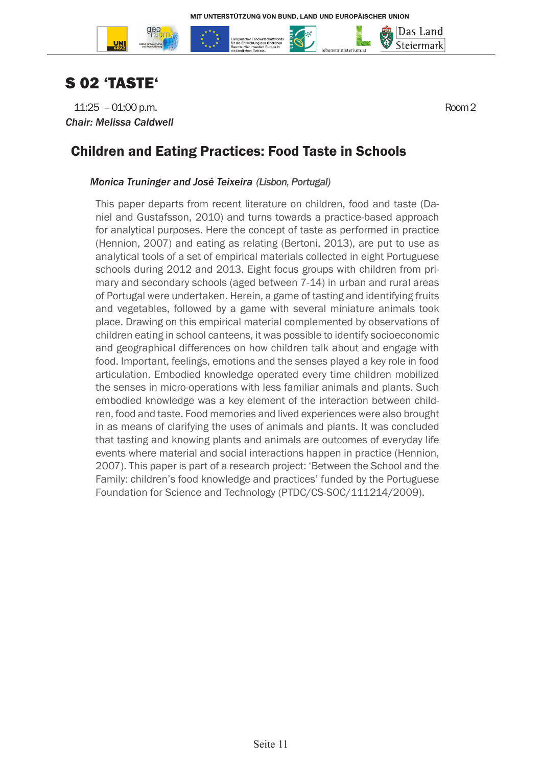



11:25 – 01:00 p.m. Room 2 *Chair: Melissa Caldwell*

Das Land Steiermark

### Children and Eating Practices: Food Taste in Schools

#### *Monica Truninger and José Teixeira (Lisbon, Portugal)*

This paper departs from recent literature on children, food and taste (Daniel and Gustafsson, 2010) and turns towards a practice-based approach for analytical purposes. Here the concept of taste as performed in practice (Hennion, 2007) and eating as relating (Bertoni, 2013), are put to use as analytical tools of a set of empirical materials collected in eight Portuguese schools during 2012 and 2013. Eight focus groups with children from primary and secondary schools (aged between 7-14) in urban and rural areas of Portugal were undertaken. Herein, a game of tasting and identifying fruits and vegetables, followed by a game with several miniature animals took place. Drawing on this empirical material complemented by observations of children eating in school canteens, it was possible to identify socioeconomic and geographical differences on how children talk about and engage with food. Important, feelings, emotions and the senses played a key role in food articulation. Embodied knowledge operated every time children mobilized the senses in micro-operations with less familiar animals and plants. Such embodied knowledge was a key element of the interaction between children, food and taste. Food memories and lived experiences were also brought in as means of clarifying the uses of animals and plants. It was concluded that tasting and knowing plants and animals are outcomes of everyday life events where material and social interactions happen in practice (Hennion, 2007). This paper is part of a research project: 'Between the School and the Family: children's food knowledge and practices' funded by the Portuguese Foundation for Science and Technology (PTDC/CS-SOC/111214/2009).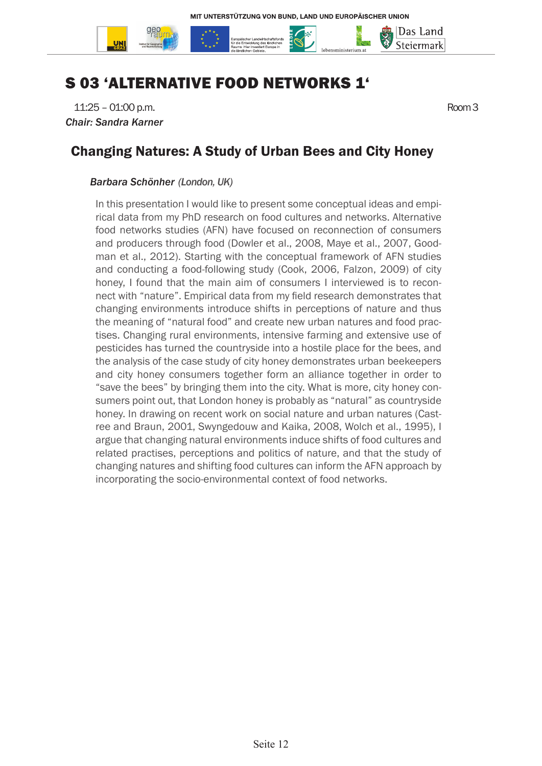

# S 03 'ALTERNATIVE FOOD NETWORKS 1'

11:25 – 01:00 p.m. Room 3 *Chair: Sandra Karner*

### Changing Natures: A Study of Urban Bees and City Honey

#### *Barbara Schönher (London, UK)*

In this presentation I would like to present some conceptual ideas and empirical data from my PhD research on food cultures and networks. Alternative food networks studies (AFN) have focused on reconnection of consumers and producers through food (Dowler et al., 2008, Maye et al., 2007, Goodman et al., 2012). Starting with the conceptual framework of AFN studies and conducting a food-following study (Cook, 2006, Falzon, 2009) of city honey, I found that the main aim of consumers I interviewed is to reconnect with "nature". Empirical data from my field research demonstrates that changing environments introduce shifts in perceptions of nature and thus the meaning of "natural food" and create new urban natures and food practises. Changing rural environments, intensive farming and extensive use of pesticides has turned the countryside into a hostile place for the bees, and the analysis of the case study of city honey demonstrates urban beekeepers and city honey consumers together form an alliance together in order to "save the bees" by bringing them into the city. What is more, city honey consumers point out, that London honey is probably as "natural" as countryside honey. In drawing on recent work on social nature and urban natures (Castree and Braun, 2001, Swyngedouw and Kaika, 2008, Wolch et al., 1995), I argue that changing natural environments induce shifts of food cultures and related practises, perceptions and politics of nature, and that the study of changing natures and shifting food cultures can inform the AFN approach by incorporating the socio-environmental context of food networks.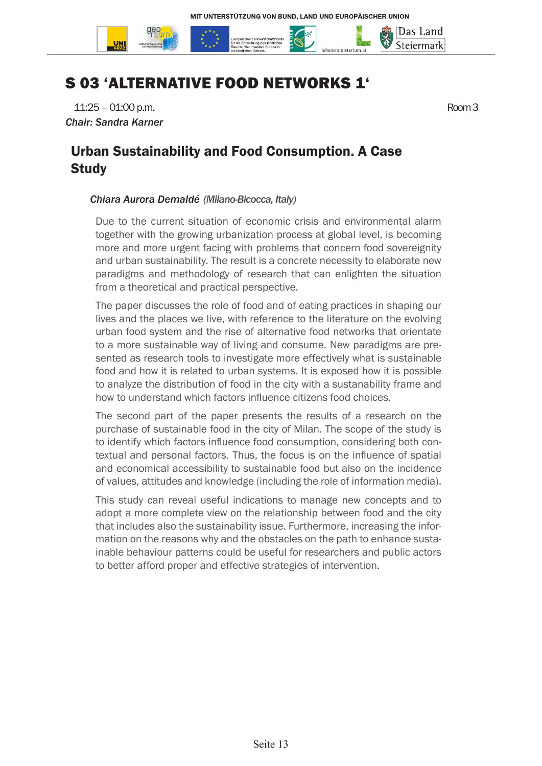

# S 03 'ALTERNATIVE FOOD NETWORKS 1'

11:25 – 01:00 p.m. Room 3 *Chair: Sandra Karner*

Urban Sustainability and Food Consumption. A Case **Study** 

#### *Chiara Aurora Demaldé (Milano-Bicocca, Italy)*

Due to the current situation of economic crisis and environmental alarm together with the growing urbanization process at global level, is becoming more and more urgent facing with problems that concern food sovereignity and urban sustainability. The result is a concrete necessity to elaborate new paradigms and methodology of research that can enlighten the situation from a theoretical and practical perspective.

The paper discusses the role of food and of eating practices in shaping our lives and the places we live, with reference to the literature on the evolving urban food system and the rise of alternative food networks that orientate to a more sustainable way of living and consume. New paradigms are presented as research tools to investigate more effectively what is sustainable food and how it is related to urban systems. It is exposed how it is possible to analyze the distribution of food in the city with a sustanability frame and how to understand which factors influence citizens food choices.

The second part of the paper presents the results of a research on the purchase of sustainable food in the city of Milan. The scope of the study is to identify which factors influence food consumption, considering both contextual and personal factors. Thus, the focus is on the influence of spatial and economical accessibility to sustainable food but also on the incidence of values, attitudes and knowledge (including the role of information media).

This study can reveal useful indications to manage new concepts and to adopt a more complete view on the relationship between food and the city that includes also the sustainability issue. Furthermore, increasing the information on the reasons why and the obstacles on the path to enhance sustainable behaviour patterns could be useful for researchers and public actors to better afford proper and effective strategies of intervention.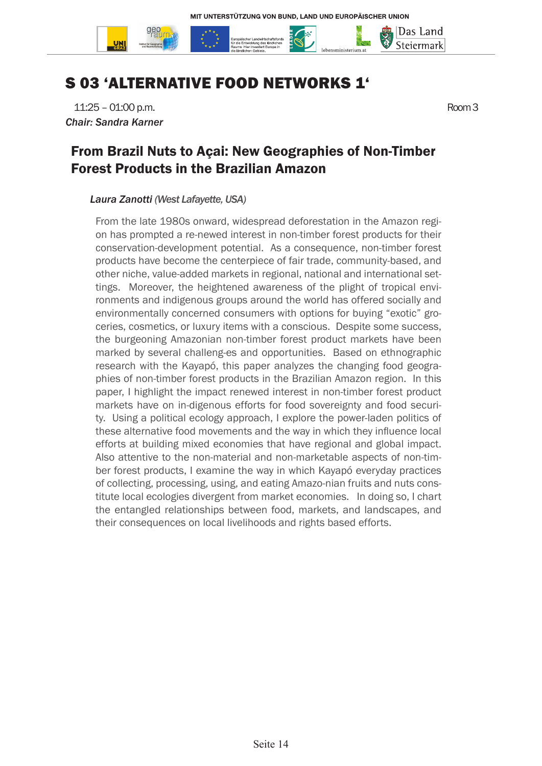

# S 03 'ALTERNATIVE FOOD NETWORKS 1'

11:25 – 01:00 p.m. Room 3 *Chair: Sandra Karner*

### From Brazil Nuts to Açai: New Geographies of Non-Timber Forest Products in the Brazilian Amazon

#### *Laura Zanotti (West Lafayette, USA)*

From the late 1980s onward, widespread deforestation in the Amazon region has prompted a re-newed interest in non-timber forest products for their conservation-development potential. As a consequence, non-timber forest products have become the centerpiece of fair trade, community-based, and other niche, value-added markets in regional, national and international settings. Moreover, the heightened awareness of the plight of tropical environments and indigenous groups around the world has offered socially and environmentally concerned consumers with options for buying "exotic" groceries, cosmetics, or luxury items with a conscious. Despite some success, the burgeoning Amazonian non-timber forest product markets have been marked by several challeng-es and opportunities. Based on ethnographic research with the Kayapó, this paper analyzes the changing food geographies of non-timber forest products in the Brazilian Amazon region. In this paper, I highlight the impact renewed interest in non-timber forest product markets have on in-digenous efforts for food sovereignty and food security. Using a political ecology approach, I explore the power-laden politics of these alternative food movements and the way in which they influence local efforts at building mixed economies that have regional and global impact. Also attentive to the non-material and non-marketable aspects of non-timber forest products, I examine the way in which Kayapó everyday practices of collecting, processing, using, and eating Amazo-nian fruits and nuts constitute local ecologies divergent from market economies. In doing so, I chart the entangled relationships between food, markets, and landscapes, and their consequences on local livelihoods and rights based efforts.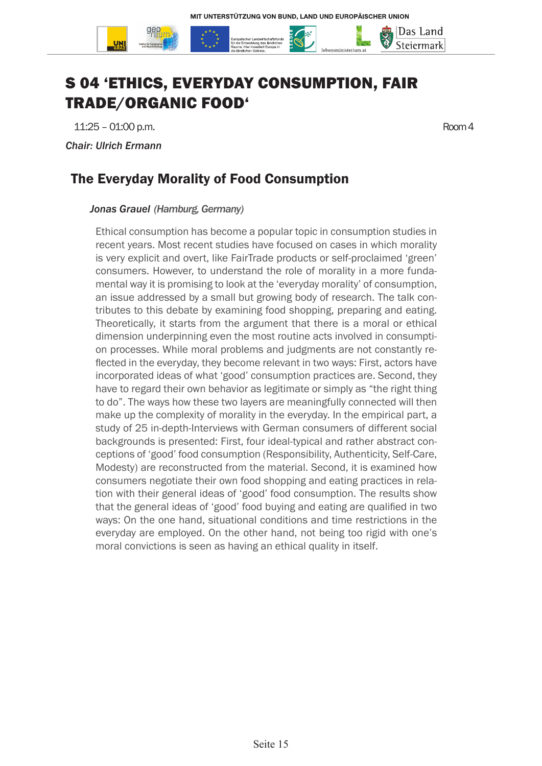

# S 04 'ETHICS, EVERYDAY CONSUMPTION, FAIR TRADE/ORGANIC FOOD'

11:25 – 01:00 p.m. Room 4

*Chair: Ulrich Ermann*

# The Everyday Morality of Food Consumption

#### *Jonas Grauel (Hamburg, Germany)*

Ethical consumption has become a popular topic in consumption studies in recent years. Most recent studies have focused on cases in which morality is very explicit and overt, like FairTrade products or self-proclaimed 'green' consumers. However, to understand the role of morality in a more fundamental way it is promising to look at the 'everyday morality' of consumption, an issue addressed by a small but growing body of research. The talk contributes to this debate by examining food shopping, preparing and eating. Theoretically, it starts from the argument that there is a moral or ethical dimension underpinning even the most routine acts involved in consumption processes. While moral problems and judgments are not constantly reflected in the everyday, they become relevant in two ways: First, actors have incorporated ideas of what 'good' consumption practices are. Second, they have to regard their own behavior as legitimate or simply as "the right thing to do". The ways how these two layers are meaningfully connected will then make up the complexity of morality in the everyday. In the empirical part, a study of 25 in-depth-Interviews with German consumers of different social backgrounds is presented: First, four ideal-typical and rather abstract conceptions of 'good' food consumption (Responsibility, Authenticity, Self-Care, Modesty) are reconstructed from the material. Second, it is examined how consumers negotiate their own food shopping and eating practices in relation with their general ideas of 'good' food consumption. The results show that the general ideas of 'good' food buying and eating are qualified in two ways: On the one hand, situational conditions and time restrictions in the everyday are employed. On the other hand, not being too rigid with one's moral convictions is seen as having an ethical quality in itself.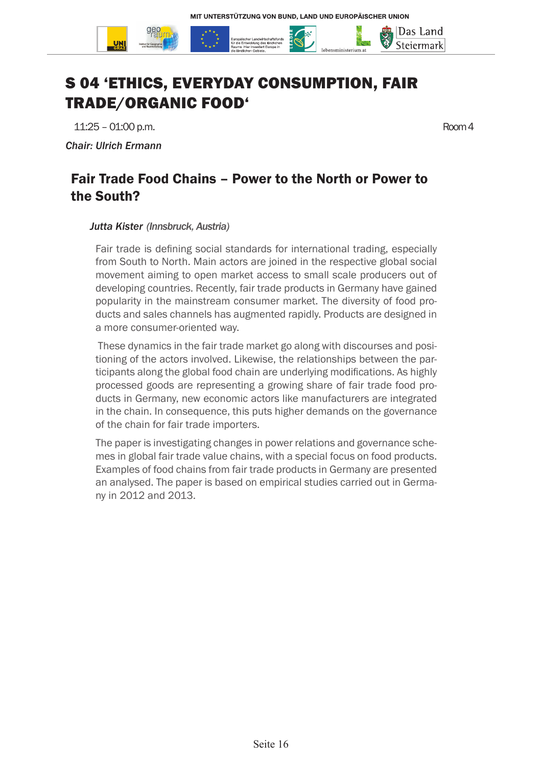

# S 04 'ETHICS, EVERYDAY CONSUMPTION, FAIR TRADE/ORGANIC FOOD'

11:25 – 01:00 p.m. Room 4

*Chair: Ulrich Ermann*

### Fair Trade Food Chains – Power to the North or Power to the South?

#### *Jutta Kister (Innsbruck, Austria)*

Fair trade is defining social standards for international trading, especially from South to North. Main actors are joined in the respective global social movement aiming to open market access to small scale producers out of developing countries. Recently, fair trade products in Germany have gained popularity in the mainstream consumer market. The diversity of food products and sales channels has augmented rapidly. Products are designed in a more consumer-oriented way.

 These dynamics in the fair trade market go along with discourses and positioning of the actors involved. Likewise, the relationships between the participants along the global food chain are underlying modifications. As highly processed goods are representing a growing share of fair trade food products in Germany, new economic actors like manufacturers are integrated in the chain. In consequence, this puts higher demands on the governance of the chain for fair trade importers.

The paper is investigating changes in power relations and governance schemes in global fair trade value chains, with a special focus on food products. Examples of food chains from fair trade products in Germany are presented an analysed. The paper is based on empirical studies carried out in Germany in 2012 and 2013.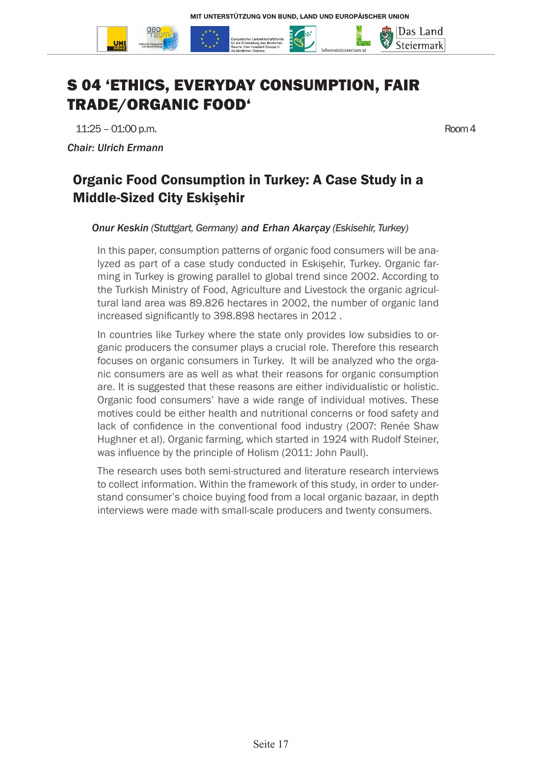



# S 04 'ETHICS, EVERYDAY CONSUMPTION, FAIR TRADE/ORGANIC FOOD'

11:25 – 01:00 p.m. Room 4 *Chair: Ulrich Ermann*

# Organic Food Consumption in Turkey: A Case Study in a Middle-Sized City Eskişehir

#### *Onur Keskin (Stuttgart, Germany) and Erhan Akarçay (Eskisehir, Turkey)*

In this paper, consumption patterns of organic food consumers will be analyzed as part of a case study conducted in Eskişehir, Turkey. Organic farming in Turkey is growing parallel to global trend since 2002. According to the Turkish Ministry of Food, Agriculture and Livestock the organic agricultural land area was 89.826 hectares in 2002, the number of organic land increased significantly to 398.898 hectares in 2012 .

In countries like Turkey where the state only provides low subsidies to organic producers the consumer plays a crucial role. Therefore this research focuses on organic consumers in Turkey. It will be analyzed who the organic consumers are as well as what their reasons for organic consumption are. It is suggested that these reasons are either individualistic or holistic. Organic food consumers' have a wide range of individual motives. These motives could be either health and nutritional concerns or food safety and lack of confidence in the conventional food industry (2007: Renée Shaw Hughner et al). Organic farming, which started in 1924 with Rudolf Steiner, was influence by the principle of Holism (2011: John Paull).

The research uses both semi-structured and literature research interviews to collect information. Within the framework of this study, in order to understand consumer's choice buying food from a local organic bazaar, in depth interviews were made with small-scale producers and twenty consumers.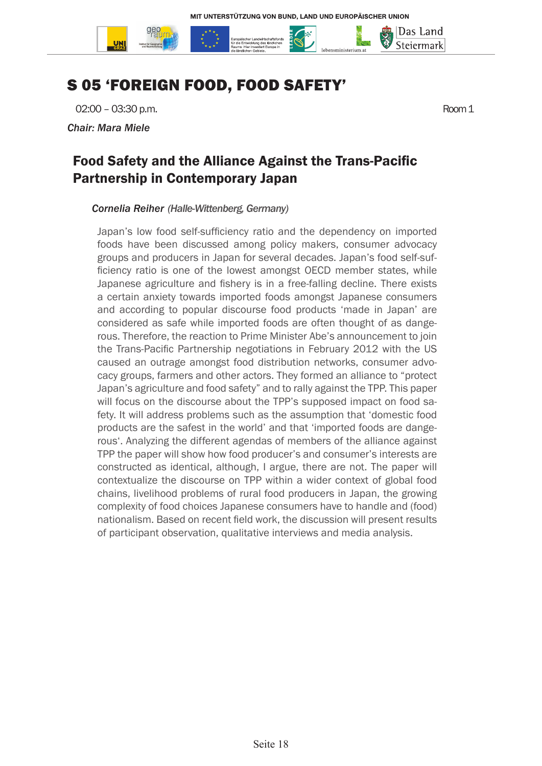

# S 05 'FOREIGN FOOD, FOOD SAFETY'

02:00 – 03:30 p.m. Room 1

*Chair: Mara Miele*

### Food Safety and the Alliance Against the Trans-Pacific Partnership in Contemporary Japan

#### *Cornelia Reiher (Halle-Wittenberg, Germany)*

Japan's low food self-sufficiency ratio and the dependency on imported foods have been discussed among policy makers, consumer advocacy groups and producers in Japan for several decades. Japan's food self-sufficiency ratio is one of the lowest amongst OECD member states, while Japanese agriculture and fishery is in a free-falling decline. There exists a certain anxiety towards imported foods amongst Japanese consumers and according to popular discourse food products 'made in Japan' are considered as safe while imported foods are often thought of as dangerous. Therefore, the reaction to Prime Minister Abe's announcement to join the Trans-Pacific Partnership negotiations in February 2012 with the US caused an outrage amongst food distribution networks, consumer advocacy groups, farmers and other actors. They formed an alliance to "protect Japan's agriculture and food safety" and to rally against the TPP. This paper will focus on the discourse about the TPP's supposed impact on food safety. It will address problems such as the assumption that 'domestic food products are the safest in the world' and that 'imported foods are dangerous'. Analyzing the different agendas of members of the alliance against TPP the paper will show how food producer's and consumer's interests are constructed as identical, although, I argue, there are not. The paper will contextualize the discourse on TPP within a wider context of global food chains, livelihood problems of rural food producers in Japan, the growing complexity of food choices Japanese consumers have to handle and (food) nationalism. Based on recent field work, the discussion will present results of participant observation, qualitative interviews and media analysis.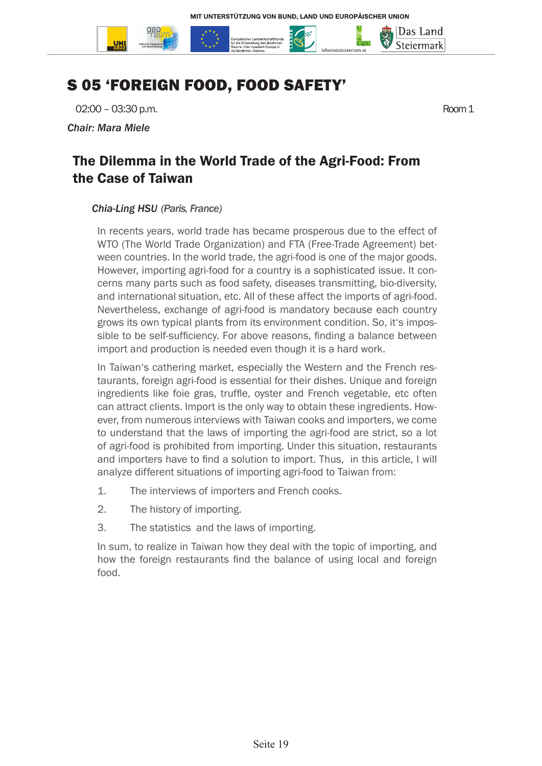

# S 05 'FOREIGN FOOD, FOOD SAFETY'

02:00 – 03:30 p.m. Room 1

*Chair: Mara Miele*

### The Dilemma in the World Trade of the Agri-Food: From the Case of Taiwan

#### *Chia-Ling HSU (Paris, France)*

In recents years, world trade has became prosperous due to the effect of WTO (The World Trade Organization) and FTA (Free-Trade Agreement) between countries. In the world trade, the agri-food is one of the major goods. However, importing agri-food for a country is a sophisticated issue. It concerns many parts such as food safety, diseases transmitting, bio-diversity, and international situation, etc. All of these affect the imports of agri-food. Nevertheless, exchange of agri-food is mandatory because each country grows its own typical plants from its environment condition. So, it's impossible to be self-sufficiency. For above reasons, finding a balance between import and production is needed even though it is a hard work.

In Taiwan's cathering market, especially the Western and the French restaurants, foreign agri-food is essential for their dishes. Unique and foreign ingredients like foie gras, truffle, oyster and French vegetable, etc often can attract clients. Import is the only way to obtain these ingredients. However, from numerous interviews with Taiwan cooks and importers, we come to understand that the laws of importing the agri-food are strict, so a lot of agri-food is prohibited from importing. Under this situation, restaurants and importers have to find a solution to import. Thus, in this article, I will analyze different situations of importing agri-food to Taiwan from:

- 1. The interviews of importers and French cooks.
- 2. The history of importing.
- 3. The statistics and the laws of importing.

In sum, to realize in Taiwan how they deal with the topic of importing, and how the foreign restaurants find the balance of using local and foreign food.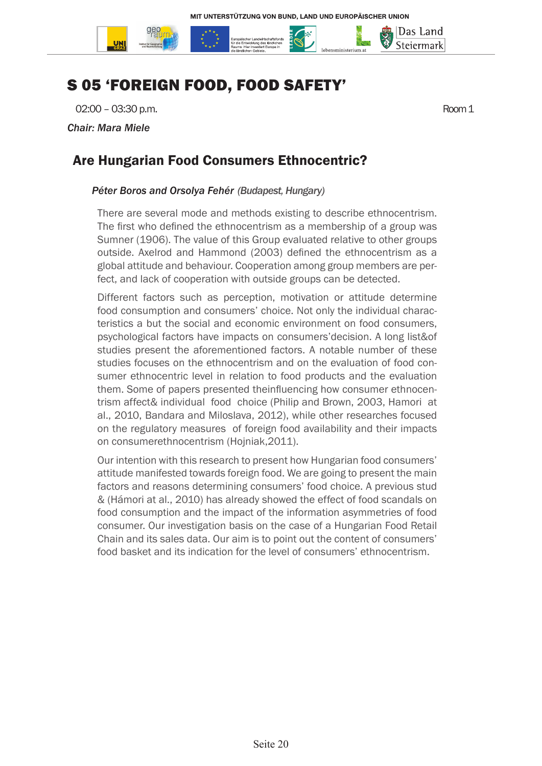

# S 05 'FOREIGN FOOD, FOOD SAFETY'

02:00 – 03:30 p.m. Room 1

*Chair: Mara Miele*

### Are Hungarian Food Consumers Ethnocentric?

#### *Péter Boros and Orsolya Fehér (Budapest, Hungary)*

There are several mode and methods existing to describe ethnocentrism. The first who defined the ethnocentrism as a membership of a group was Sumner (1906). The value of this Group evaluated relative to other groups outside. Axelrod and Hammond (2003) defined the ethnocentrism as a global attitude and behaviour. Cooperation among group members are perfect, and lack of cooperation with outside groups can be detected.

Different factors such as perception, motivation or attitude determine food consumption and consumers' choice. Not only the individual characteristics a but the social and economic environment on food consumers, psychological factors have impacts on consumers'decision. A long list&of studies present the aforementioned factors. A notable number of these studies focuses on the ethnocentrism and on the evaluation of food consumer ethnocentric level in relation to food products and the evaluation them. Some of papers presented theinfluencing how consumer ethnocentrism affect& individual food choice (Philip and Brown, 2003, Hamori at al., 2010, Bandara and Miloslava, 2012), while other researches focused on the regulatory measures of foreign food availability and their impacts on consumerethnocentrism (Hojniak,2011).

Our intention with this research to present how Hungarian food consumers' attitude manifested towards foreign food. We are going to present the main factors and reasons determining consumers' food choice. A previous stud & (Hámori at al., 2010) has already showed the effect of food scandals on food consumption and the impact of the information asymmetries of food consumer. Our investigation basis on the case of a Hungarian Food Retail Chain and its sales data. Our aim is to point out the content of consumers' food basket and its indication for the level of consumers' ethnocentrism.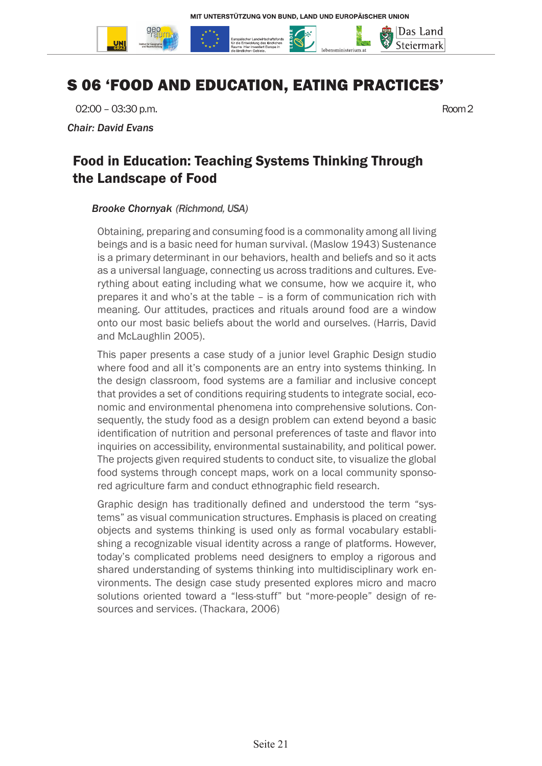

# S 06 'FOOD AND EDUCATION, EATING PRACTICES'

02:00 – 03:30 p.m. Room 2

*Chair: David Evans*

### Food in Education: Teaching Systems Thinking Through the Landscape of Food

#### *Brooke Chornyak (Richmond, USA)*

Obtaining, preparing and consuming food is a commonality among all living beings and is a basic need for human survival. (Maslow 1943) Sustenance is a primary determinant in our behaviors, health and beliefs and so it acts as a universal language, connecting us across traditions and cultures. Everything about eating including what we consume, how we acquire it, who prepares it and who's at the table – is a form of communication rich with meaning. Our attitudes, practices and rituals around food are a window onto our most basic beliefs about the world and ourselves. (Harris, David and McLaughlin 2005).

This paper presents a case study of a junior level Graphic Design studio where food and all it's components are an entry into systems thinking. In the design classroom, food systems are a familiar and inclusive concept that provides a set of conditions requiring students to integrate social, economic and environmental phenomena into comprehensive solutions. Consequently, the study food as a design problem can extend beyond a basic identification of nutrition and personal preferences of taste and flavor into inquiries on accessibility, environmental sustainability, and political power. The projects given required students to conduct site, to visualize the global food systems through concept maps, work on a local community sponsored agriculture farm and conduct ethnographic field research.

Graphic design has traditionally defined and understood the term "systems" as visual communication structures. Emphasis is placed on creating objects and systems thinking is used only as formal vocabulary establishing a recognizable visual identity across a range of platforms. However, today's complicated problems need designers to employ a rigorous and shared understanding of systems thinking into multidisciplinary work environments. The design case study presented explores micro and macro solutions oriented toward a "less-stuff" but "more-people" design of resources and services. (Thackara, 2006)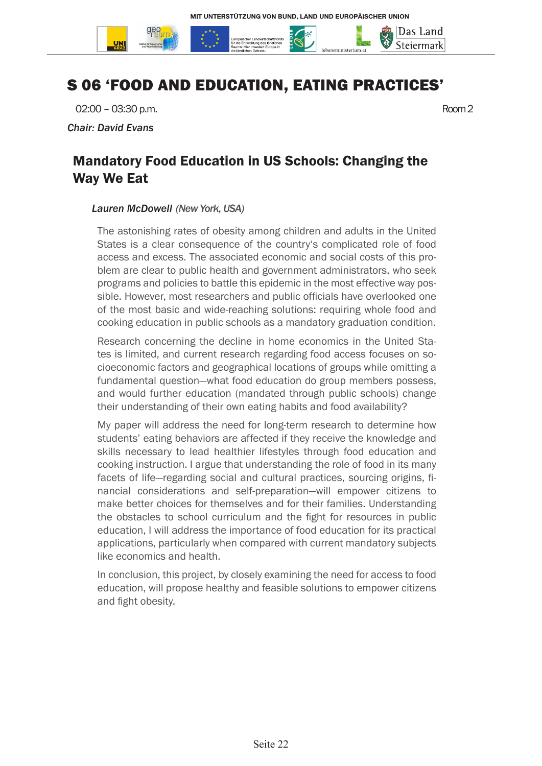

# S 06 'FOOD AND EDUCATION, EATING PRACTICES'

02:00 – 03:30 p.m. Room 2

*Chair: David Evans*

### Mandatory Food Education in US Schools: Changing the Way We Eat

#### *Lauren McDowell (New York, USA)*

The astonishing rates of obesity among children and adults in the United States is a clear consequence of the country's complicated role of food access and excess. The associated economic and social costs of this problem are clear to public health and government administrators, who seek programs and policies to battle this epidemic in the most effective way possible. However, most researchers and public officials have overlooked one of the most basic and wide-reaching solutions: requiring whole food and cooking education in public schools as a mandatory graduation condition.

Research concerning the decline in home economics in the United States is limited, and current research regarding food access focuses on socioeconomic factors and geographical locations of groups while omitting a fundamental question—what food education do group members possess, and would further education (mandated through public schools) change their understanding of their own eating habits and food availability?

My paper will address the need for long-term research to determine how students' eating behaviors are affected if they receive the knowledge and skills necessary to lead healthier lifestyles through food education and cooking instruction. I argue that understanding the role of food in its many facets of life—regarding social and cultural practices, sourcing origins, financial considerations and self-preparation—will empower citizens to make better choices for themselves and for their families. Understanding the obstacles to school curriculum and the fight for resources in public education, I will address the importance of food education for its practical applications, particularly when compared with current mandatory subjects like economics and health.

In conclusion, this project, by closely examining the need for access to food education, will propose healthy and feasible solutions to empower citizens and fight obesity.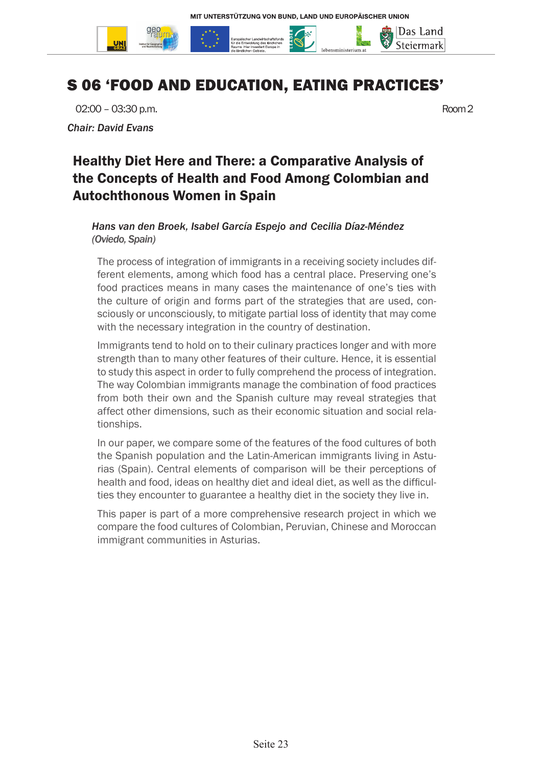

# S 06 'FOOD AND EDUCATION, EATING PRACTICES'

02:00 – 03:30 p.m. Room 2

*Chair: David Evans*

# Healthy Diet Here and There: a Comparative Analysis of the Concepts of Health and Food Among Colombian and Autochthonous Women in Spain

#### *Hans van den Broek, Isabel García Espejo and Cecilia Díaz-Méndez (Oviedo, Spain)*

The process of integration of immigrants in a receiving society includes different elements, among which food has a central place. Preserving one's food practices means in many cases the maintenance of one's ties with the culture of origin and forms part of the strategies that are used, consciously or unconsciously, to mitigate partial loss of identity that may come with the necessary integration in the country of destination.

Immigrants tend to hold on to their culinary practices longer and with more strength than to many other features of their culture. Hence, it is essential to study this aspect in order to fully comprehend the process of integration. The way Colombian immigrants manage the combination of food practices from both their own and the Spanish culture may reveal strategies that affect other dimensions, such as their economic situation and social relationships.

In our paper, we compare some of the features of the food cultures of both the Spanish population and the Latin-American immigrants living in Asturias (Spain). Central elements of comparison will be their perceptions of health and food, ideas on healthy diet and ideal diet, as well as the difficulties they encounter to guarantee a healthy diet in the society they live in.

This paper is part of a more comprehensive research project in which we compare the food cultures of Colombian, Peruvian, Chinese and Moroccan immigrant communities in Asturias.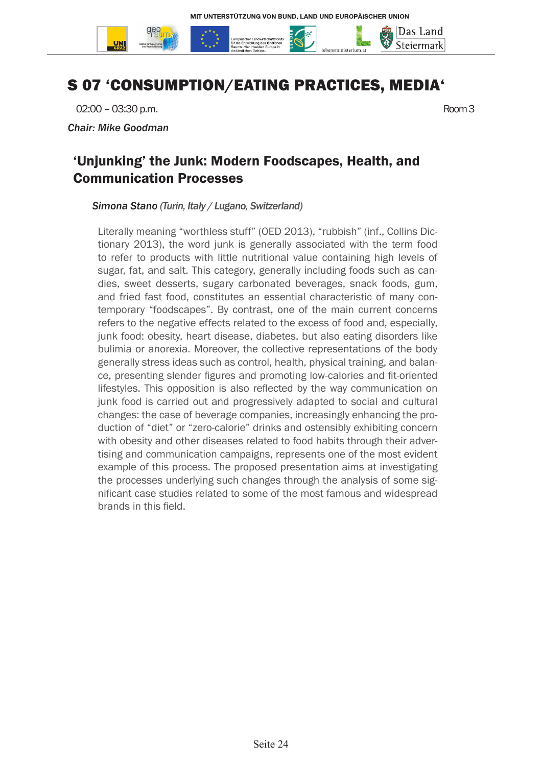

# S 07 'CONSUMPTION/EATING PRACTICES, MEDIA'

02:00 – 03:30 p.m. Room 3

*Chair: Mike Goodman*

### 'Unjunking' the Junk: Modern Foodscapes, Health, and Communication Processes

*Simona Stano (Turin, Italy / Lugano, Switzerland)* 

Literally meaning "worthless stuff" (OED 2013), "rubbish" (inf., Collins Dictionary 2013), the word junk is generally associated with the term food to refer to products with little nutritional value containing high levels of sugar, fat, and salt. This category, generally including foods such as candies, sweet desserts, sugary carbonated beverages, snack foods, gum, and fried fast food, constitutes an essential characteristic of many contemporary "foodscapes". By contrast, one of the main current concerns refers to the negative effects related to the excess of food and, especially, junk food: obesity, heart disease, diabetes, but also eating disorders like bulimia or anorexia. Moreover, the collective representations of the body generally stress ideas such as control, health, physical training, and balance, presenting slender figures and promoting low-calories and fit-oriented lifestyles. This opposition is also reflected by the way communication on junk food is carried out and progressively adapted to social and cultural changes: the case of beverage companies, increasingly enhancing the production of "diet" or "zero-calorie" drinks and ostensibly exhibiting concern with obesity and other diseases related to food habits through their advertising and communication campaigns, represents one of the most evident example of this process. The proposed presentation aims at investigating the processes underlying such changes through the analysis of some significant case studies related to some of the most famous and widespread brands in this field.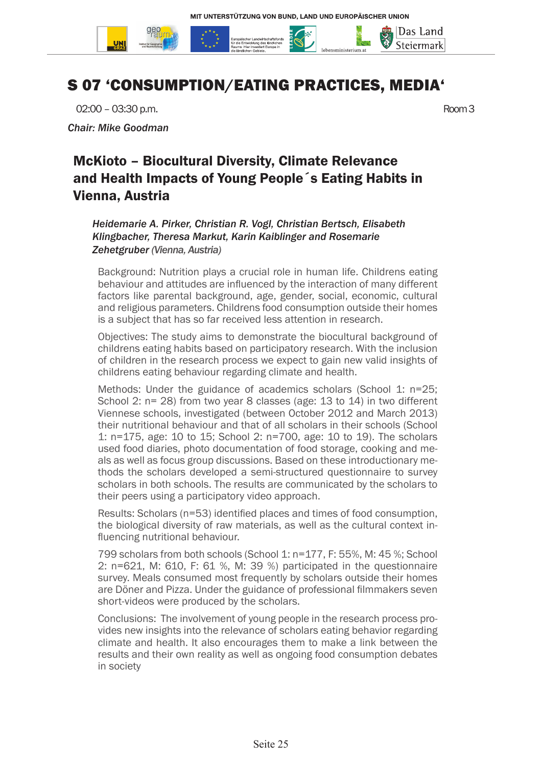

# S 07 'CONSUMPTION/EATING PRACTICES, MEDIA'

02:00 – 03:30 p.m. Room 3

*Chair: Mike Goodman*

# McKioto – Biocultural Diversity, Climate Relevance and Health Impacts of Young People´s Eating Habits in Vienna, Austria

*Heidemarie A. Pirker, Christian R. Vogl, Christian Bertsch, Elisabeth Klingbacher, Theresa Markut, Karin Kaiblinger and Rosemarie Zehetgruber (Vienna, Austria)*

Background: Nutrition plays a crucial role in human life. Childrens eating behaviour and attitudes are influenced by the interaction of many different factors like parental background, age, gender, social, economic, cultural and religious parameters. Childrens food consumption outside their homes is a subject that has so far received less attention in research.

Objectives: The study aims to demonstrate the biocultural background of childrens eating habits based on participatory research. With the inclusion of children in the research process we expect to gain new valid insights of childrens eating behaviour regarding climate and health.

Methods: Under the guidance of academics scholars (School 1: n=25; School 2: n= 28) from two year 8 classes (age: 13 to 14) in two different Viennese schools, investigated (between October 2012 and March 2013) their nutritional behaviour and that of all scholars in their schools (School 1: n=175, age: 10 to 15; School 2: n=700, age: 10 to 19). The scholars used food diaries, photo documentation of food storage, cooking and meals as well as focus group discussions. Based on these introductionary methods the scholars developed a semi-structured questionnaire to survey scholars in both schools. The results are communicated by the scholars to their peers using a participatory video approach.

Results: Scholars (n=53) identified places and times of food consumption, the biological diversity of raw materials, as well as the cultural context influencing nutritional behaviour.

799 scholars from both schools (School 1: n=177, F: 55%, M: 45 %; School 2: n=621, M: 610, F: 61 %, M: 39 %) participated in the questionnaire survey. Meals consumed most frequently by scholars outside their homes are Döner and Pizza. Under the guidance of professional filmmakers seven short-videos were produced by the scholars.

Conclusions: The involvement of young people in the research process provides new insights into the relevance of scholars eating behavior regarding climate and health. It also encourages them to make a link between the results and their own reality as well as ongoing food consumption debates in society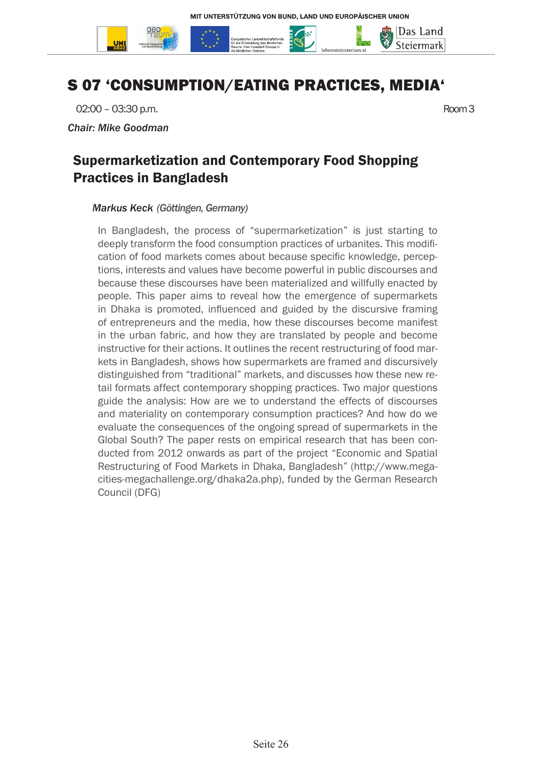

# S 07 'CONSUMPTION/EATING PRACTICES, MEDIA'

02:00 – 03:30 p.m. Room 3

*Chair: Mike Goodman*

### Supermarketization and Contemporary Food Shopping Practices in Bangladesh

#### *Markus Keck (Göttingen, Germany)*

In Bangladesh, the process of "supermarketization" is just starting to deeply transform the food consumption practices of urbanites. This modification of food markets comes about because specific knowledge, perceptions, interests and values have become powerful in public discourses and because these discourses have been materialized and willfully enacted by people. This paper aims to reveal how the emergence of supermarkets in Dhaka is promoted, influenced and guided by the discursive framing of entrepreneurs and the media, how these discourses become manifest in the urban fabric, and how they are translated by people and become instructive for their actions. It outlines the recent restructuring of food markets in Bangladesh, shows how supermarkets are framed and discursively distinguished from "traditional" markets, and discusses how these new retail formats affect contemporary shopping practices. Two major questions guide the analysis: How are we to understand the effects of discourses and materiality on contemporary consumption practices? And how do we evaluate the consequences of the ongoing spread of supermarkets in the Global South? The paper rests on empirical research that has been conducted from 2012 onwards as part of the project "Economic and Spatial Restructuring of Food Markets in Dhaka, Bangladesh" (http://www.megacities-megachallenge.org/dhaka2a.php), funded by the German Research Council (DFG)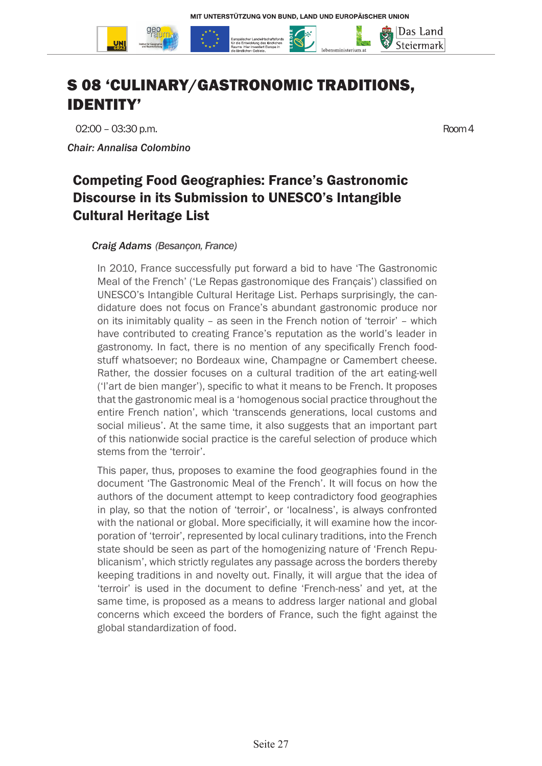

# S 08 'CULINARY/GASTRONOMIC TRADITIONS, IDENTITY'

02:00 – 03:30 p.m. Room 4

*Chair: Annalisa Colombino*

# Competing Food Geographies: France's Gastronomic Discourse in its Submission to UNESCO's Intangible Cultural Heritage List

#### *Craig Adams (Besançon, France)*

In 2010, France successfully put forward a bid to have 'The Gastronomic Meal of the French' ('Le Repas gastronomique des Français') classified on UNESCO's Intangible Cultural Heritage List. Perhaps surprisingly, the candidature does not focus on France's abundant gastronomic produce nor on its inimitably quality – as seen in the French notion of 'terroir' – which have contributed to creating France's reputation as the world's leader in gastronomy. In fact, there is no mention of any specifically French foodstuff whatsoever; no Bordeaux wine, Champagne or Camembert cheese. Rather, the dossier focuses on a cultural tradition of the art eating-well ('l'art de bien manger'), specific to what it means to be French. It proposes that the gastronomic meal is a 'homogenous social practice throughout the entire French nation', which 'transcends generations, local customs and social milieus'. At the same time, it also suggests that an important part of this nationwide social practice is the careful selection of produce which stems from the 'terroir'.

This paper, thus, proposes to examine the food geographies found in the document 'The Gastronomic Meal of the French'. It will focus on how the authors of the document attempt to keep contradictory food geographies in play, so that the notion of 'terroir', or 'localness', is always confronted with the national or global. More specificially, it will examine how the incorporation of 'terroir', represented by local culinary traditions, into the French state should be seen as part of the homogenizing nature of 'French Republicanism', which strictly regulates any passage across the borders thereby keeping traditions in and novelty out. Finally, it will argue that the idea of 'terroir' is used in the document to define 'French-ness' and yet, at the same time, is proposed as a means to address larger national and global concerns which exceed the borders of France, such the fight against the global standardization of food.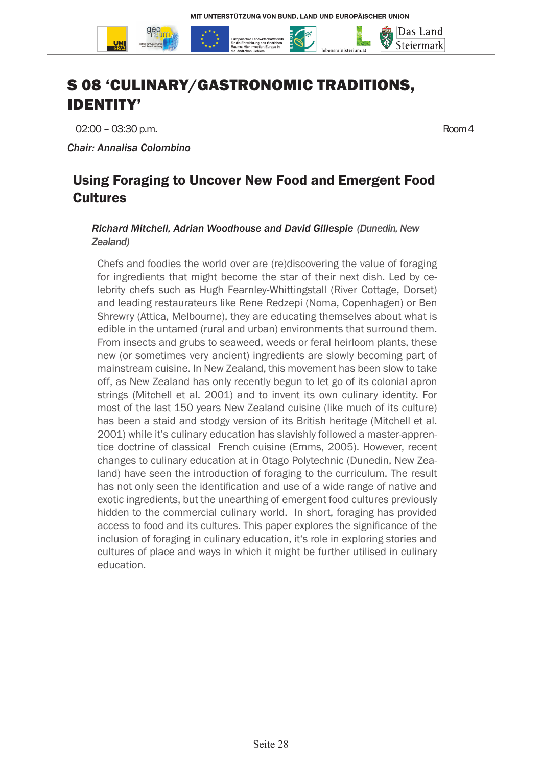

# S 08 'CULINARY/GASTRONOMIC TRADITIONS, IDENTITY'

02:00 – 03:30 p.m. Room 4

*Chair: Annalisa Colombino*

### Using Foraging to Uncover New Food and Emergent Food **Cultures**

#### *Richard Mitchell, Adrian Woodhouse and David Gillespie (Dunedin, New Zealand)*

Chefs and foodies the world over are (re)discovering the value of foraging for ingredients that might become the star of their next dish. Led by celebrity chefs such as Hugh Fearnley-Whittingstall (River Cottage, Dorset) and leading restaurateurs like Rene Redzepi (Noma, Copenhagen) or Ben Shrewry (Attica, Melbourne), they are educating themselves about what is edible in the untamed (rural and urban) environments that surround them. From insects and grubs to seaweed, weeds or feral heirloom plants, these new (or sometimes very ancient) ingredients are slowly becoming part of mainstream cuisine. In New Zealand, this movement has been slow to take off, as New Zealand has only recently begun to let go of its colonial apron strings (Mitchell et al. 2001) and to invent its own culinary identity. For most of the last 150 years New Zealand cuisine (like much of its culture) has been a staid and stodgy version of its British heritage (Mitchell et al. 2001) while it's culinary education has slavishly followed a master-apprentice doctrine of classical French cuisine (Emms, 2005). However, recent changes to culinary education at in Otago Polytechnic (Dunedin, New Zealand) have seen the introduction of foraging to the curriculum. The result has not only seen the identification and use of a wide range of native and exotic ingredients, but the unearthing of emergent food cultures previously hidden to the commercial culinary world. In short, foraging has provided access to food and its cultures. This paper explores the significance of the inclusion of foraging in culinary education, it's role in exploring stories and cultures of place and ways in which it might be further utilised in culinary education.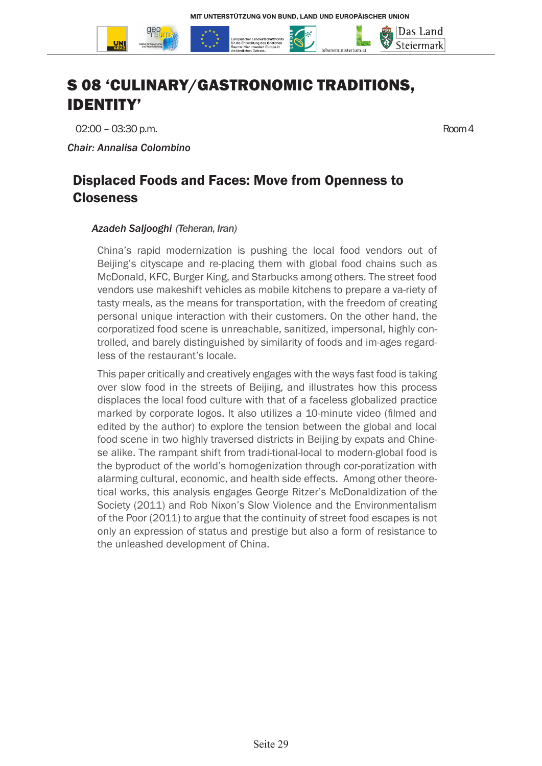

# S 08 'CULINARY/GASTRONOMIC TRADITIONS, IDENTITY'

02:00 – 03:30 p.m. Room 4

*Chair: Annalisa Colombino*

### Displaced Foods and Faces: Move from Openness to **Closeness**

#### *Azadeh Saljooghi (Teheran, Iran)*

China's rapid modernization is pushing the local food vendors out of Beijing's cityscape and re-placing them with global food chains such as McDonald, KFC, Burger King, and Starbucks among others. The street food vendors use makeshift vehicles as mobile kitchens to prepare a va-riety of tasty meals, as the means for transportation, with the freedom of creating personal unique interaction with their customers. On the other hand, the corporatized food scene is unreachable, sanitized, impersonal, highly controlled, and barely distinguished by similarity of foods and im-ages regardless of the restaurant's locale.

This paper critically and creatively engages with the ways fast food is taking over slow food in the streets of Beijing, and illustrates how this process displaces the local food culture with that of a faceless globalized practice marked by corporate logos. It also utilizes a 10-minute video (filmed and edited by the author) to explore the tension between the global and local food scene in two highly traversed districts in Beijing by expats and Chinese alike. The rampant shift from tradi-tional-local to modern-global food is the byproduct of the world's homogenization through cor-poratization with alarming cultural, economic, and health side effects. Among other theoretical works, this analysis engages George Ritzer's McDonaldization of the Society (2011) and Rob Nixon's Slow Violence and the Environmentalism of the Poor (2011) to argue that the continuity of street food escapes is not only an expression of status and prestige but also a form of resistance to the unleashed development of China.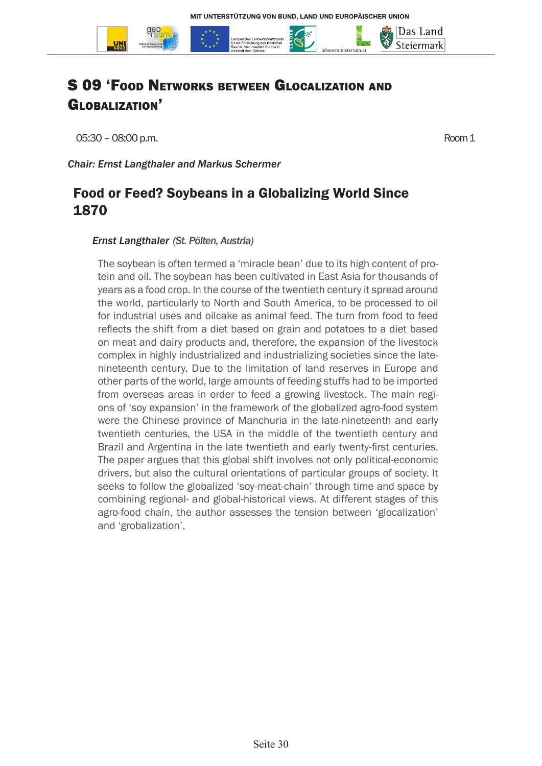

# S 09 'Food Networks between Glocalization and GLOBALIZATION'

05:30 – 08:00 p.m. Room 1

*Chair: Ernst Langthaler and Markus Schermer*

### Food or Feed? Soybeans in a Globalizing World Since 1870

#### *Ernst Langthaler (St. Pölten, Austria)*

The soybean is often termed a 'miracle bean' due to its high content of protein and oil. The soybean has been cultivated in East Asia for thousands of years as a food crop. In the course of the twentieth century it spread around the world, particularly to North and South America, to be processed to oil for industrial uses and oilcake as animal feed. The turn from food to feed reflects the shift from a diet based on grain and potatoes to a diet based on meat and dairy products and, therefore, the expansion of the livestock complex in highly industrialized and industrializing societies since the latenineteenth century. Due to the limitation of land reserves in Europe and other parts of the world, large amounts of feeding stuffs had to be imported from overseas areas in order to feed a growing livestock. The main regions of 'soy expansion' in the framework of the globalized agro-food system were the Chinese province of Manchuria in the late-nineteenth and early twentieth centuries, the USA in the middle of the twentieth century and Brazil and Argentina in the late twentieth and early twenty-first centuries. The paper argues that this global shift involves not only political-economic drivers, but also the cultural orientations of particular groups of society. It seeks to follow the globalized 'soy-meat-chain' through time and space by combining regional- and global-historical views. At different stages of this agro-food chain, the author assesses the tension between 'glocalization' and 'grobalization'.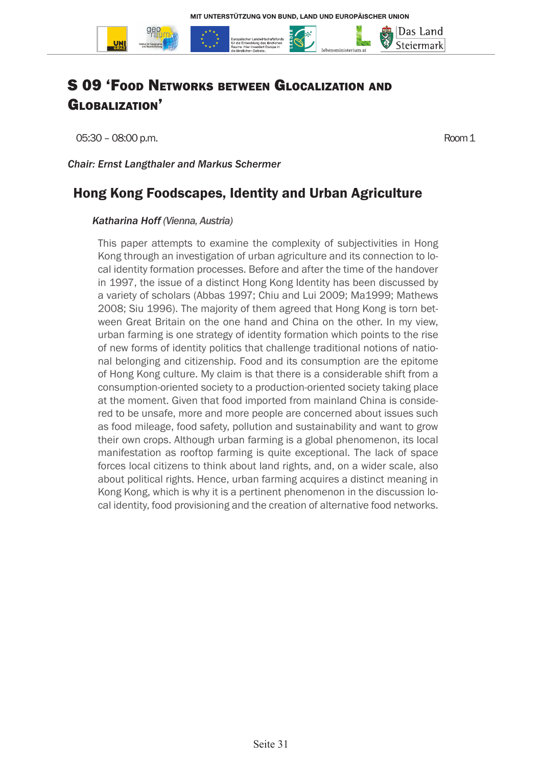

# S 09 'Food Networks between Glocalization and GLOBALIZATION'

05:30 – 08:00 p.m. Room 1

*Chair: Ernst Langthaler and Markus Schermer*

### Hong Kong Foodscapes, Identity and Urban Agriculture

#### *Katharina Hoff (Vienna, Austria)*

This paper attempts to examine the complexity of subjectivities in Hong Kong through an investigation of urban agriculture and its connection to local identity formation processes. Before and after the time of the handover in 1997, the issue of a distinct Hong Kong Identity has been discussed by a variety of scholars (Abbas 1997; Chiu and Lui 2009; Ma1999; Mathews 2008; Siu 1996). The majority of them agreed that Hong Kong is torn between Great Britain on the one hand and China on the other. In my view, urban farming is one strategy of identity formation which points to the rise of new forms of identity politics that challenge traditional notions of national belonging and citizenship. Food and its consumption are the epitome of Hong Kong culture. My claim is that there is a considerable shift from a consumption-oriented society to a production-oriented society taking place at the moment. Given that food imported from mainland China is considered to be unsafe, more and more people are concerned about issues such as food mileage, food safety, pollution and sustainability and want to grow their own crops. Although urban farming is a global phenomenon, its local manifestation as rooftop farming is quite exceptional. The lack of space forces local citizens to think about land rights, and, on a wider scale, also about political rights. Hence, urban farming acquires a distinct meaning in Kong Kong, which is why it is a pertinent phenomenon in the discussion local identity, food provisioning and the creation of alternative food networks.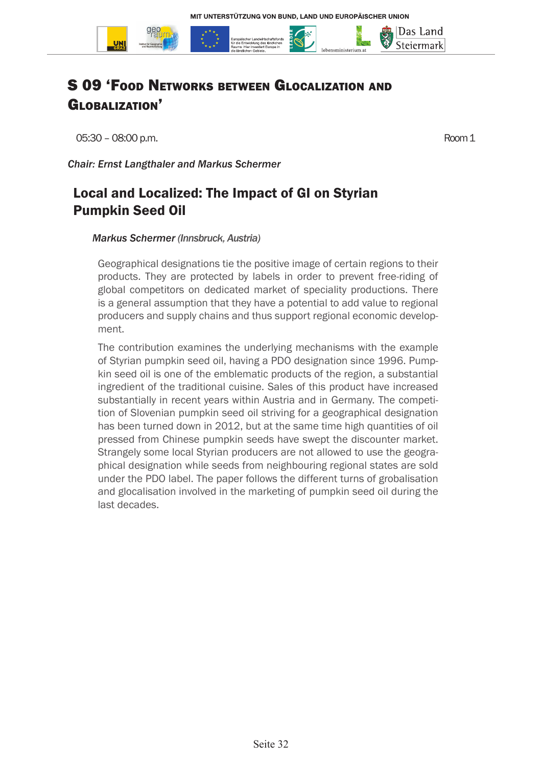

# S 09 'Food Networks between Glocalization and GLOBALIZATION'

05:30 – 08:00 p.m. Room 1

*Chair: Ernst Langthaler and Markus Schermer*

# Local and Localized: The Impact of GI on Styrian Pumpkin Seed Oil

#### *Markus Schermer (Innsbruck, Austria)*

Geographical designations tie the positive image of certain regions to their products. They are protected by labels in order to prevent free-riding of global competitors on dedicated market of speciality productions. There is a general assumption that they have a potential to add value to regional producers and supply chains and thus support regional economic development.

The contribution examines the underlying mechanisms with the example of Styrian pumpkin seed oil, having a PDO designation since 1996. Pumpkin seed oil is one of the emblematic products of the region, a substantial ingredient of the traditional cuisine. Sales of this product have increased substantially in recent years within Austria and in Germany. The competition of Slovenian pumpkin seed oil striving for a geographical designation has been turned down in 2012, but at the same time high quantities of oil pressed from Chinese pumpkin seeds have swept the discounter market. Strangely some local Styrian producers are not allowed to use the geographical designation while seeds from neighbouring regional states are sold under the PDO label. The paper follows the different turns of grobalisation and glocalisation involved in the marketing of pumpkin seed oil during the last decades.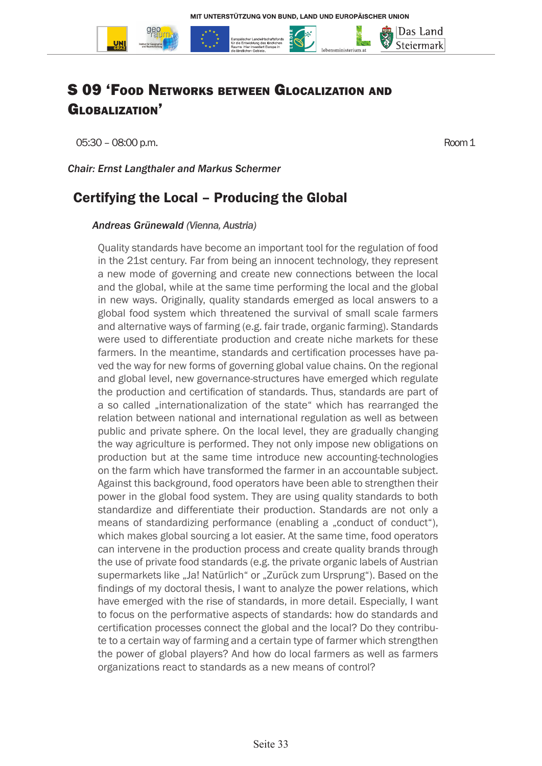

# S 09 'Food Networks between Glocalization and GLOBALIZATION<sup>7</sup>

05:30 – 08:00 p.m. Room 1

Das Land Steiermark

*Chair: Ernst Langthaler and Markus Schermer*

### Certifying the Local – Producing the Global

#### *Andreas Grünewald (Vienna, Austria)*

Quality standards have become an important tool for the regulation of food in the 21st century. Far from being an innocent technology, they represent a new mode of governing and create new connections between the local and the global, while at the same time performing the local and the global in new ways. Originally, quality standards emerged as local answers to a global food system which threatened the survival of small scale farmers and alternative ways of farming (e.g. fair trade, organic farming). Standards were used to differentiate production and create niche markets for these farmers. In the meantime, standards and certification processes have paved the way for new forms of governing global value chains. On the regional and global level, new governance-structures have emerged which regulate the production and certification of standards. Thus, standards are part of a so called "internationalization of the state" which has rearranged the relation between national and international regulation as well as between public and private sphere. On the local level, they are gradually changing the way agriculture is performed. They not only impose new obligations on production but at the same time introduce new accounting-technologies on the farm which have transformed the farmer in an accountable subject. Against this background, food operators have been able to strengthen their power in the global food system. They are using quality standards to both standardize and differentiate their production. Standards are not only a means of standardizing performance (enabling a ..conduct of conduct"), which makes global sourcing a lot easier. At the same time, food operators can intervene in the production process and create quality brands through the use of private food standards (e.g. the private organic labels of Austrian supermarkets like "Ja! Natürlich" or "Zurück zum Ursprung"). Based on the findings of my doctoral thesis, I want to analyze the power relations, which have emerged with the rise of standards, in more detail. Especially, I want to focus on the performative aspects of standards: how do standards and certification processes connect the global and the local? Do they contribute to a certain way of farming and a certain type of farmer which strengthen the power of global players? And how do local farmers as well as farmers organizations react to standards as a new means of control?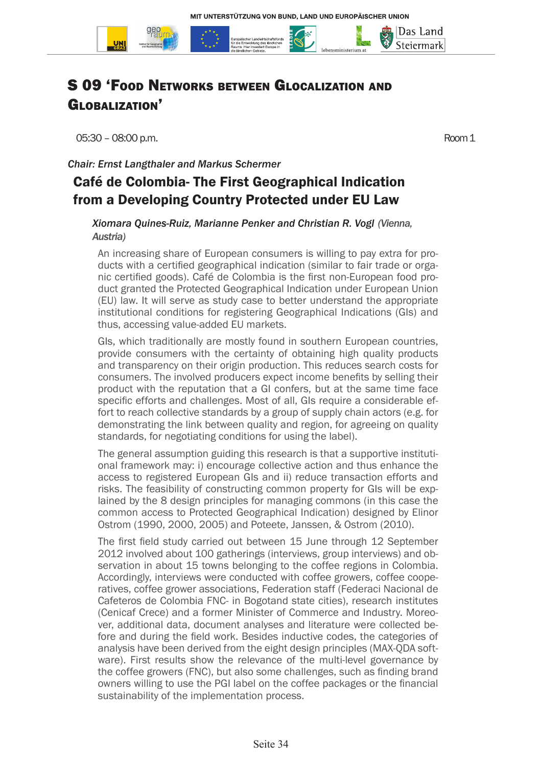

Globalization'

05:30 – 08:00 p.m. Room 1

Das Land Steiermark

*Chair: Ernst Langthaler and Markus Schermer*

### Café de Colombia- The First Geographical Indication from a Developing Country Protected under EU Law

*Xiomara Quines-Ruiz, Marianne Penker and Christian R. Vogl (Vienna, Austria)*

An increasing share of European consumers is willing to pay extra for products with a certified geographical indication (similar to fair trade or organic certified goods). Café de Colombia is the first non-European food product granted the Protected Geographical Indication under European Union (EU) law. It will serve as study case to better understand the appropriate institutional conditions for registering Geographical Indications (GIs) and thus, accessing value-added EU markets.

GIs, which traditionally are mostly found in southern European countries, provide consumers with the certainty of obtaining high quality products and transparency on their origin production. This reduces search costs for consumers. The involved producers expect income benefits by selling their product with the reputation that a GI confers, but at the same time face specific efforts and challenges. Most of all, GIs require a considerable effort to reach collective standards by a group of supply chain actors (e.g. for demonstrating the link between quality and region, for agreeing on quality standards, for negotiating conditions for using the label).

The general assumption guiding this research is that a supportive institutional framework may: i) encourage collective action and thus enhance the access to registered European GIs and ii) reduce transaction efforts and risks. The feasibility of constructing common property for GIs will be explained by the 8 design principles for managing commons (in this case the common access to Protected Geographical Indication) designed by Elinor Ostrom (1990, 2000, 2005) and Poteete, Janssen, & Ostrom (2010).

The first field study carried out between 15 June through 12 September 2012 involved about 100 gatherings (interviews, group interviews) and observation in about 15 towns belonging to the coffee regions in Colombia. Accordingly, interviews were conducted with coffee growers, coffee cooperatives, coffee grower associations, Federation staff (Federaci Nacional de Cafeteros de Colombia FNC- in Bogotand state cities), research institutes (Cenicaf Crece) and a former Minister of Commerce and Industry. Moreover, additional data, document analyses and literature were collected before and during the field work. Besides inductive codes, the categories of analysis have been derived from the eight design principles (MAX-QDA software). First results show the relevance of the multi-level governance by the coffee growers (FNC), but also some challenges, such as finding brand owners willing to use the PGI label on the coffee packages or the financial sustainability of the implementation process.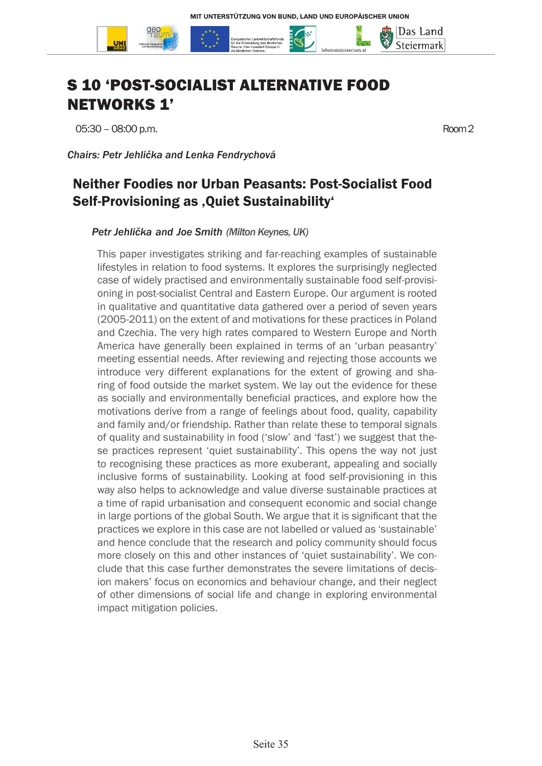

# S 10 'POST-SOCIALIST ALTERNATIVE FOOD NETWORKS 1'

05:30 – 08:00 p.m. Room 2

*Chairs: Petr Jehlička and Lenka Fendrychová*

### Neither Foodies nor Urban Peasants: Post-Socialist Food Self-Provisioning as , Quiet Sustainability'

*Petr Jehlička and Joe Smith (Milton Keynes, UK)*

This paper investigates striking and far-reaching examples of sustainable lifestyles in relation to food systems. It explores the surprisingly neglected case of widely practised and environmentally sustainable food self-provisioning in post-socialist Central and Eastern Europe. Our argument is rooted in qualitative and quantitative data gathered over a period of seven years (2005-2011) on the extent of and motivations for these practices in Poland and Czechia. The very high rates compared to Western Europe and North America have generally been explained in terms of an 'urban peasantry' meeting essential needs. After reviewing and rejecting those accounts we introduce very different explanations for the extent of growing and sharing of food outside the market system. We lay out the evidence for these as socially and environmentally beneficial practices, and explore how the motivations derive from a range of feelings about food, quality, capability and family and/or friendship. Rather than relate these to temporal signals of quality and sustainability in food ('slow' and 'fast') we suggest that these practices represent 'quiet sustainability'. This opens the way not just to recognising these practices as more exuberant, appealing and socially inclusive forms of sustainability. Looking at food self-provisioning in this way also helps to acknowledge and value diverse sustainable practices at a time of rapid urbanisation and consequent economic and social change in large portions of the global South. We argue that it is significant that the practices we explore in this case are not labelled or valued as 'sustainable' and hence conclude that the research and policy community should focus more closely on this and other instances of 'quiet sustainability'. We conclude that this case further demonstrates the severe limitations of decision makers' focus on economics and behaviour change, and their neglect of other dimensions of social life and change in exploring environmental impact mitigation policies.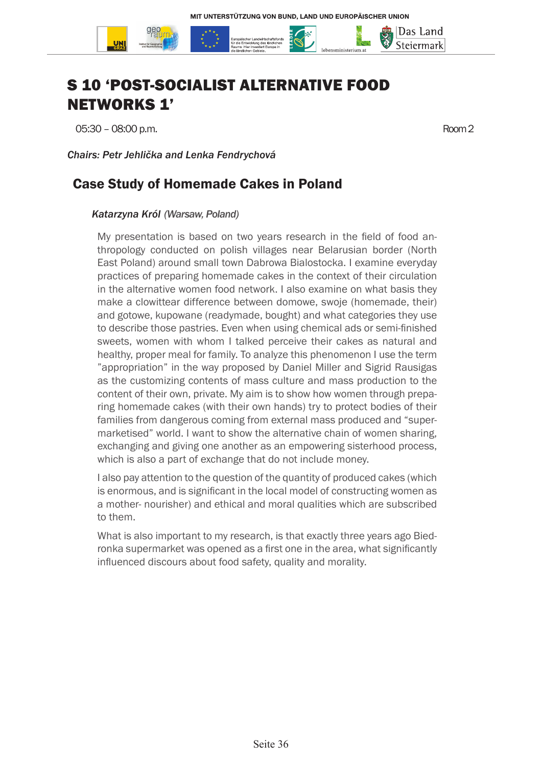

# S 10 'POST-SOCIALIST ALTERNATIVE FOOD NETWORKS 1'

05:30 – 08:00 p.m. Room 2

*Chairs: Petr Jehlička and Lenka Fendrychová*

### Case Study of Homemade Cakes in Poland

#### *Katarzyna Król (Warsaw, Poland)*

My presentation is based on two years research in the field of food anthropology conducted on polish villages near Belarusian border (North East Poland) around small town Dabrowa Bialostocka. I examine everyday practices of preparing homemade cakes in the context of their circulation in the alternative women food network. I also examine on what basis they make a clowittear difference between domowe, swoje (homemade, their) and gotowe, kupowane (readymade, bought) and what categories they use to describe those pastries. Even when using chemical ads or semi-finished sweets, women with whom I talked perceive their cakes as natural and healthy, proper meal for family. To analyze this phenomenon I use the term "appropriation" in the way proposed by Daniel Miller and Sigrid Rausigas as the customizing contents of mass culture and mass production to the content of their own, private. My aim is to show how women through preparing homemade cakes (with their own hands) try to protect bodies of their families from dangerous coming from external mass produced and "supermarketised" world. I want to show the alternative chain of women sharing, exchanging and giving one another as an empowering sisterhood process, which is also a part of exchange that do not include money.

I also pay attention to the question of the quantity of produced cakes (which is enormous, and is significant in the local model of constructing women as a mother- nourisher) and ethical and moral qualities which are subscribed to them.

What is also important to my research, is that exactly three years ago Biedronka supermarket was opened as a first one in the area, what significantly influenced discours about food safety, quality and morality.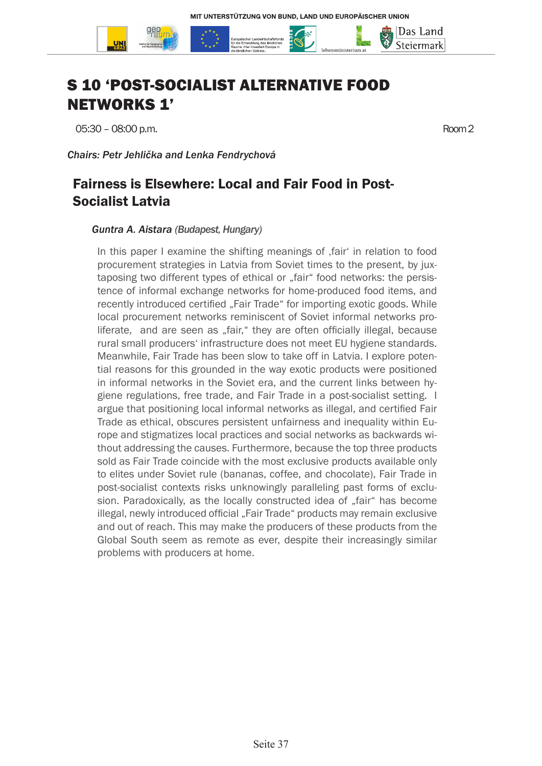

# S 10 'POST-SOCIALIST ALTERNATIVE FOOD NETWORKS 1'

05:30 – 08:00 p.m. Room 2

*Chairs: Petr Jehlička and Lenka Fendrychová*

## Fairness is Elsewhere: Local and Fair Food in Post-Socialist Latvia

#### *Guntra A. Aistara (Budapest, Hungary)*

In this paper I examine the shifting meanings of fair in relation to food procurement strategies in Latvia from Soviet times to the present, by juxtaposing two different types of ethical or "fair" food networks: the persistence of informal exchange networks for home-produced food items, and recently introduced certified "Fair Trade" for importing exotic goods. While local procurement networks reminiscent of Soviet informal networks proliferate, and are seen as "fair," they are often officially illegal, because rural small producers' infrastructure does not meet EU hygiene standards. Meanwhile, Fair Trade has been slow to take off in Latvia. I explore potential reasons for this grounded in the way exotic products were positioned in informal networks in the Soviet era, and the current links between hygiene regulations, free trade, and Fair Trade in a post-socialist setting. I argue that positioning local informal networks as illegal, and certified Fair Trade as ethical, obscures persistent unfairness and inequality within Europe and stigmatizes local practices and social networks as backwards without addressing the causes. Furthermore, because the top three products sold as Fair Trade coincide with the most exclusive products available only to elites under Soviet rule (bananas, coffee, and chocolate), Fair Trade in post-socialist contexts risks unknowingly paralleling past forms of exclusion. Paradoxically, as the locally constructed idea of "fair" has become illegal, newly introduced official "Fair Trade" products may remain exclusive and out of reach. This may make the producers of these products from the Global South seem as remote as ever, despite their increasingly similar problems with producers at home.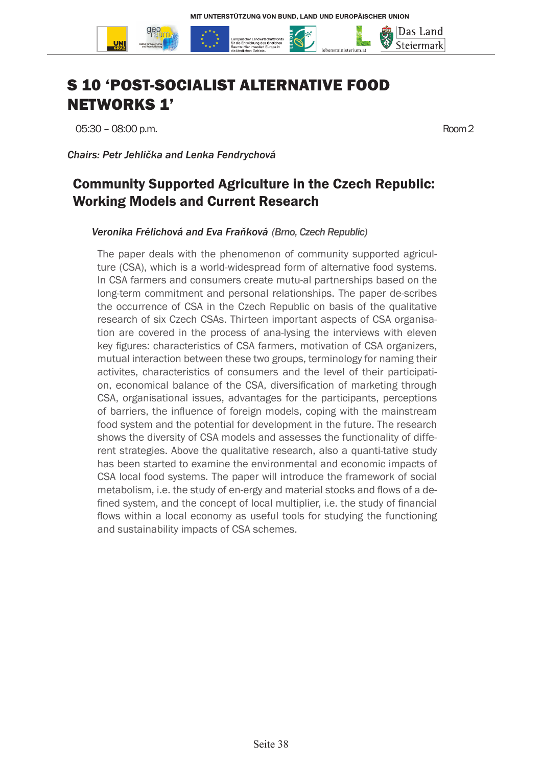

# S 10 'POST-SOCIALIST ALTERNATIVE FOOD NETWORKS 1'

05:30 – 08:00 p.m. Room 2

*Chairs: Petr Jehlička and Lenka Fendrychová*

### Community Supported Agriculture in the Czech Republic: Working Models and Current Research

#### *Veronika Frélichová and Eva Fraňková (Brno, Czech Republic)*

The paper deals with the phenomenon of community supported agriculture (CSA), which is a world-widespread form of alternative food systems. In CSA farmers and consumers create mutu-al partnerships based on the long-term commitment and personal relationships. The paper de-scribes the occurrence of CSA in the Czech Republic on basis of the qualitative research of six Czech CSAs. Thirteen important aspects of CSA organisation are covered in the process of ana-lysing the interviews with eleven key figures: characteristics of CSA farmers, motivation of CSA organizers, mutual interaction between these two groups, terminology for naming their activites, characteristics of consumers and the level of their participation, economical balance of the CSA, diversification of marketing through CSA, organisational issues, advantages for the participants, perceptions of barriers, the influence of foreign models, coping with the mainstream food system and the potential for development in the future. The research shows the diversity of CSA models and assesses the functionality of different strategies. Above the qualitative research, also a quanti-tative study has been started to examine the environmental and economic impacts of CSA local food systems. The paper will introduce the framework of social metabolism, i.e. the study of en-ergy and material stocks and flows of a defined system, and the concept of local multiplier, i.e. the study of financial flows within a local economy as useful tools for studying the functioning and sustainability impacts of CSA schemes.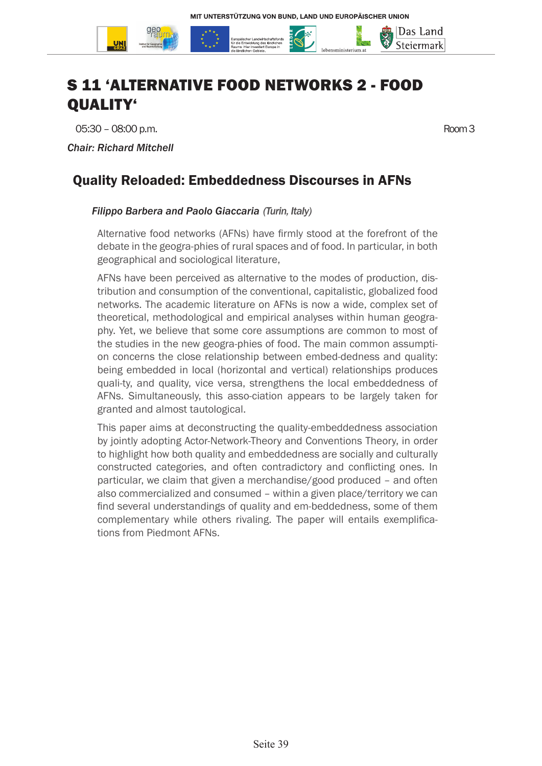

05:30 – 08:00 p.m. Room 3

*Chair: Richard Mitchell*

## Quality Reloaded: Embeddedness Discourses in AFNs

#### *Filippo Barbera and Paolo Giaccaria (Turin, Italy)*

Alternative food networks (AFNs) have firmly stood at the forefront of the debate in the geogra-phies of rural spaces and of food. In particular, in both geographical and sociological literature,

AFNs have been perceived as alternative to the modes of production, distribution and consumption of the conventional, capitalistic, globalized food networks. The academic literature on AFNs is now a wide, complex set of theoretical, methodological and empirical analyses within human geography. Yet, we believe that some core assumptions are common to most of the studies in the new geogra-phies of food. The main common assumption concerns the close relationship between embed-dedness and quality: being embedded in local (horizontal and vertical) relationships produces quali-ty, and quality, vice versa, strengthens the local embeddedness of AFNs. Simultaneously, this asso-ciation appears to be largely taken for granted and almost tautological.

This paper aims at deconstructing the quality-embeddedness association by jointly adopting Actor-Network-Theory and Conventions Theory, in order to highlight how both quality and embeddedness are socially and culturally constructed categories, and often contradictory and conflicting ones. In particular, we claim that given a merchandise/good produced – and often also commercialized and consumed – within a given place/territory we can find several understandings of quality and em-beddedness, some of them complementary while others rivaling. The paper will entails exemplifications from Piedmont AFNs.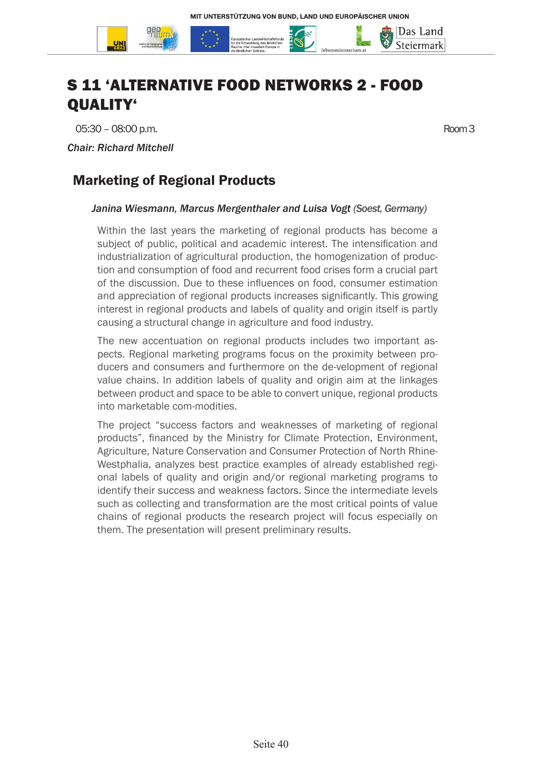

05:30 – 08:00 p.m. Room 3

*Chair: Richard Mitchell*

## Marketing of Regional Products

#### *Janina Wiesmann, Marcus Mergenthaler and Luisa Vogt (Soest, Germany)*

Within the last years the marketing of regional products has become a subject of public, political and academic interest. The intensification and industrialization of agricultural production, the homogenization of production and consumption of food and recurrent food crises form a crucial part of the discussion. Due to these influences on food, consumer estimation and appreciation of regional products increases significantly. This growing interest in regional products and labels of quality and origin itself is partly causing a structural change in agriculture and food industry.

The new accentuation on regional products includes two important aspects. Regional marketing programs focus on the proximity between producers and consumers and furthermore on the de-velopment of regional value chains. In addition labels of quality and origin aim at the linkages between product and space to be able to convert unique, regional products into marketable com-modities.

The project "success factors and weaknesses of marketing of regional products", financed by the Ministry for Climate Protection, Environment, Agriculture, Nature Conservation and Consumer Protection of North Rhine-Westphalia, analyzes best practice examples of already established regional labels of quality and origin and/or regional marketing programs to identify their success and weakness factors. Since the intermediate levels such as collecting and transformation are the most critical points of value chains of regional products the research project will focus especially on them. The presentation will present preliminary results.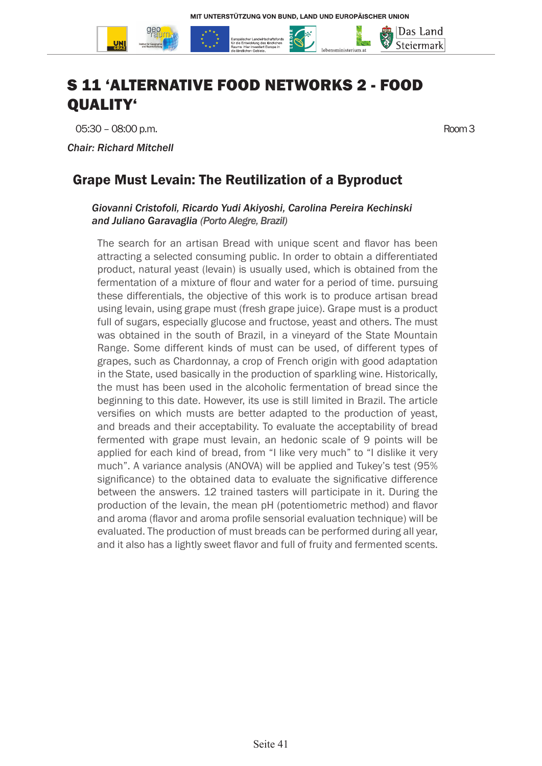

05:30 – 08:00 p.m. Room 3

*Chair: Richard Mitchell*

## Grape Must Levain: The Reutilization of a Byproduct

#### *Giovanni Cristofoli, Ricardo Yudi Akiyoshi, Carolina Pereira Kechinski and Juliano Garavaglia (Porto Alegre, Brazil)*

The search for an artisan Bread with unique scent and flavor has been attracting a selected consuming public. In order to obtain a differentiated product, natural yeast (levain) is usually used, which is obtained from the fermentation of a mixture of flour and water for a period of time. pursuing these differentials, the objective of this work is to produce artisan bread using levain, using grape must (fresh grape juice). Grape must is a product full of sugars, especially glucose and fructose, yeast and others. The must was obtained in the south of Brazil, in a vineyard of the State Mountain Range. Some different kinds of must can be used, of different types of grapes, such as Chardonnay, a crop of French origin with good adaptation in the State, used basically in the production of sparkling wine. Historically, the must has been used in the alcoholic fermentation of bread since the beginning to this date. However, its use is still limited in Brazil. The article versifies on which musts are better adapted to the production of yeast, and breads and their acceptability. To evaluate the acceptability of bread fermented with grape must levain, an hedonic scale of 9 points will be applied for each kind of bread, from "I like very much" to "I dislike it very much". A variance analysis (ANOVA) will be applied and Tukey's test (95% significance) to the obtained data to evaluate the significative difference between the answers. 12 trained tasters will participate in it. During the production of the levain, the mean pH (potentiometric method) and flavor and aroma (flavor and aroma profile sensorial evaluation technique) will be evaluated. The production of must breads can be performed during all year, and it also has a lightly sweet flavor and full of fruity and fermented scents.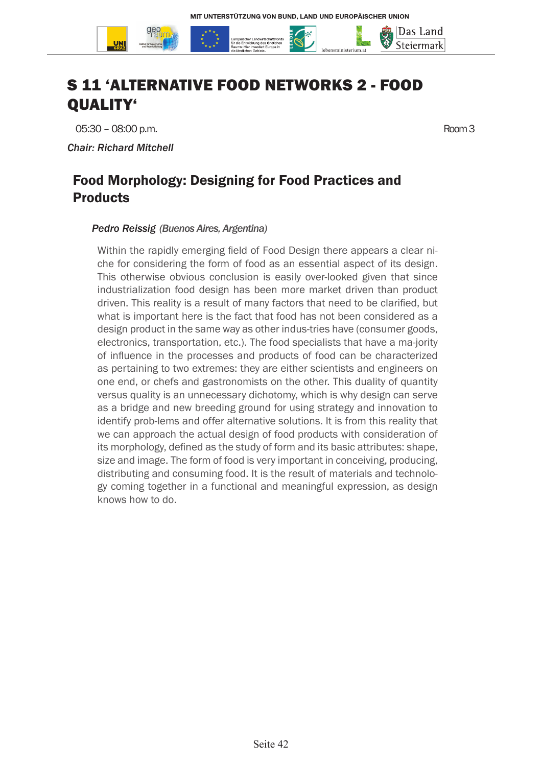

05:30 – 08:00 p.m. Room 3

*Chair: Richard Mitchell*

### Food Morphology: Designing for Food Practices and Products

#### *Pedro Reissig (Buenos Aires, Argentina)*

Within the rapidly emerging field of Food Design there appears a clear niche for considering the form of food as an essential aspect of its design. This otherwise obvious conclusion is easily over-looked given that since industrialization food design has been more market driven than product driven. This reality is a result of many factors that need to be clarified, but what is important here is the fact that food has not been considered as a design product in the same way as other indus-tries have (consumer goods, electronics, transportation, etc.). The food specialists that have a ma-jority of influence in the processes and products of food can be characterized as pertaining to two extremes: they are either scientists and engineers on one end, or chefs and gastronomists on the other. This duality of quantity versus quality is an unnecessary dichotomy, which is why design can serve as a bridge and new breeding ground for using strategy and innovation to identify prob-lems and offer alternative solutions. It is from this reality that we can approach the actual design of food products with consideration of its morphology, defined as the study of form and its basic attributes: shape, size and image. The form of food is very important in conceiving, producing, distributing and consuming food. It is the result of materials and technology coming together in a functional and meaningful expression, as design knows how to do.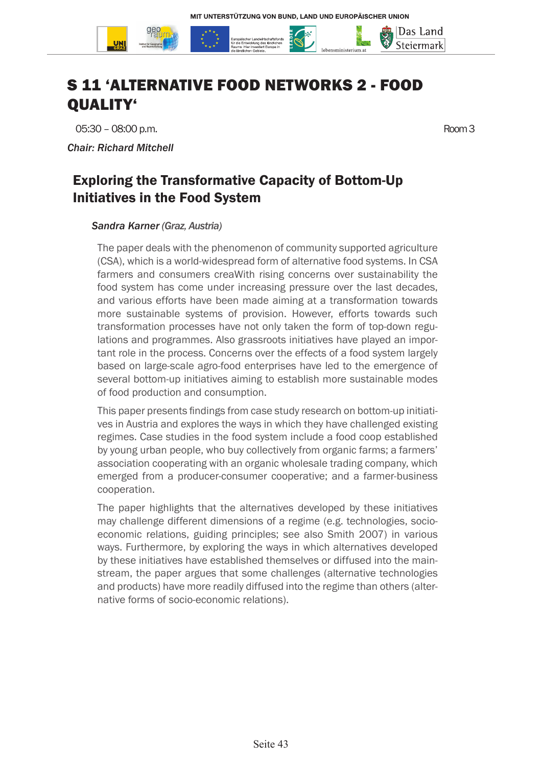

05:30 – 08:00 p.m. Room 3

*Chair: Richard Mitchell*

## Exploring the Transformative Capacity of Bottom-Up Initiatives in the Food System

#### *Sandra Karner (Graz, Austria)*

The paper deals with the phenomenon of community supported agriculture (CSA), which is a world-widespread form of alternative food systems. In CSA farmers and consumers creaWith rising concerns over sustainability the food system has come under increasing pressure over the last decades, and various efforts have been made aiming at a transformation towards more sustainable systems of provision. However, efforts towards such transformation processes have not only taken the form of top-down regulations and programmes. Also grassroots initiatives have played an important role in the process. Concerns over the effects of a food system largely based on large-scale agro-food enterprises have led to the emergence of several bottom-up initiatives aiming to establish more sustainable modes of food production and consumption.

This paper presents findings from case study research on bottom-up initiatives in Austria and explores the ways in which they have challenged existing regimes. Case studies in the food system include a food coop established by young urban people, who buy collectively from organic farms; a farmers' association cooperating with an organic wholesale trading company, which emerged from a producer-consumer cooperative; and a farmer-business cooperation.

The paper highlights that the alternatives developed by these initiatives may challenge different dimensions of a regime (e.g. technologies, socioeconomic relations, guiding principles; see also Smith 2007) in various ways. Furthermore, by exploring the ways in which alternatives developed by these initiatives have established themselves or diffused into the mainstream, the paper argues that some challenges (alternative technologies and products) have more readily diffused into the regime than others (alternative forms of socio-economic relations).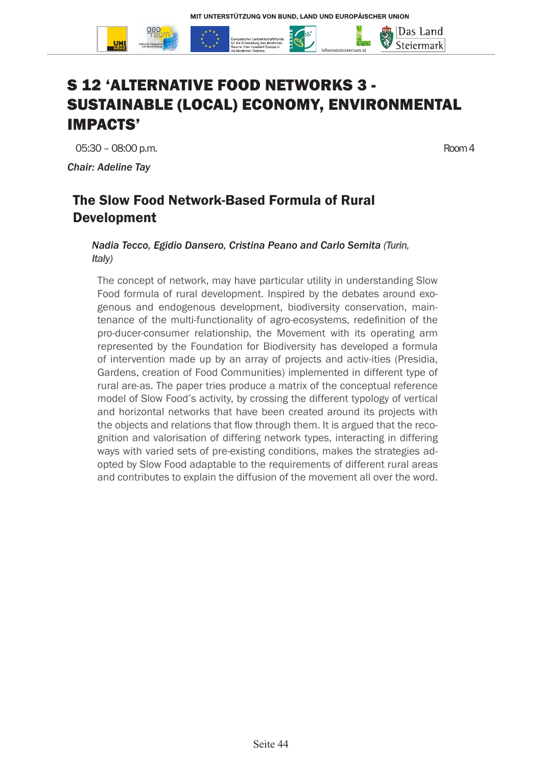

*Chair: Adeline Tay*

## The Slow Food Network-Based Formula of Rural Development

*Nadia Tecco, Egidio Dansero, Cristina Peano and Carlo Semita (Turin, Italy)*

The concept of network, may have particular utility in understanding Slow Food formula of rural development. Inspired by the debates around exogenous and endogenous development, biodiversity conservation, maintenance of the multi-functionality of agro-ecosystems, redefinition of the pro-ducer-consumer relationship, the Movement with its operating arm represented by the Foundation for Biodiversity has developed a formula of intervention made up by an array of projects and activ-ities (Presidia, Gardens, creation of Food Communities) implemented in different type of rural are-as. The paper tries produce a matrix of the conceptual reference model of Slow Food's activity, by crossing the different typology of vertical and horizontal networks that have been created around its projects with the objects and relations that flow through them. It is argued that the recognition and valorisation of differing network types, interacting in differing ways with varied sets of pre-existing conditions, makes the strategies adopted by Slow Food adaptable to the requirements of different rural areas and contributes to explain the diffusion of the movement all over the word.

Das Land Steiermark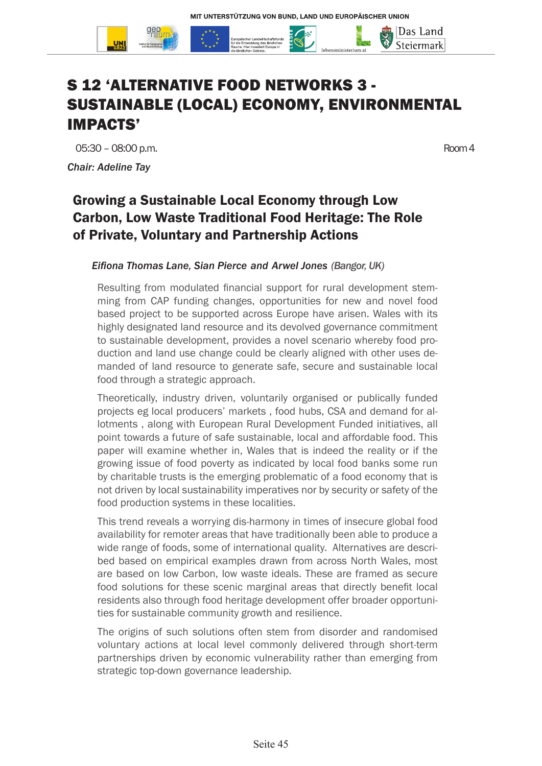

*Chair: Adeline Tay*

Das Land Steiermark

## Growing a Sustainable Local Economy through Low Carbon, Low Waste Traditional Food Heritage: The Role of Private, Voluntary and Partnership Actions

#### *Eifiona Thomas Lane, Sian Pierce and Arwel Jones (Bangor, UK)*

Resulting from modulated financial support for rural development stemming from CAP funding changes, opportunities for new and novel food based project to be supported across Europe have arisen. Wales with its highly designated land resource and its devolved governance commitment to sustainable development, provides a novel scenario whereby food production and land use change could be clearly aligned with other uses demanded of land resource to generate safe, secure and sustainable local food through a strategic approach.

Theoretically, industry driven, voluntarily organised or publically funded projects eg local producers' markets , food hubs, CSA and demand for allotments , along with European Rural Development Funded initiatives, all point towards a future of safe sustainable, local and affordable food. This paper will examine whether in, Wales that is indeed the reality or if the growing issue of food poverty as indicated by local food banks some run by charitable trusts is the emerging problematic of a food economy that is not driven by local sustainability imperatives nor by security or safety of the food production systems in these localities.

This trend reveals a worrying dis-harmony in times of insecure global food availability for remoter areas that have traditionally been able to produce a wide range of foods, some of international quality. Alternatives are described based on empirical examples drawn from across North Wales, most are based on low Carbon, low waste ideals. These are framed as secure food solutions for these scenic marginal areas that directly benefit local residents also through food heritage development offer broader opportunities for sustainable community growth and resilience.

The origins of such solutions often stem from disorder and randomised voluntary actions at local level commonly delivered through short-term partnerships driven by economic vulnerability rather than emerging from strategic top-down governance leadership.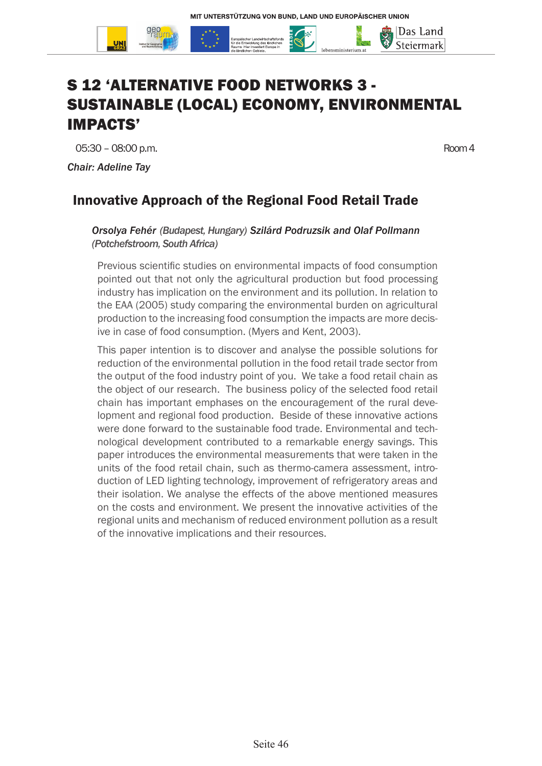

*Chair: Adeline Tay*

Das Land Steiermark

## Innovative Approach of the Regional Food Retail Trade

#### *Orsolya Fehér (Budapest, Hungary) Szilárd Podruzsik and Olaf Pollmann (Potchefstroom, South Africa)*

Previous scientific studies on environmental impacts of food consumption pointed out that not only the agricultural production but food processing industry has implication on the environment and its pollution. In relation to the EAA (2005) study comparing the environmental burden on agricultural production to the increasing food consumption the impacts are more decisive in case of food consumption. (Myers and Kent, 2003).

This paper intention is to discover and analyse the possible solutions for reduction of the environmental pollution in the food retail trade sector from the output of the food industry point of you. We take a food retail chain as the object of our research. The business policy of the selected food retail chain has important emphases on the encouragement of the rural development and regional food production. Beside of these innovative actions were done forward to the sustainable food trade. Environmental and technological development contributed to a remarkable energy savings. This paper introduces the environmental measurements that were taken in the units of the food retail chain, such as thermo-camera assessment, introduction of LED lighting technology, improvement of refrigeratory areas and their isolation. We analyse the effects of the above mentioned measures on the costs and environment. We present the innovative activities of the regional units and mechanism of reduced environment pollution as a result of the innovative implications and their resources.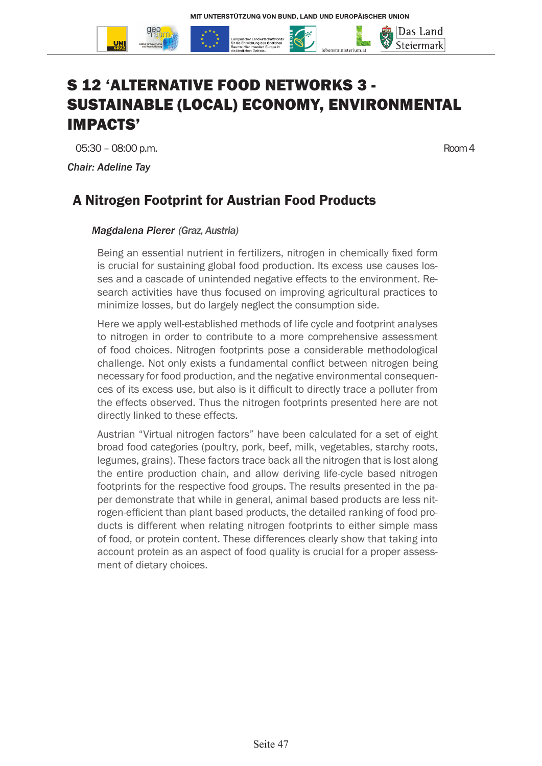

*Chair: Adeline Tay*

Das Land Steiermark

### A Nitrogen Footprint for Austrian Food Products

#### *Magdalena Pierer (Graz, Austria)*

Being an essential nutrient in fertilizers, nitrogen in chemically fixed form is crucial for sustaining global food production. Its excess use causes losses and a cascade of unintended negative effects to the environment. Research activities have thus focused on improving agricultural practices to minimize losses, but do largely neglect the consumption side.

Here we apply well-established methods of life cycle and footprint analyses to nitrogen in order to contribute to a more comprehensive assessment of food choices. Nitrogen footprints pose a considerable methodological challenge. Not only exists a fundamental conflict between nitrogen being necessary for food production, and the negative environmental consequences of its excess use, but also is it difficult to directly trace a polluter from the effects observed. Thus the nitrogen footprints presented here are not directly linked to these effects.

Austrian "Virtual nitrogen factors" have been calculated for a set of eight broad food categories (poultry, pork, beef, milk, vegetables, starchy roots, legumes, grains). These factors trace back all the nitrogen that is lost along the entire production chain, and allow deriving life-cycle based nitrogen footprints for the respective food groups. The results presented in the paper demonstrate that while in general, animal based products are less nitrogen-efficient than plant based products, the detailed ranking of food products is different when relating nitrogen footprints to either simple mass of food, or protein content. These differences clearly show that taking into account protein as an aspect of food quality is crucial for a proper assessment of dietary choices.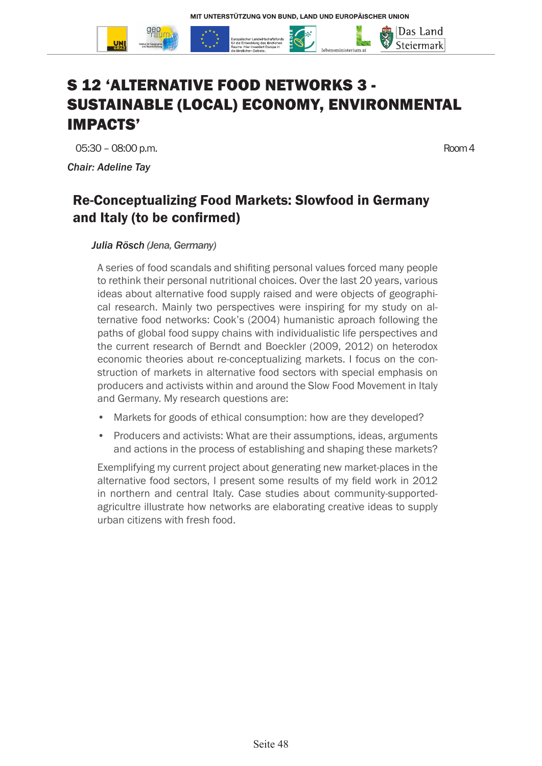

*Chair: Adeline Tay*

Das Land Steiermark

## Re-Conceptualizing Food Markets: Slowfood in Germany and Italy (to be confirmed)

#### *Julia Rösch (Jena, Germany)*

A series of food scandals and shifiting personal values forced many people to rethink their personal nutritional choices. Over the last 20 years, various ideas about alternative food supply raised and were objects of geographical research. Mainly two perspectives were inspiring for my study on alternative food networks: Cook's (2004) humanistic aproach following the paths of global food suppy chains with individualistic life perspectives and the current research of Berndt and Boeckler (2009, 2012) on heterodox economic theories about re-conceptualizing markets. I focus on the construction of markets in alternative food sectors with special emphasis on producers and activists within and around the Slow Food Movement in Italy and Germany. My research questions are:

- Markets for goods of ethical consumption: how are they developed?
- Producers and activists: What are their assumptions, ideas, arguments and actions in the process of establishing and shaping these markets?

Exemplifying my current project about generating new market-places in the alternative food sectors, I present some results of my field work in 2012 in northern and central Italy. Case studies about community-supportedagricultre illustrate how networks are elaborating creative ideas to supply urban citizens with fresh food.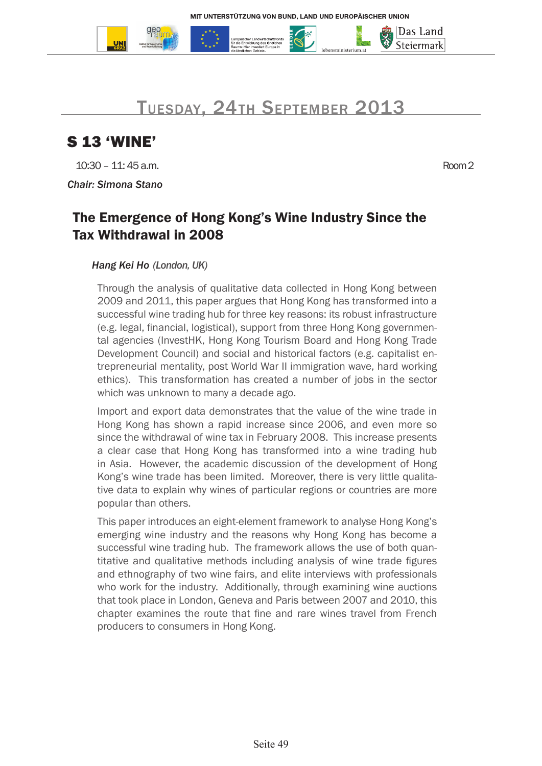



## S 13 'WINE'

10:30 – 11: 45 a.m. Room 2

*Chair: Simona Stano*

|Das Land Steiermark

## The Emergence of Hong Kong's Wine Industry Since the Tax Withdrawal in 2008

#### *Hang Kei Ho (London, UK)*

Through the analysis of qualitative data collected in Hong Kong between 2009 and 2011, this paper argues that Hong Kong has transformed into a successful wine trading hub for three key reasons: its robust infrastructure (e.g. legal, financial, logistical), support from three Hong Kong governmental agencies (InvestHK, Hong Kong Tourism Board and Hong Kong Trade Development Council) and social and historical factors (e.g. capitalist entrepreneurial mentality, post World War II immigration wave, hard working ethics). This transformation has created a number of jobs in the sector which was unknown to many a decade ago.

Import and export data demonstrates that the value of the wine trade in Hong Kong has shown a rapid increase since 2006, and even more so since the withdrawal of wine tax in February 2008. This increase presents a clear case that Hong Kong has transformed into a wine trading hub in Asia. However, the academic discussion of the development of Hong Kong's wine trade has been limited. Moreover, there is very little qualitative data to explain why wines of particular regions or countries are more popular than others.

This paper introduces an eight-element framework to analyse Hong Kong's emerging wine industry and the reasons why Hong Kong has become a successful wine trading hub. The framework allows the use of both quantitative and qualitative methods including analysis of wine trade figures and ethnography of two wine fairs, and elite interviews with professionals who work for the industry. Additionally, through examining wine auctions that took place in London, Geneva and Paris between 2007 and 2010, this chapter examines the route that fine and rare wines travel from French producers to consumers in Hong Kong.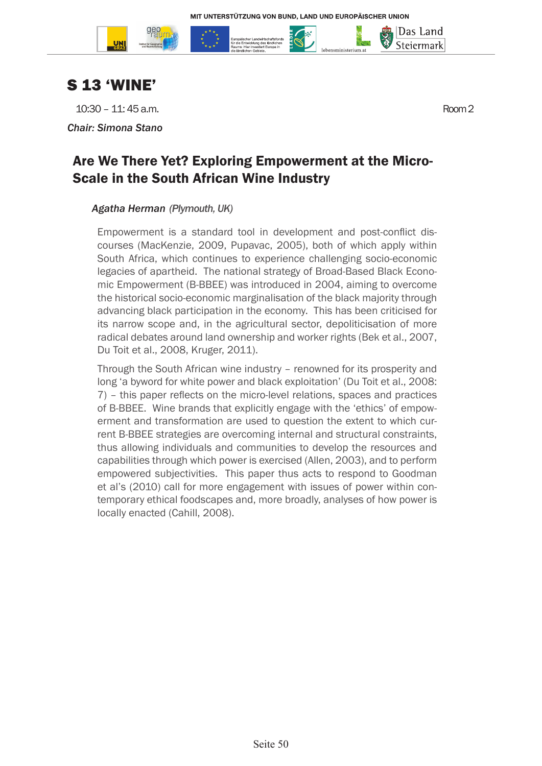



10:30 – 11: 45 a.m. Room 2

*Chair: Simona Stano*

# Are We There Yet? Exploring Empowerment at the Micro-Scale in the South African Wine Industry

#### *Agatha Herman (Plymouth, UK)*

Empowerment is a standard tool in development and post-conflict discourses (MacKenzie, 2009, Pupavac, 2005), both of which apply within South Africa, which continues to experience challenging socio-economic legacies of apartheid. The national strategy of Broad-Based Black Economic Empowerment (B-BBEE) was introduced in 2004, aiming to overcome the historical socio-economic marginalisation of the black majority through advancing black participation in the economy. This has been criticised for its narrow scope and, in the agricultural sector, depoliticisation of more radical debates around land ownership and worker rights (Bek et al., 2007, Du Toit et al., 2008, Kruger, 2011).

Through the South African wine industry – renowned for its prosperity and long 'a byword for white power and black exploitation' (Du Toit et al., 2008: 7) – this paper reflects on the micro-level relations, spaces and practices of B-BBEE. Wine brands that explicitly engage with the 'ethics' of empowerment and transformation are used to question the extent to which current B-BBEE strategies are overcoming internal and structural constraints, thus allowing individuals and communities to develop the resources and capabilities through which power is exercised (Allen, 2003), and to perform empowered subjectivities. This paper thus acts to respond to Goodman et al's (2010) call for more engagement with issues of power within contemporary ethical foodscapes and, more broadly, analyses of how power is locally enacted (Cahill, 2008).

Das Land Steiermark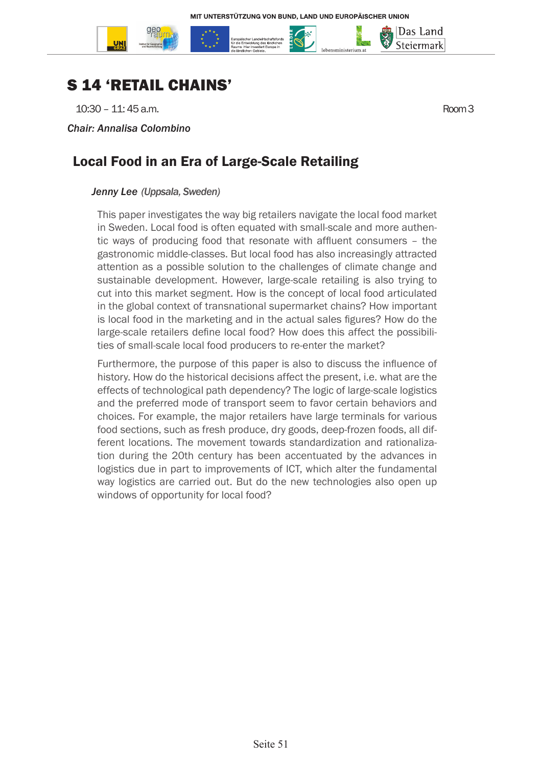

## S 14 'RETAIL CHAINS'

10:30 – 11: 45 a.m. Room 3

*Chair: Annalisa Colombino*

Das Land Steiermark

## Local Food in an Era of Large-Scale Retailing

#### *Jenny Lee (Uppsala, Sweden)*

This paper investigates the way big retailers navigate the local food market in Sweden. Local food is often equated with small-scale and more authentic ways of producing food that resonate with affluent consumers – the gastronomic middle-classes. But local food has also increasingly attracted attention as a possible solution to the challenges of climate change and sustainable development. However, large-scale retailing is also trying to cut into this market segment. How is the concept of local food articulated in the global context of transnational supermarket chains? How important is local food in the marketing and in the actual sales figures? How do the large-scale retailers define local food? How does this affect the possibilities of small-scale local food producers to re-enter the market?

Furthermore, the purpose of this paper is also to discuss the influence of history. How do the historical decisions affect the present, i.e. what are the effects of technological path dependency? The logic of large-scale logistics and the preferred mode of transport seem to favor certain behaviors and choices. For example, the major retailers have large terminals for various food sections, such as fresh produce, dry goods, deep-frozen foods, all different locations. The movement towards standardization and rationalization during the 20th century has been accentuated by the advances in logistics due in part to improvements of ICT, which alter the fundamental way logistics are carried out. But do the new technologies also open up windows of opportunity for local food?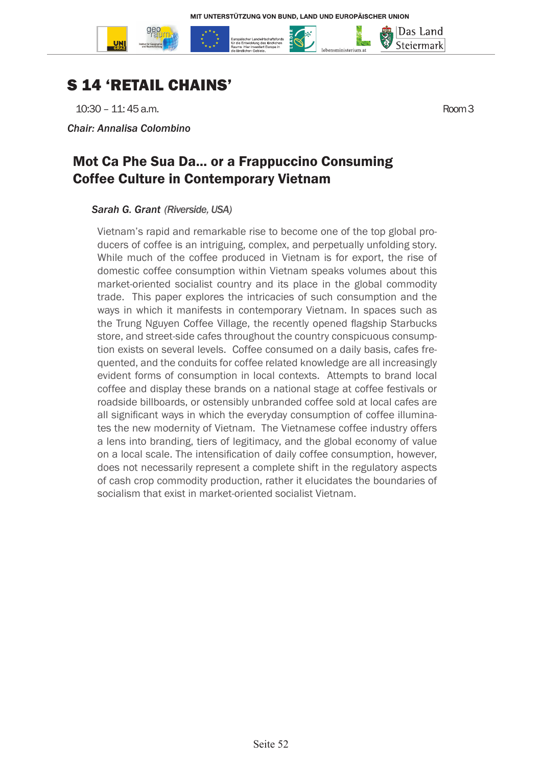



 $10:30 - 11:45$  a.m. Room 3

*Chair: Annalisa Colombino*

### Mot Ca Phe Sua Da... or a Frappuccino Consuming Coffee Culture in Contemporary Vietnam

#### *Sarah G. Grant (Riverside, USA)*

Vietnam's rapid and remarkable rise to become one of the top global producers of coffee is an intriguing, complex, and perpetually unfolding story. While much of the coffee produced in Vietnam is for export, the rise of domestic coffee consumption within Vietnam speaks volumes about this market-oriented socialist country and its place in the global commodity trade. This paper explores the intricacies of such consumption and the ways in which it manifests in contemporary Vietnam. In spaces such as the Trung Nguyen Coffee Village, the recently opened flagship Starbucks store, and street-side cafes throughout the country conspicuous consumption exists on several levels. Coffee consumed on a daily basis, cafes frequented, and the conduits for coffee related knowledge are all increasingly evident forms of consumption in local contexts. Attempts to brand local coffee and display these brands on a national stage at coffee festivals or roadside billboards, or ostensibly unbranded coffee sold at local cafes are all significant ways in which the everyday consumption of coffee illuminates the new modernity of Vietnam. The Vietnamese coffee industry offers a lens into branding, tiers of legitimacy, and the global economy of value on a local scale. The intensification of daily coffee consumption, however, does not necessarily represent a complete shift in the regulatory aspects of cash crop commodity production, rather it elucidates the boundaries of socialism that exist in market-oriented socialist Vietnam.

Das Land Steiermark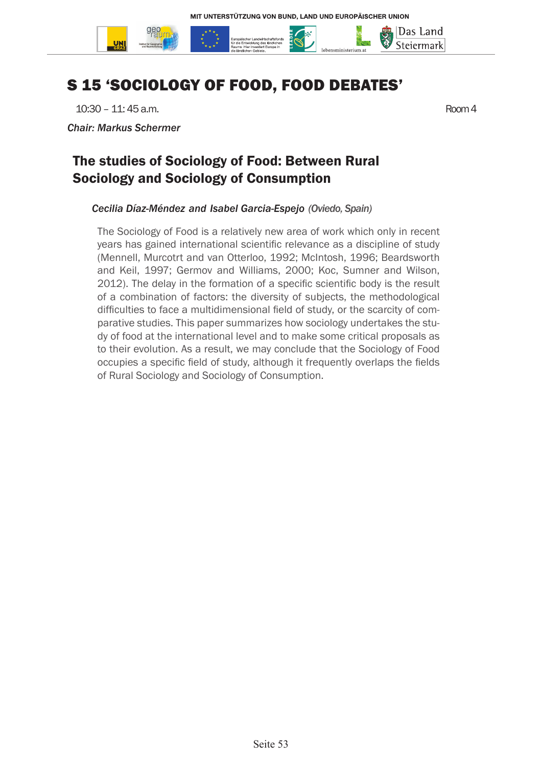

# S 15 'SOCIOLOGY OF FOOD, FOOD DEBATES'

10:30 – 11: 45 a.m. Room 4

*Chair: Markus Schermer*

### The studies of Sociology of Food: Between Rural Sociology and Sociology of Consumption

#### *Cecilia Díaz-Méndez and Isabel Garcia-Espejo (Oviedo, Spain)*

The Sociology of Food is a relatively new area of work which only in recent years has gained international scientific relevance as a discipline of study (Mennell, Murcotrt and van Otterloo, 1992; McIntosh, 1996; Beardsworth and Keil, 1997; Germov and Williams, 2000; Koc, Sumner and Wilson, 2012). The delay in the formation of a specific scientific body is the result of a combination of factors: the diversity of subjects, the methodological difficulties to face a multidimensional field of study, or the scarcity of comparative studies. This paper summarizes how sociology undertakes the study of food at the international level and to make some critical proposals as to their evolution. As a result, we may conclude that the Sociology of Food occupies a specific field of study, although it frequently overlaps the fields of Rural Sociology and Sociology of Consumption.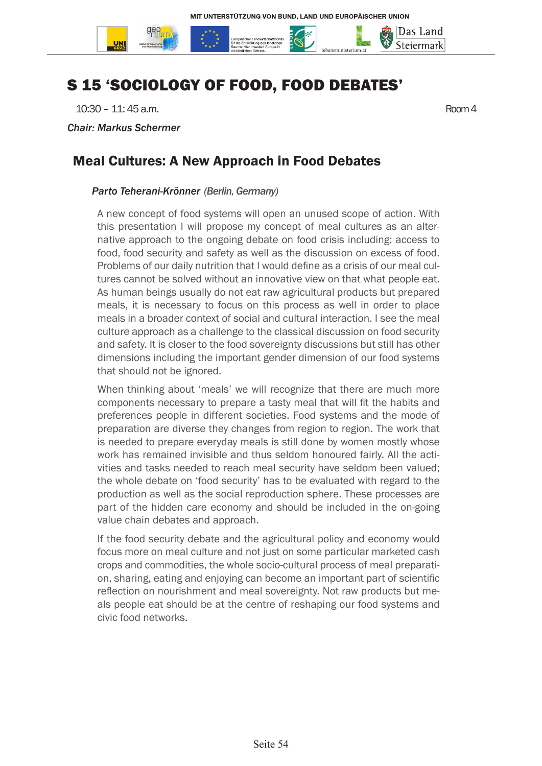

# S 15 'SOCIOLOGY OF FOOD, FOOD DEBATES'

10:30 – 11: 45 a.m. Room 4

*Chair: Markus Schermer*

#### Meal Cultures: A New Approach in Food Debates

#### *Parto Teherani-Krönner (Berlin, Germany)*

A new concept of food systems will open an unused scope of action. With this presentation I will propose my concept of meal cultures as an alternative approach to the ongoing debate on food crisis including: access to food, food security and safety as well as the discussion on excess of food. Problems of our daily nutrition that I would define as a crisis of our meal cultures cannot be solved without an innovative view on that what people eat. As human beings usually do not eat raw agricultural products but prepared meals, it is necessary to focus on this process as well in order to place meals in a broader context of social and cultural interaction. I see the meal culture approach as a challenge to the classical discussion on food security and safety. It is closer to the food sovereignty discussions but still has other dimensions including the important gender dimension of our food systems that should not be ignored.

When thinking about 'meals' we will recognize that there are much more components necessary to prepare a tasty meal that will fit the habits and preferences people in different societies. Food systems and the mode of preparation are diverse they changes from region to region. The work that is needed to prepare everyday meals is still done by women mostly whose work has remained invisible and thus seldom honoured fairly. All the activities and tasks needed to reach meal security have seldom been valued; the whole debate on 'food security' has to be evaluated with regard to the production as well as the social reproduction sphere. These processes are part of the hidden care economy and should be included in the on-going value chain debates and approach.

If the food security debate and the agricultural policy and economy would focus more on meal culture and not just on some particular marketed cash crops and commodities, the whole socio-cultural process of meal preparation, sharing, eating and enjoying can become an important part of scientific reflection on nourishment and meal sovereignty. Not raw products but meals people eat should be at the centre of reshaping our food systems and civic food networks.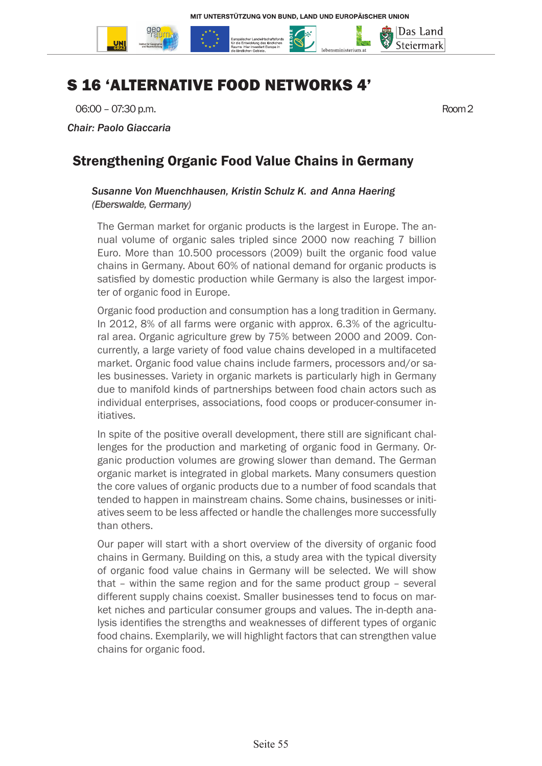

# S 16 'ALTERNATIVE FOOD NETWORKS 4'

06:00 – 07:30 p.m. Room 2

*Chair: Paolo Giaccaria*

### Strengthening Organic Food Value Chains in Germany

#### *Susanne Von Muenchhausen, Kristin Schulz K. and Anna Haering (Eberswalde, Germany)*

The German market for organic products is the largest in Europe. The annual volume of organic sales tripled since 2000 now reaching 7 billion Euro. More than 10.500 processors (2009) built the organic food value chains in Germany. About 60% of national demand for organic products is satisfied by domestic production while Germany is also the largest importer of organic food in Europe.

Organic food production and consumption has a long tradition in Germany. In 2012, 8% of all farms were organic with approx. 6.3% of the agricultural area. Organic agriculture grew by 75% between 2000 and 2009. Concurrently, a large variety of food value chains developed in a multifaceted market. Organic food value chains include farmers, processors and/or sales businesses. Variety in organic markets is particularly high in Germany due to manifold kinds of partnerships between food chain actors such as individual enterprises, associations, food coops or producer-consumer initiatives.

In spite of the positive overall development, there still are significant challenges for the production and marketing of organic food in Germany. Organic production volumes are growing slower than demand. The German organic market is integrated in global markets. Many consumers question the core values of organic products due to a number of food scandals that tended to happen in mainstream chains. Some chains, businesses or initiatives seem to be less affected or handle the challenges more successfully than others.

Our paper will start with a short overview of the diversity of organic food chains in Germany. Building on this, a study area with the typical diversity of organic food value chains in Germany will be selected. We will show that – within the same region and for the same product group – several different supply chains coexist. Smaller businesses tend to focus on market niches and particular consumer groups and values. The in-depth analysis identifies the strengths and weaknesses of different types of organic food chains. Exemplarily, we will highlight factors that can strengthen value chains for organic food.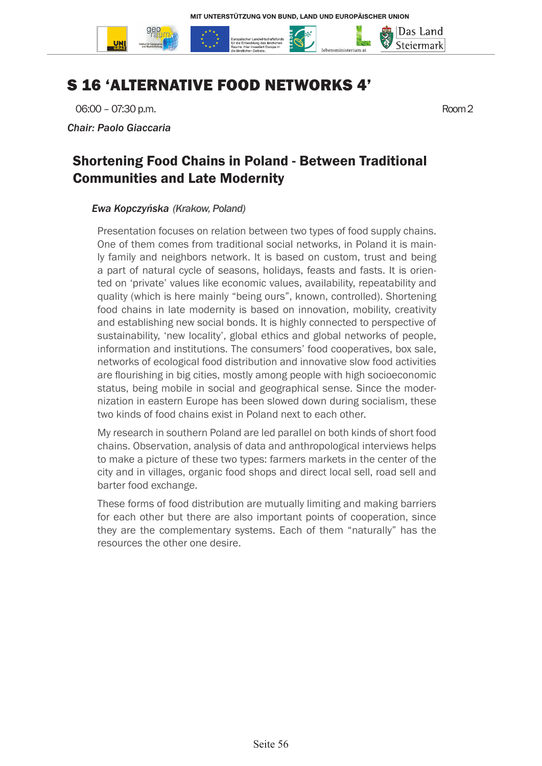

## S 16 'ALTERNATIVE FOOD NETWORKS 4'

06:00 – 07:30 p.m. Room 2

*Chair: Paolo Giaccaria*

### Shortening Food Chains in Poland - Between Traditional Communities and Late Modernity

#### *Ewa Kopczyńska (Krakow, Poland)*

Presentation focuses on relation between two types of food supply chains. One of them comes from traditional social networks, in Poland it is mainly family and neighbors network. It is based on custom, trust and being a part of natural cycle of seasons, holidays, feasts and fasts. It is oriented on 'private' values like economic values, availability, repeatability and quality (which is here mainly "being ours", known, controlled). Shortening food chains in late modernity is based on innovation, mobility, creativity and establishing new social bonds. It is highly connected to perspective of sustainability, 'new locality', global ethics and global networks of people, information and institutions. The consumers' food cooperatives, box sale, networks of ecological food distribution and innovative slow food activities are flourishing in big cities, mostly among people with high socioeconomic status, being mobile in social and geographical sense. Since the modernization in eastern Europe has been slowed down during socialism, these two kinds of food chains exist in Poland next to each other.

My research in southern Poland are led parallel on both kinds of short food chains. Observation, analysis of data and anthropological interviews helps to make a picture of these two types: farmers markets in the center of the city and in villages, organic food shops and direct local sell, road sell and barter food exchange.

These forms of food distribution are mutually limiting and making barriers for each other but there are also important points of cooperation, since they are the complementary systems. Each of them "naturally" has the resources the other one desire.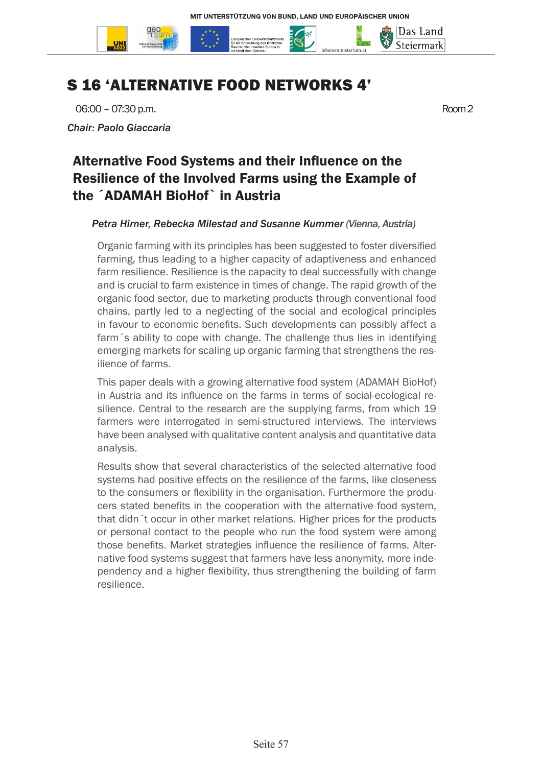

# S 16 'ALTERNATIVE FOOD NETWORKS 4'

06:00 – 07:30 p.m. Room 2

*Chair: Paolo Giaccaria*

## Alternative Food Systems and their Influence on the Resilience of the Involved Farms using the Example of the ´ADAMAH BioHof` in Austria

#### *Petra Hirner, Rebecka Milestad and Susanne Kummer (Vienna, Austria)*

Organic farming with its principles has been suggested to foster diversified farming, thus leading to a higher capacity of adaptiveness and enhanced farm resilience. Resilience is the capacity to deal successfully with change and is crucial to farm existence in times of change. The rapid growth of the organic food sector, due to marketing products through conventional food chains, partly led to a neglecting of the social and ecological principles in favour to economic benefits. Such developments can possibly affect a farm´s ability to cope with change. The challenge thus lies in identifying emerging markets for scaling up organic farming that strengthens the resilience of farms.

This paper deals with a growing alternative food system (ADAMAH BioHof) in Austria and its influence on the farms in terms of social-ecological resilience. Central to the research are the supplying farms, from which 19 farmers were interrogated in semi-structured interviews. The interviews have been analysed with qualitative content analysis and quantitative data analysis.

Results show that several characteristics of the selected alternative food systems had positive effects on the resilience of the farms, like closeness to the consumers or flexibility in the organisation. Furthermore the producers stated benefits in the cooperation with the alternative food system, that didn´t occur in other market relations. Higher prices for the products or personal contact to the people who run the food system were among those benefits. Market strategies influence the resilience of farms. Alternative food systems suggest that farmers have less anonymity, more independency and a higher flexibility, thus strengthening the building of farm resilience.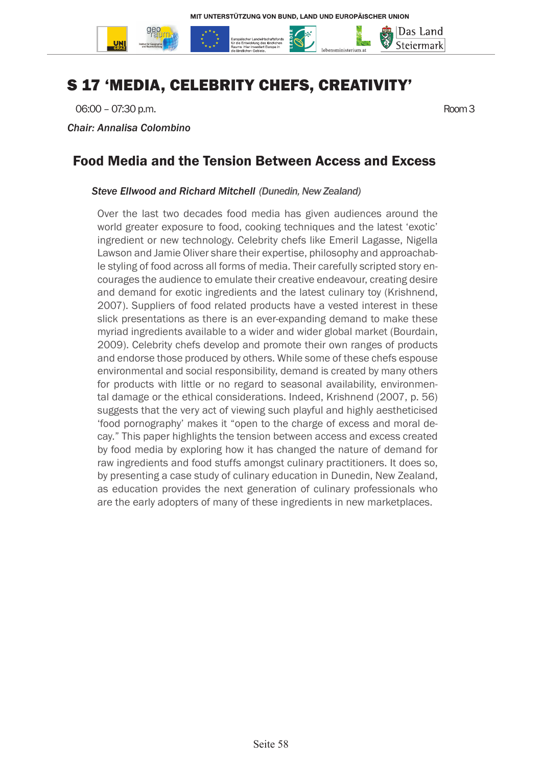

# S 17 'MEDIA, CELEBRITY CHEFS, CREATIVITY'

06:00 – 07:30 p.m. Room 3

*Chair: Annalisa Colombino*

#### Food Media and the Tension Between Access and Excess

#### *Steve Ellwood and Richard Mitchell (Dunedin, New Zealand)*

Over the last two decades food media has given audiences around the world greater exposure to food, cooking techniques and the latest 'exotic' ingredient or new technology. Celebrity chefs like Emeril Lagasse, Nigella Lawson and Jamie Oliver share their expertise, philosophy and approachable styling of food across all forms of media. Their carefully scripted story encourages the audience to emulate their creative endeavour, creating desire and demand for exotic ingredients and the latest culinary toy (Krishnend, 2007). Suppliers of food related products have a vested interest in these slick presentations as there is an ever-expanding demand to make these myriad ingredients available to a wider and wider global market (Bourdain, 2009). Celebrity chefs develop and promote their own ranges of products and endorse those produced by others. While some of these chefs espouse environmental and social responsibility, demand is created by many others for products with little or no regard to seasonal availability, environmental damage or the ethical considerations. Indeed, Krishnend (2007, p. 56) suggests that the very act of viewing such playful and highly aestheticised 'food pornography' makes it "open to the charge of excess and moral decay." This paper highlights the tension between access and excess created by food media by exploring how it has changed the nature of demand for raw ingredients and food stuffs amongst culinary practitioners. It does so, by presenting a case study of culinary education in Dunedin, New Zealand, as education provides the next generation of culinary professionals who are the early adopters of many of these ingredients in new marketplaces.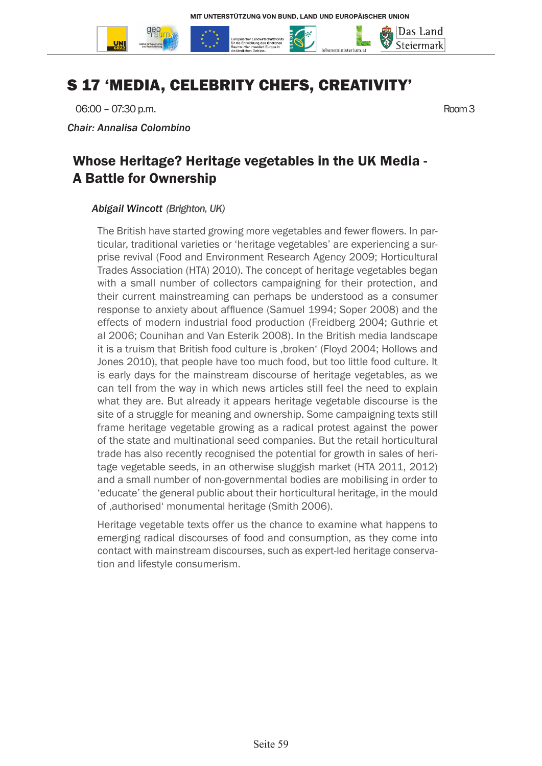

# S 17 'MEDIA, CELEBRITY CHEFS, CREATIVITY'

06:00 – 07:30 p.m.

*Chair: Annalisa Colombino*

### Whose Heritage? Heritage vegetables in the UK Media - A Battle for Ownership

#### *Abigail Wincott (Brighton, UK)*

The British have started growing more vegetables and fewer flowers. In particular, traditional varieties or 'heritage vegetables' are experiencing a surprise revival (Food and Environment Research Agency 2009; Horticultural Trades Association (HTA) 2010). The concept of heritage vegetables began with a small number of collectors campaigning for their protection, and their current mainstreaming can perhaps be understood as a consumer response to anxiety about affluence (Samuel 1994; Soper 2008) and the effects of modern industrial food production (Freidberg 2004; Guthrie et al 2006; Counihan and Van Esterik 2008). In the British media landscape it is a truism that British food culture is , broken' (Floyd 2004; Hollows and Jones 2010), that people have too much food, but too little food culture. It is early days for the mainstream discourse of heritage vegetables, as we can tell from the way in which news articles still feel the need to explain what they are. But already it appears heritage vegetable discourse is the site of a struggle for meaning and ownership. Some campaigning texts still frame heritage vegetable growing as a radical protest against the power of the state and multinational seed companies. But the retail horticultural trade has also recently recognised the potential for growth in sales of heritage vegetable seeds, in an otherwise sluggish market (HTA 2011, 2012) and a small number of non-governmental bodies are mobilising in order to 'educate' the general public about their horticultural heritage, in the mould of , authorised' monumental heritage (Smith 2006).

Heritage vegetable texts offer us the chance to examine what happens to emerging radical discourses of food and consumption, as they come into contact with mainstream discourses, such as expert-led heritage conservation and lifestyle consumerism.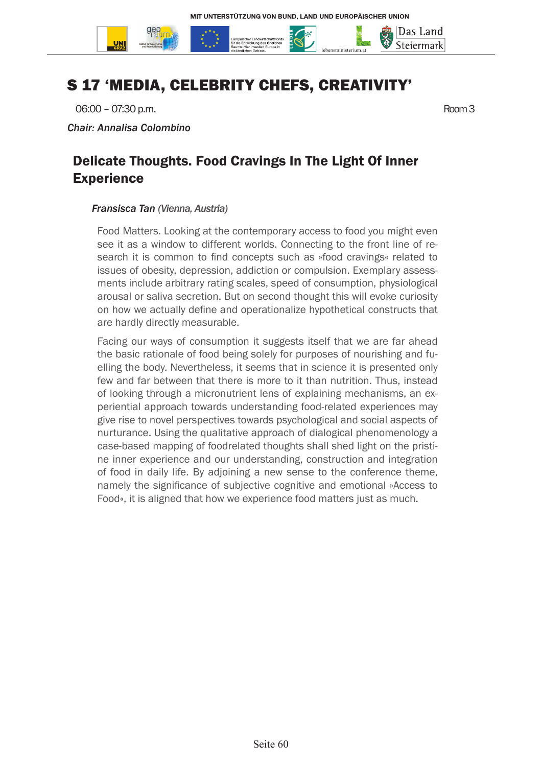

# S 17 'MEDIA, CELEBRITY CHEFS, CREATIVITY'

06:00 – 07:30 p.m.

*Chair: Annalisa Colombino*

### Delicate Thoughts. Food Cravings In The Light Of Inner **Experience**

#### *Fransisca Tan (Vienna, Austria)*

Food Matters. Looking at the contemporary access to food you might even see it as a window to different worlds. Connecting to the front line of research it is common to find concepts such as »food cravings« related to issues of obesity, depression, addiction or compulsion. Exemplary assessments include arbitrary rating scales, speed of consumption, physiological arousal or saliva secretion. But on second thought this will evoke curiosity on how we actually define and operationalize hypothetical constructs that are hardly directly measurable.

Facing our ways of consumption it suggests itself that we are far ahead the basic rationale of food being solely for purposes of nourishing and fuelling the body. Nevertheless, it seems that in science it is presented only few and far between that there is more to it than nutrition. Thus, instead of looking through a micronutrient lens of explaining mechanisms, an experiential approach towards understanding food-related experiences may give rise to novel perspectives towards psychological and social aspects of nurturance. Using the qualitative approach of dialogical phenomenology a case-based mapping of foodrelated thoughts shall shed light on the pristine inner experience and our understanding, construction and integration of food in daily life. By adjoining a new sense to the conference theme, namely the significance of subjective cognitive and emotional »Access to Food«, it is aligned that how we experience food matters just as much.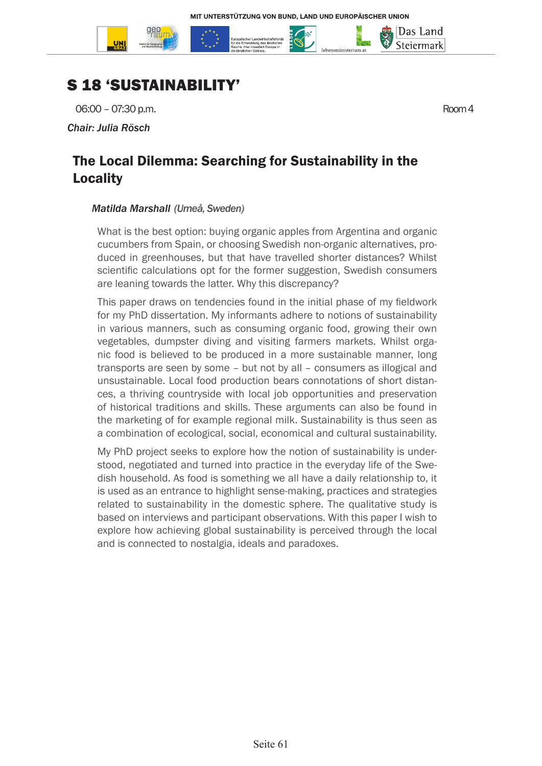

## S 18 'SUSTAINABILITY'

06:00 – 07:30 p.m.

*Chair: Julia Rösch*

## The Local Dilemma: Searching for Sustainability in the Locality

#### *Matilda Marshall (Umeå, Sweden)*

What is the best option: buying organic apples from Argentina and organic cucumbers from Spain, or choosing Swedish non-organic alternatives, produced in greenhouses, but that have travelled shorter distances? Whilst scientific calculations opt for the former suggestion, Swedish consumers are leaning towards the latter. Why this discrepancy?

This paper draws on tendencies found in the initial phase of my fieldwork for my PhD dissertation. My informants adhere to notions of sustainability in various manners, such as consuming organic food, growing their own vegetables, dumpster diving and visiting farmers markets. Whilst organic food is believed to be produced in a more sustainable manner, long transports are seen by some – but not by all – consumers as illogical and unsustainable. Local food production bears connotations of short distances, a thriving countryside with local job opportunities and preservation of historical traditions and skills. These arguments can also be found in the marketing of for example regional milk. Sustainability is thus seen as a combination of ecological, social, economical and cultural sustainability.

My PhD project seeks to explore how the notion of sustainability is understood, negotiated and turned into practice in the everyday life of the Swedish household. As food is something we all have a daily relationship to, it is used as an entrance to highlight sense-making, practices and strategies related to sustainability in the domestic sphere. The qualitative study is based on interviews and participant observations. With this paper I wish to explore how achieving global sustainability is perceived through the local and is connected to nostalgia, ideals and paradoxes.

Das Land Steiermark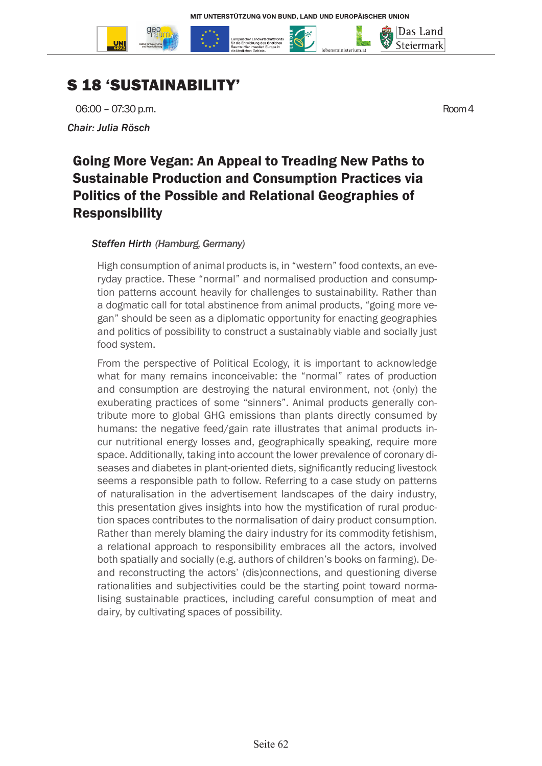



06:00 – 07:30 p.m. *Chair: Julia Rösch*

Das Land Steiermark

## Going More Vegan: An Appeal to Treading New Paths to Sustainable Production and Consumption Practices via Politics of the Possible and Relational Geographies of Responsibility

#### *Steffen Hirth (Hamburg, Germany)*

High consumption of animal products is, in "western" food contexts, an everyday practice. These "normal" and normalised production and consumption patterns account heavily for challenges to sustainability. Rather than a dogmatic call for total abstinence from animal products, "going more vegan" should be seen as a diplomatic opportunity for enacting geographies and politics of possibility to construct a sustainably viable and socially just food system.

From the perspective of Political Ecology, it is important to acknowledge what for many remains inconceivable: the "normal" rates of production and consumption are destroying the natural environment, not (only) the exuberating practices of some "sinners". Animal products generally contribute more to global GHG emissions than plants directly consumed by humans: the negative feed/gain rate illustrates that animal products incur nutritional energy losses and, geographically speaking, require more space. Additionally, taking into account the lower prevalence of coronary diseases and diabetes in plant-oriented diets, significantly reducing livestock seems a responsible path to follow. Referring to a case study on patterns of naturalisation in the advertisement landscapes of the dairy industry, this presentation gives insights into how the mystification of rural production spaces contributes to the normalisation of dairy product consumption. Rather than merely blaming the dairy industry for its commodity fetishism, a relational approach to responsibility embraces all the actors, involved both spatially and socially (e.g. authors of children's books on farming). Deand reconstructing the actors' (dis)connections, and questioning diverse rationalities and subjectivities could be the starting point toward normalising sustainable practices, including careful consumption of meat and dairy, by cultivating spaces of possibility.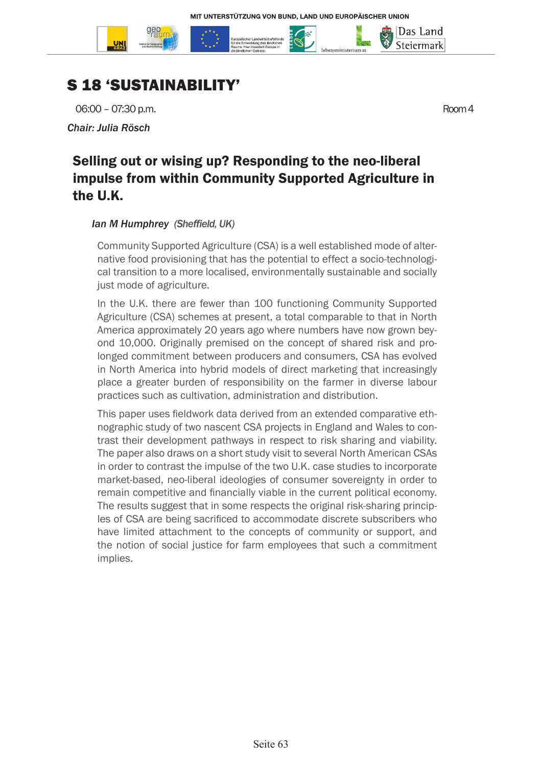



06:00 – 07:30 p.m.

*Chair: Julia Rösch*

Das Land Steiermark

## Selling out or wising up? Responding to the neo-liberal impulse from within Community Supported Agriculture in the U.K.

#### *Ian M Humphrey (Sheffield, UK)*

Community Supported Agriculture (CSA) is a well established mode of alternative food provisioning that has the potential to effect a socio-technological transition to a more localised, environmentally sustainable and socially just mode of agriculture.

In the U.K. there are fewer than 100 functioning Community Supported Agriculture (CSA) schemes at present, a total comparable to that in North America approximately 20 years ago where numbers have now grown beyond 10,000. Originally premised on the concept of shared risk and prolonged commitment between producers and consumers, CSA has evolved in North America into hybrid models of direct marketing that increasingly place a greater burden of responsibility on the farmer in diverse labour practices such as cultivation, administration and distribution.

This paper uses fieldwork data derived from an extended comparative ethnographic study of two nascent CSA projects in England and Wales to contrast their development pathways in respect to risk sharing and viability. The paper also draws on a short study visit to several North American CSAs in order to contrast the impulse of the two U.K. case studies to incorporate market-based, neo-liberal ideologies of consumer sovereignty in order to remain competitive and financially viable in the current political economy. The results suggest that in some respects the original risk-sharing principles of CSA are being sacrificed to accommodate discrete subscribers who have limited attachment to the concepts of community or support, and the notion of social justice for farm employees that such a commitment implies.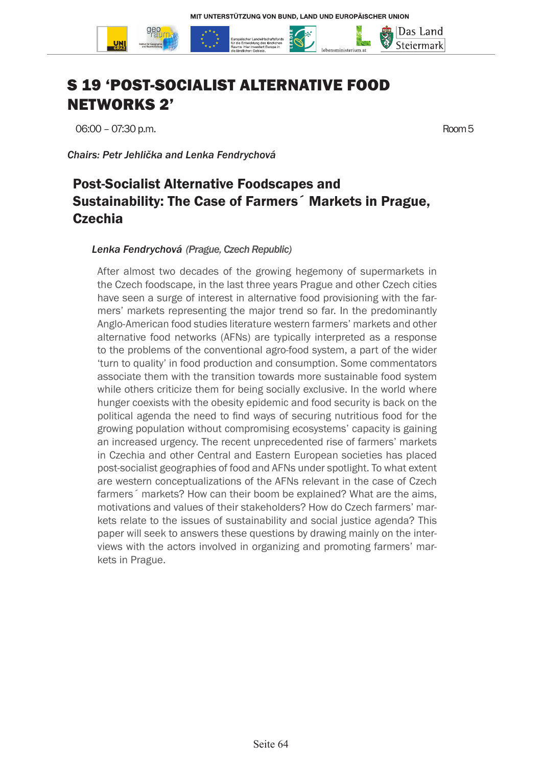

# S 19 'POST-SOCIALIST ALTERNATIVE FOOD NETWORKS 2'

06:00 – 07:30 p.m. Room 5

*Chairs: Petr Jehlička and Lenka Fendrychová*

## Post-Socialist Alternative Foodscapes and Sustainability: The Case of Farmers´ Markets in Prague, **Czechia**

#### *Lenka Fendrychová (Prague, Czech Republic)*

After almost two decades of the growing hegemony of supermarkets in the Czech foodscape, in the last three years Prague and other Czech cities have seen a surge of interest in alternative food provisioning with the farmers' markets representing the major trend so far. In the predominantly Anglo-American food studies literature western farmers' markets and other alternative food networks (AFNs) are typically interpreted as a response to the problems of the conventional agro-food system, a part of the wider 'turn to quality' in food production and consumption. Some commentators associate them with the transition towards more sustainable food system while others criticize them for being socially exclusive. In the world where hunger coexists with the obesity epidemic and food security is back on the political agenda the need to find ways of securing nutritious food for the growing population without compromising ecosystems' capacity is gaining an increased urgency. The recent unprecedented rise of farmers' markets in Czechia and other Central and Eastern European societies has placed post-socialist geographies of food and AFNs under spotlight. To what extent are western conceptualizations of the AFNs relevant in the case of Czech farmers<sup>2</sup> markets? How can their boom be explained? What are the aims, motivations and values of their stakeholders? How do Czech farmers' markets relate to the issues of sustainability and social justice agenda? This paper will seek to answers these questions by drawing mainly on the interviews with the actors involved in organizing and promoting farmers' markets in Prague.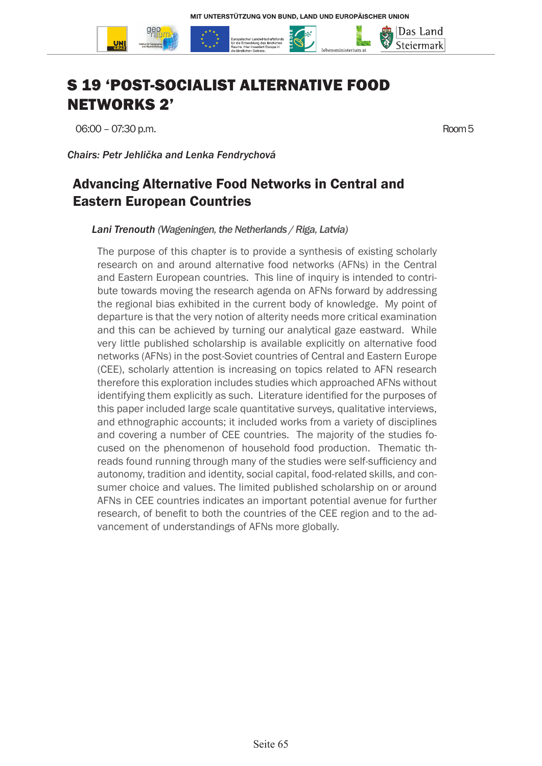

# S 19 'POST-SOCIALIST ALTERNATIVE FOOD NETWORKS 2'

06:00 – 07:30 p.m. Room 5

*Chairs: Petr Jehlička and Lenka Fendrychová*

## Advancing Alternative Food Networks in Central and Eastern European Countries

*Lani Trenouth (Wageningen, the Netherlands / Riga, Latvia)*

The purpose of this chapter is to provide a synthesis of existing scholarly research on and around alternative food networks (AFNs) in the Central and Eastern European countries. This line of inquiry is intended to contribute towards moving the research agenda on AFNs forward by addressing the regional bias exhibited in the current body of knowledge. My point of departure is that the very notion of alterity needs more critical examination and this can be achieved by turning our analytical gaze eastward. While very little published scholarship is available explicitly on alternative food networks (AFNs) in the post-Soviet countries of Central and Eastern Europe (CEE), scholarly attention is increasing on topics related to AFN research therefore this exploration includes studies which approached AFNs without identifying them explicitly as such. Literature identified for the purposes of this paper included large scale quantitative surveys, qualitative interviews, and ethnographic accounts; it included works from a variety of disciplines and covering a number of CEE countries. The majority of the studies focused on the phenomenon of household food production. Thematic threads found running through many of the studies were self-sufficiency and autonomy, tradition and identity, social capital, food-related skills, and consumer choice and values. The limited published scholarship on or around AFNs in CEE countries indicates an important potential avenue for further research, of benefit to both the countries of the CEE region and to the advancement of understandings of AFNs more globally.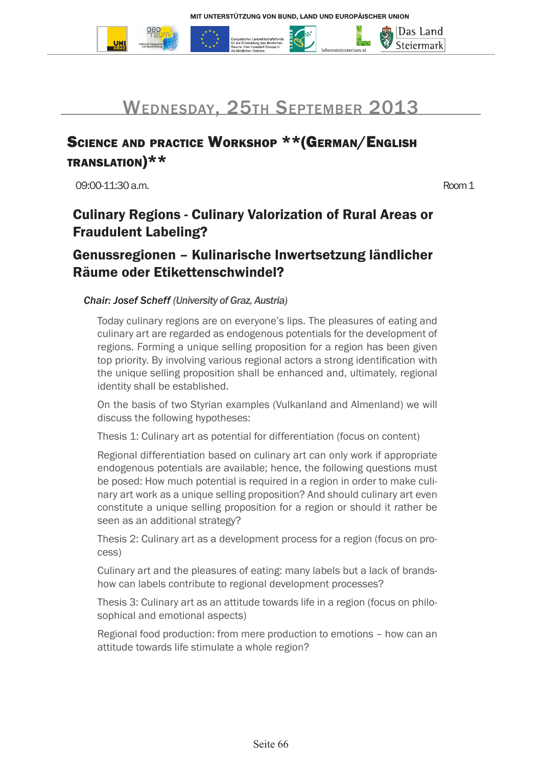



## SCIENCE AND PRACTICE WORKSHOP \*\* (GERMAN/ENGLISH translation)\*\*

09:00-11:30 a.m. Room 1

|Das Land Steiermark

## Culinary Regions - Culinary Valorization of Rural Areas or Fraudulent Labeling?

### Genussregionen – Kulinarische Inwertsetzung ländlicher Räume oder Etikettenschwindel?

#### *Chair: Josef Scheff (University of Graz, Austria)*

Today culinary regions are on everyone's lips. The pleasures of eating and culinary art are regarded as endogenous potentials for the development of regions. Forming a unique selling proposition for a region has been given top priority. By involving various regional actors a strong identification with the unique selling proposition shall be enhanced and, ultimately, regional identity shall be established.

On the basis of two Styrian examples (Vulkanland and Almenland) we will discuss the following hypotheses:

Thesis 1: Culinary art as potential for differentiation (focus on content)

Regional differentiation based on culinary art can only work if appropriate endogenous potentials are available; hence, the following questions must be posed: How much potential is required in a region in order to make culinary art work as a unique selling proposition? And should culinary art even constitute a unique selling proposition for a region or should it rather be seen as an additional strategy?

Thesis 2: Culinary art as a development process for a region (focus on process)

Culinary art and the pleasures of eating: many labels but a lack of brandshow can labels contribute to regional development processes?

Thesis 3: Culinary art as an attitude towards life in a region (focus on philosophical and emotional aspects)

Regional food production: from mere production to emotions – how can an attitude towards life stimulate a whole region?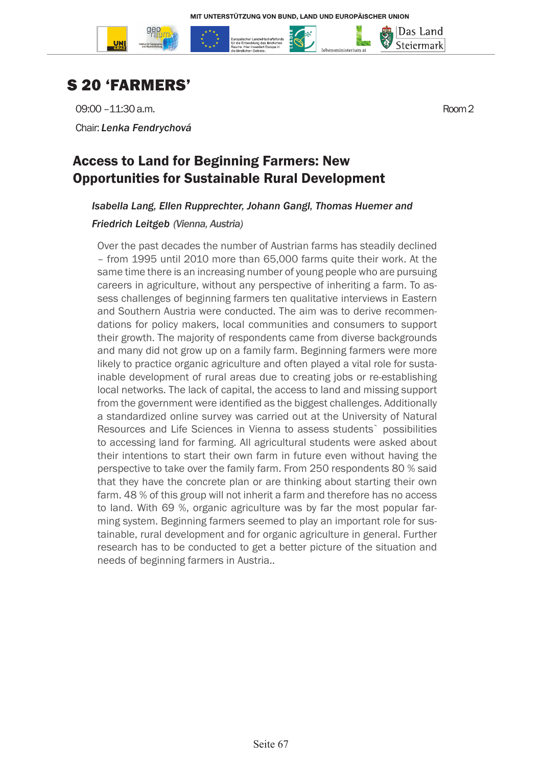

Das Land Steiermark

# S 20 'FARMERS'

09:00 –11:30 a.m. Room 2 Chair: *Lenka Fendrychová*

## Access to Land for Beginning Farmers: New Opportunities for Sustainable Rural Development

### *Isabella Lang, Ellen Rupprechter, Johann Gangl, Thomas Huemer and*

#### *Friedrich Leitgeb (Vienna, Austria)*

Over the past decades the number of Austrian farms has steadily declined – from 1995 until 2010 more than 65,000 farms quite their work. At the same time there is an increasing number of young people who are pursuing careers in agriculture, without any perspective of inheriting a farm. To assess challenges of beginning farmers ten qualitative interviews in Eastern and Southern Austria were conducted. The aim was to derive recommendations for policy makers, local communities and consumers to support their growth. The majority of respondents came from diverse backgrounds and many did not grow up on a family farm. Beginning farmers were more likely to practice organic agriculture and often played a vital role for sustainable development of rural areas due to creating jobs or re-establishing local networks. The lack of capital, the access to land and missing support from the government were identified as the biggest challenges. Additionally a standardized online survey was carried out at the University of Natural Resources and Life Sciences in Vienna to assess students` possibilities to accessing land for farming. All agricultural students were asked about their intentions to start their own farm in future even without having the perspective to take over the family farm. From 250 respondents 80 % said that they have the concrete plan or are thinking about starting their own farm. 48 % of this group will not inherit a farm and therefore has no access to land. With 69 %, organic agriculture was by far the most popular farming system. Beginning farmers seemed to play an important role for sustainable, rural development and for organic agriculture in general. Further research has to be conducted to get a better picture of the situation and needs of beginning farmers in Austria..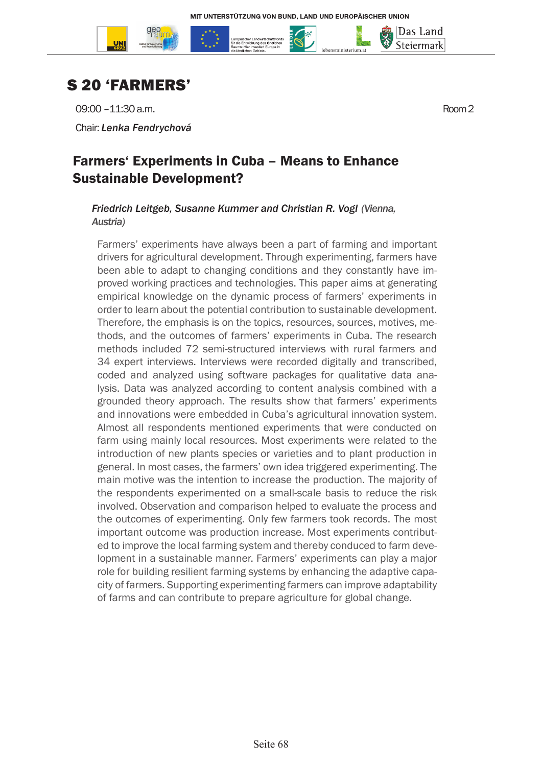



09:00 –11:30 a.m. Room 2

Chair: *Lenka Fendrychová*

### Farmers' Experiments in Cuba – Means to Enhance Sustainable Development?

#### *Friedrich Leitgeb, Susanne Kummer and Christian R. Vogl (Vienna, Austria)*

Farmers' experiments have always been a part of farming and important drivers for agricultural development. Through experimenting, farmers have been able to adapt to changing conditions and they constantly have improved working practices and technologies. This paper aims at generating empirical knowledge on the dynamic process of farmers' experiments in order to learn about the potential contribution to sustainable development. Therefore, the emphasis is on the topics, resources, sources, motives, methods, and the outcomes of farmers' experiments in Cuba. The research methods included 72 semi-structured interviews with rural farmers and 34 expert interviews. Interviews were recorded digitally and transcribed, coded and analyzed using software packages for qualitative data analysis. Data was analyzed according to content analysis combined with a grounded theory approach. The results show that farmers' experiments and innovations were embedded in Cuba's agricultural innovation system. Almost all respondents mentioned experiments that were conducted on farm using mainly local resources. Most experiments were related to the introduction of new plants species or varieties and to plant production in general. In most cases, the farmers' own idea triggered experimenting. The main motive was the intention to increase the production. The majority of the respondents experimented on a small-scale basis to reduce the risk involved. Observation and comparison helped to evaluate the process and the outcomes of experimenting. Only few farmers took records. The most important outcome was production increase. Most experiments contributed to improve the local farming system and thereby conduced to farm development in a sustainable manner. Farmers' experiments can play a major role for building resilient farming systems by enhancing the adaptive capacity of farmers. Supporting experimenting farmers can improve adaptability of farms and can contribute to prepare agriculture for global change.

Das Land Steiermark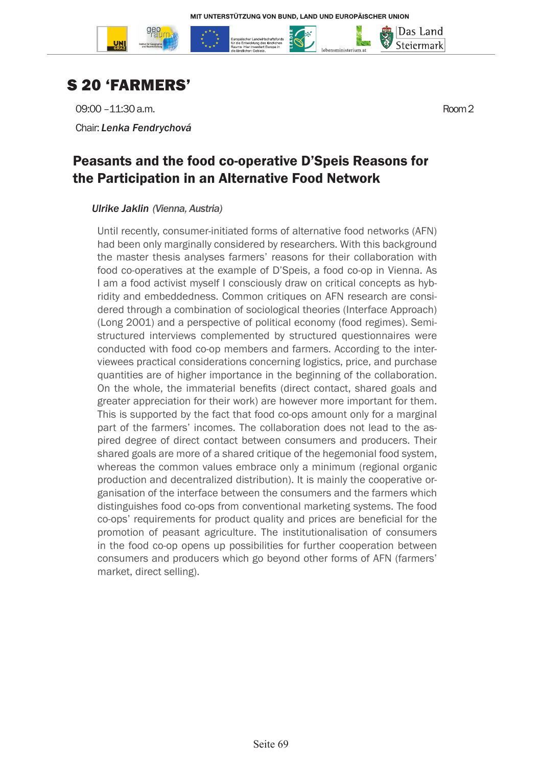



09:00 –11:30 a.m. Room 2

Chair: *Lenka Fendrychová*

### Peasants and the food co-operative D'Speis Reasons for the Participation in an Alternative Food Network

#### *Ulrike Jaklin (Vienna, Austria)*

Until recently, consumer-initiated forms of alternative food networks (AFN) had been only marginally considered by researchers. With this background the master thesis analyses farmers' reasons for their collaboration with food co-operatives at the example of D'Speis, a food co-op in Vienna. As I am a food activist myself I consciously draw on critical concepts as hybridity and embeddedness. Common critiques on AFN research are considered through a combination of sociological theories (Interface Approach) (Long 2001) and a perspective of political economy (food regimes). Semistructured interviews complemented by structured questionnaires were conducted with food co-op members and farmers. According to the interviewees practical considerations concerning logistics, price, and purchase quantities are of higher importance in the beginning of the collaboration. On the whole, the immaterial benefits (direct contact, shared goals and greater appreciation for their work) are however more important for them. This is supported by the fact that food co-ops amount only for a marginal part of the farmers' incomes. The collaboration does not lead to the aspired degree of direct contact between consumers and producers. Their shared goals are more of a shared critique of the hegemonial food system. whereas the common values embrace only a minimum (regional organic production and decentralized distribution). It is mainly the cooperative organisation of the interface between the consumers and the farmers which distinguishes food co-ops from conventional marketing systems. The food co-ops' requirements for product quality and prices are beneficial for the promotion of peasant agriculture. The institutionalisation of consumers in the food co-op opens up possibilities for further cooperation between consumers and producers which go beyond other forms of AFN (farmers' market, direct selling).

Das Land Steiermark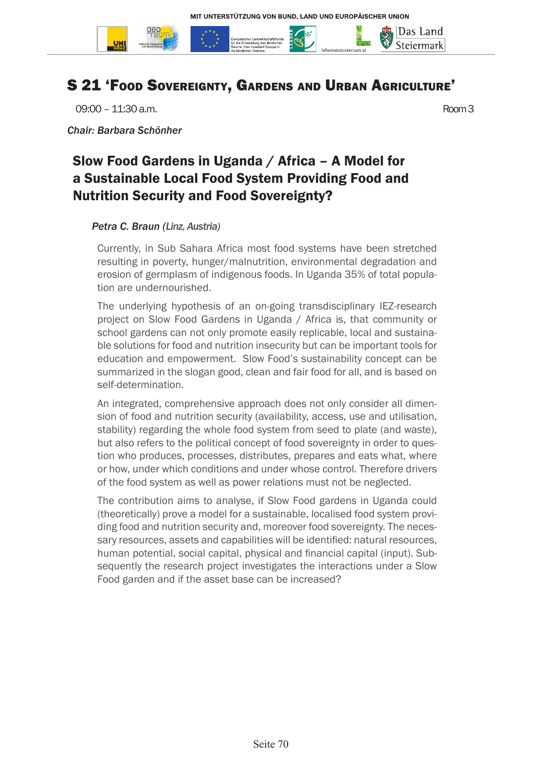

## S 21 'Food Sovereignty, Gardens and Urban Agriculture'

09:00 – 11:30 a.m. Room 3

*Chair: Barbara Schönher*

## Slow Food Gardens in Uganda / Africa – A Model for a Sustainable Local Food System Providing Food and Nutrition Security and Food Sovereignty?

#### *Petra C. Braun (Linz, Austria)*

Currently, in Sub Sahara Africa most food systems have been stretched resulting in poverty, hunger/malnutrition, environmental degradation and erosion of germplasm of indigenous foods. In Uganda 35% of total population are undernourished.

The underlying hypothesis of an on-going transdisciplinary IEZ-research project on Slow Food Gardens in Uganda / Africa is, that community or school gardens can not only promote easily replicable, local and sustainable solutions for food and nutrition insecurity but can be important tools for education and empowerment. Slow Food's sustainability concept can be summarized in the slogan good, clean and fair food for all, and is based on self-determination.

An integrated, comprehensive approach does not only consider all dimension of food and nutrition security (availability, access, use and utilisation, stability) regarding the whole food system from seed to plate (and waste), but also refers to the political concept of food sovereignty in order to question who produces, processes, distributes, prepares and eats what, where or how, under which conditions and under whose control. Therefore drivers of the food system as well as power relations must not be neglected.

The contribution aims to analyse, if Slow Food gardens in Uganda could (theoretically) prove a model for a sustainable, localised food system providing food and nutrition security and, moreover food sovereignty. The necessary resources, assets and capabilities will be identified: natural resources, human potential, social capital, physical and financial capital (input). Subsequently the research project investigates the interactions under a Slow Food garden and if the asset base can be increased?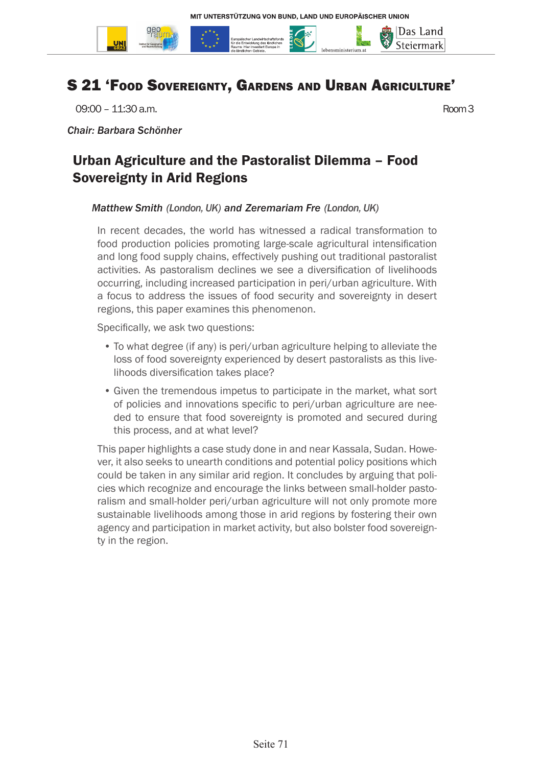

## S 21 'Food Sovereignty, Gardens and Urban Agriculture'

09:00 – 11:30 a.m. Room 3

*Chair: Barbara Schönher*

## Urban Agriculture and the Pastoralist Dilemma – Food Sovereignty in Arid Regions

#### *Matthew Smith (London, UK) and Zeremariam Fre (London, UK)*

In recent decades, the world has witnessed a radical transformation to food production policies promoting large-scale agricultural intensification and long food supply chains, effectively pushing out traditional pastoralist activities. As pastoralism declines we see a diversification of livelihoods occurring, including increased participation in peri/urban agriculture. With a focus to address the issues of food security and sovereignty in desert regions, this paper examines this phenomenon.

Specifically, we ask two questions:

- To what degree (if any) is peri/urban agriculture helping to alleviate the loss of food sovereignty experienced by desert pastoralists as this livelihoods diversification takes place?
- Given the tremendous impetus to participate in the market, what sort of policies and innovations specific to peri/urban agriculture are needed to ensure that food sovereignty is promoted and secured during this process, and at what level?

This paper highlights a case study done in and near Kassala, Sudan. However, it also seeks to unearth conditions and potential policy positions which could be taken in any similar arid region. It concludes by arguing that policies which recognize and encourage the links between small-holder pastoralism and small-holder peri/urban agriculture will not only promote more sustainable livelihoods among those in arid regions by fostering their own agency and participation in market activity, but also bolster food sovereignty in the region.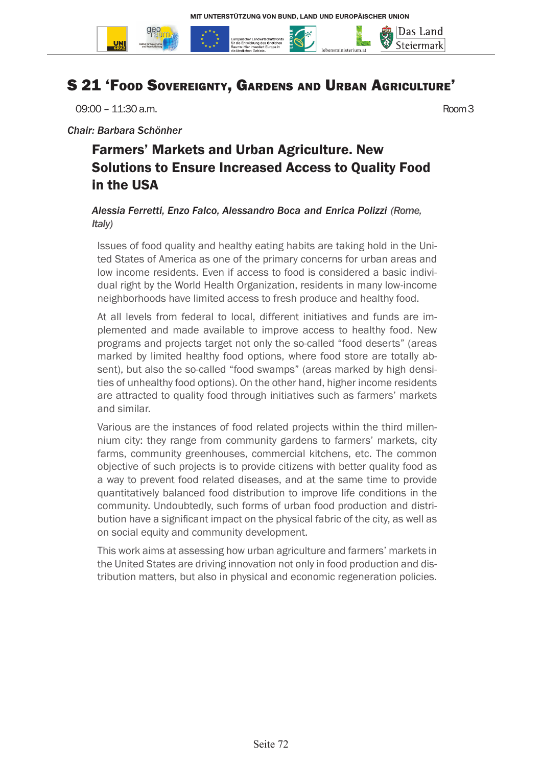

## S 21 'Food Sovereignty, Gardens and Urban Agriculture'

09:00 – 11:30 a.m. Room 3

*Chair: Barbara Schönher*

## Farmers' Markets and Urban Agriculture. New Solutions to Ensure Increased Access to Quality Food in the USA

### *Alessia Ferretti, Enzo Falco, Alessandro Boca and Enrica Polizzi (Rome, Italy)*

Issues of food quality and healthy eating habits are taking hold in the United States of America as one of the primary concerns for urban areas and low income residents. Even if access to food is considered a basic individual right by the World Health Organization, residents in many low-income neighborhoods have limited access to fresh produce and healthy food.

At all levels from federal to local, different initiatives and funds are implemented and made available to improve access to healthy food. New programs and projects target not only the so-called "food deserts" (areas marked by limited healthy food options, where food store are totally absent), but also the so-called "food swamps" (areas marked by high densities of unhealthy food options). On the other hand, higher income residents are attracted to quality food through initiatives such as farmers' markets and similar.

Various are the instances of food related projects within the third millennium city: they range from community gardens to farmers' markets, city farms, community greenhouses, commercial kitchens, etc. The common objective of such projects is to provide citizens with better quality food as a way to prevent food related diseases, and at the same time to provide quantitatively balanced food distribution to improve life conditions in the community. Undoubtedly, such forms of urban food production and distribution have a significant impact on the physical fabric of the city, as well as on social equity and community development.

This work aims at assessing how urban agriculture and farmers' markets in the United States are driving innovation not only in food production and distribution matters, but also in physical and economic regeneration policies.

Seite 72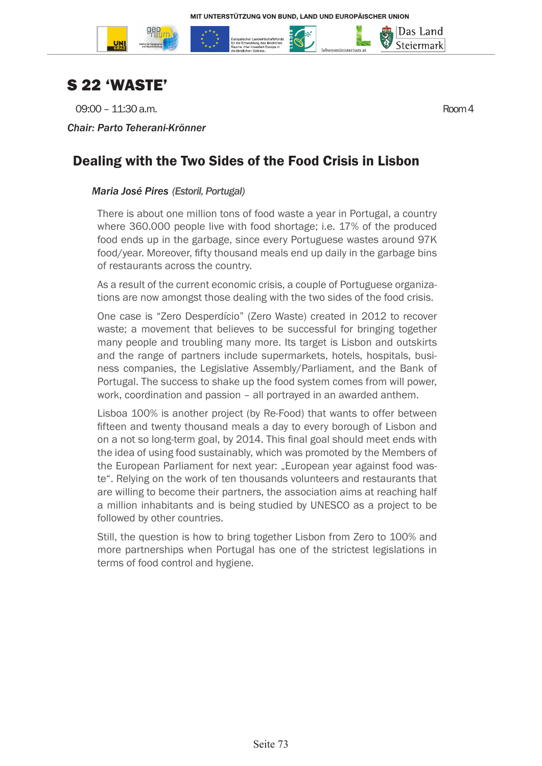

## S 22 'WASTE'

09:00 – 11:30 a.m. Room 4

*Chair: Parto Teherani-Krönner*

Das Land Steiermark

### Dealing with the Two Sides of the Food Crisis in Lisbon

### *Maria José Pires (Estoril, Portugal)*

There is about one million tons of food waste a year in Portugal, a country where 360.000 people live with food shortage; i.e. 17% of the produced food ends up in the garbage, since every Portuguese wastes around 97K food/year. Moreover, fifty thousand meals end up daily in the garbage bins of restaurants across the country.

As a result of the current economic crisis, a couple of Portuguese organizations are now amongst those dealing with the two sides of the food crisis.

One case is "Zero Desperdício" (Zero Waste) created in 2012 to recover waste; a movement that believes to be successful for bringing together many people and troubling many more. Its target is Lisbon and outskirts and the range of partners include supermarkets, hotels, hospitals, business companies, the Legislative Assembly/Parliament, and the Bank of Portugal. The success to shake up the food system comes from will power, work, coordination and passion – all portrayed in an awarded anthem.

Lisboa 100% is another project (by Re-Food) that wants to offer between fifteen and twenty thousand meals a day to every borough of Lisbon and on a not so long-term goal, by 2014. This final goal should meet ends with the idea of using food sustainably, which was promoted by the Members of the European Parliament for next year: "European year against food waste". Relying on the work of ten thousands volunteers and restaurants that are willing to become their partners, the association aims at reaching half a million inhabitants and is being studied by UNESCO as a project to be followed by other countries.

Still, the question is how to bring together Lisbon from Zero to 100% and more partnerships when Portugal has one of the strictest legislations in terms of food control and hygiene.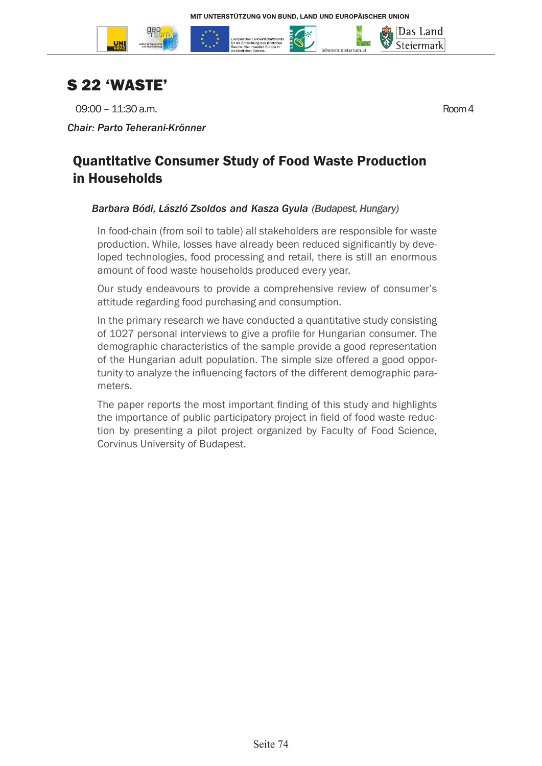



09:00 – 11:30 a.m. Room 4

*Chair: Parto Teherani-Krönner*

|Das Land Steiermark

### Quantitative Consumer Study of Food Waste Production in Households

### *Barbara Bódi, László Zsoldos and Kasza Gyula (Budapest, Hungary)*

In food-chain (from soil to table) all stakeholders are responsible for waste production. While, losses have already been reduced significantly by developed technologies, food processing and retail, there is still an enormous amount of food waste households produced every year.

Our study endeavours to provide a comprehensive review of consumer's attitude regarding food purchasing and consumption.

In the primary research we have conducted a quantitative study consisting of 1027 personal interviews to give a profile for Hungarian consumer. The demographic characteristics of the sample provide a good representation of the Hungarian adult population. The simple size offered a good opportunity to analyze the influencing factors of the different demographic parameters.

The paper reports the most important finding of this study and highlights the importance of public participatory project in field of food waste reduction by presenting a pilot project organized by Faculty of Food Science, Corvinus University of Budapest.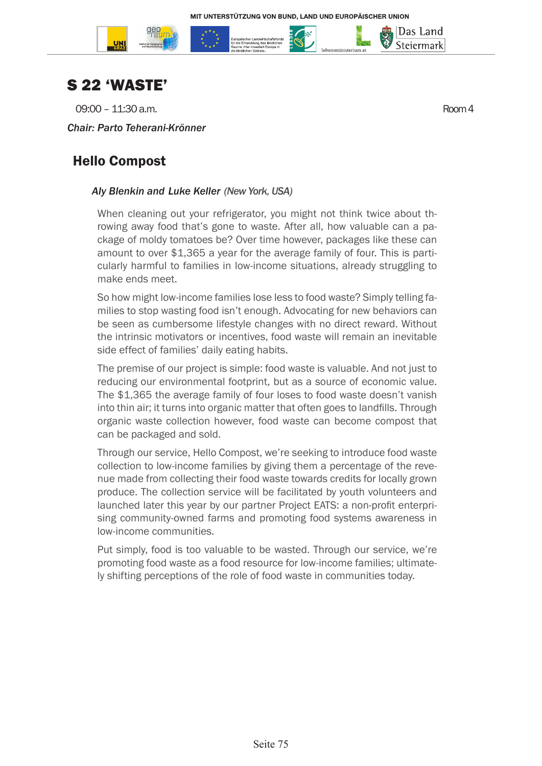



09:00 – 11:30 a.m. Room 4

Das Land Steiermark

#### *Chair: Parto Teherani-Krönner*

### Hello Compost

### *Aly Blenkin and Luke Keller (New York, USA)*

When cleaning out your refrigerator, you might not think twice about throwing away food that's gone to waste. After all, how valuable can a package of moldy tomatoes be? Over time however, packages like these can amount to over \$1,365 a year for the average family of four. This is particularly harmful to families in low-income situations, already struggling to make ends meet.

So how might low-income families lose less to food waste? Simply telling families to stop wasting food isn't enough. Advocating for new behaviors can be seen as cumbersome lifestyle changes with no direct reward. Without the intrinsic motivators or incentives, food waste will remain an inevitable side effect of families' daily eating habits.

The premise of our project is simple: food waste is valuable. And not just to reducing our environmental footprint, but as a source of economic value. The \$1,365 the average family of four loses to food waste doesn't vanish into thin air; it turns into organic matter that often goes to landfills. Through organic waste collection however, food waste can become compost that can be packaged and sold.

Through our service, Hello Compost, we're seeking to introduce food waste collection to low-income families by giving them a percentage of the revenue made from collecting their food waste towards credits for locally grown produce. The collection service will be facilitated by youth volunteers and launched later this year by our partner Project EATS: a non-profit enterprising community-owned farms and promoting food systems awareness in low-income communities.

Put simply, food is too valuable to be wasted. Through our service, we're promoting food waste as a food resource for low-income families; ultimately shifting perceptions of the role of food waste in communities today.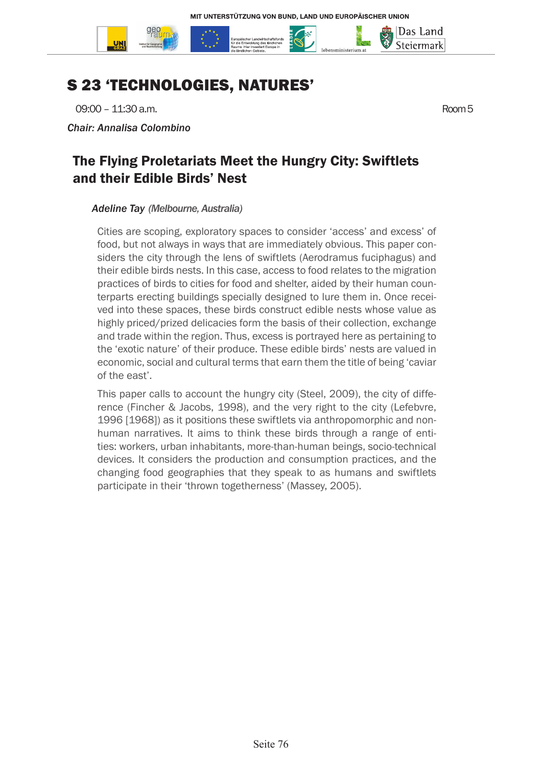

# S 23 'TECHNOLOGIES, NATURES'

09:00 – 11:30 a.m. Room 5

*Chair: Annalisa Colombino*

### The Flying Proletariats Meet the Hungry City: Swiftlets and their Edible Birds' Nest

#### *Adeline Tay (Melbourne, Australia)*

Cities are scoping, exploratory spaces to consider 'access' and excess' of food, but not always in ways that are immediately obvious. This paper considers the city through the lens of swiftlets (Aerodramus fuciphagus) and their edible birds nests. In this case, access to food relates to the migration practices of birds to cities for food and shelter, aided by their human counterparts erecting buildings specially designed to lure them in. Once received into these spaces, these birds construct edible nests whose value as highly priced/prized delicacies form the basis of their collection, exchange and trade within the region. Thus, excess is portrayed here as pertaining to the 'exotic nature' of their produce. These edible birds' nests are valued in economic, social and cultural terms that earn them the title of being 'caviar of the east'.

This paper calls to account the hungry city (Steel, 2009), the city of difference (Fincher & Jacobs, 1998), and the very right to the city (Lefebvre, 1996 [1968]) as it positions these swiftlets via anthropomorphic and nonhuman narratives. It aims to think these birds through a range of entities: workers, urban inhabitants, more-than-human beings, socio-technical devices. It considers the production and consumption practices, and the changing food geographies that they speak to as humans and swiftlets participate in their 'thrown togetherness' (Massey, 2005).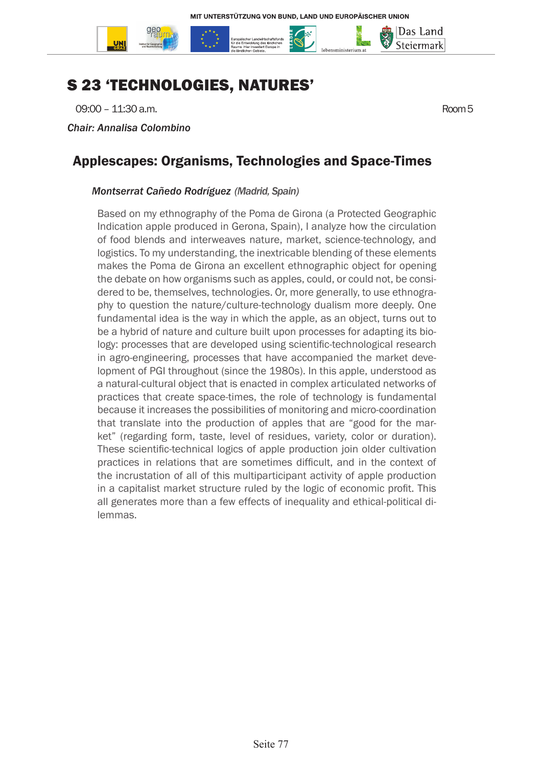

# S 23 'TECHNOLOGIES, NATURES'

09:00 – 11:30 a.m. Room 5

*Chair: Annalisa Colombino*

### Applescapes: Organisms, Technologies and Space-Times

#### *Montserrat Cañedo Rodríguez (Madrid, Spain)*

Based on my ethnography of the Poma de Girona (a Protected Geographic Indication apple produced in Gerona, Spain), I analyze how the circulation of food blends and interweaves nature, market, science-technology, and logistics. To my understanding, the inextricable blending of these elements makes the Poma de Girona an excellent ethnographic object for opening the debate on how organisms such as apples, could, or could not, be considered to be, themselves, technologies. Or, more generally, to use ethnography to question the nature/culture-technology dualism more deeply. One fundamental idea is the way in which the apple, as an object, turns out to be a hybrid of nature and culture built upon processes for adapting its biology: processes that are developed using scientific-technological research in agro-engineering, processes that have accompanied the market development of PGI throughout (since the 1980s). In this apple, understood as a natural-cultural object that is enacted in complex articulated networks of practices that create space-times, the role of technology is fundamental because it increases the possibilities of monitoring and micro-coordination that translate into the production of apples that are "good for the market" (regarding form, taste, level of residues, variety, color or duration). These scientific-technical logics of apple production join older cultivation practices in relations that are sometimes difficult, and in the context of the incrustation of all of this multiparticipant activity of apple production in a capitalist market structure ruled by the logic of economic profit. This all generates more than a few effects of inequality and ethical-political dilemmas.